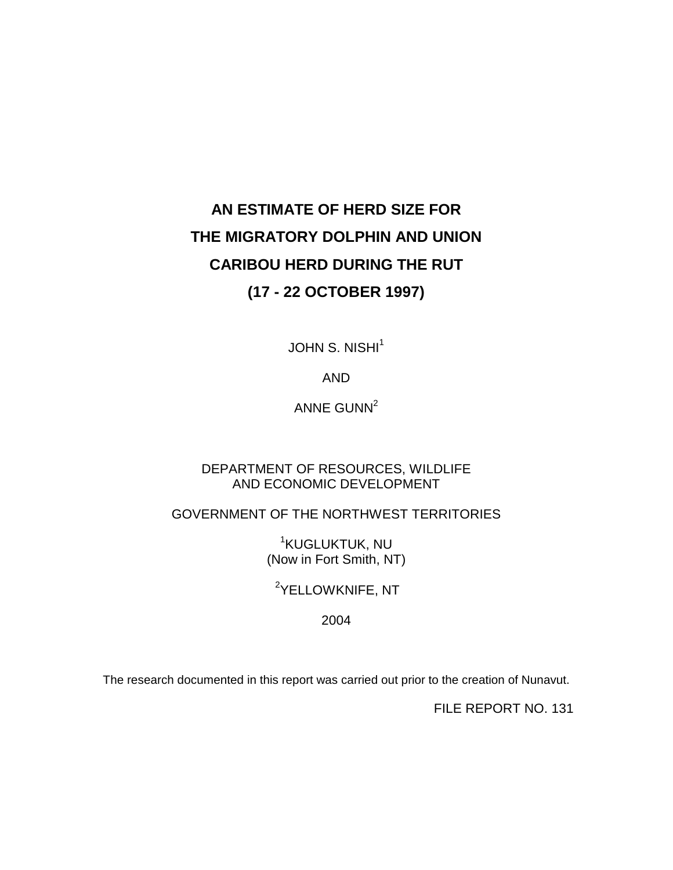# **AN ESTIMATE OF HERD SIZE FOR THE MIGRATORY DOLPHIN AND UNION CARIBOU HERD DURING THE RUT (17 - 22 OCTOBER 1997)**

JOHN S. NISHI<sup>1</sup>

AND

ANNE GUNN $2$ 

### DEPARTMENT OF RESOURCES, WILDLIFE AND ECONOMIC DEVELOPMENT

GOVERNMENT OF THE NORTHWEST TERRITORIES

1 KUGLUKTUK, NU (Now in Fort Smith, NT)

<sup>2</sup>YELLOWKNIFE, NT

2004

The research documented in this report was carried out prior to the creation of Nunavut.

FILE REPORT NO. 131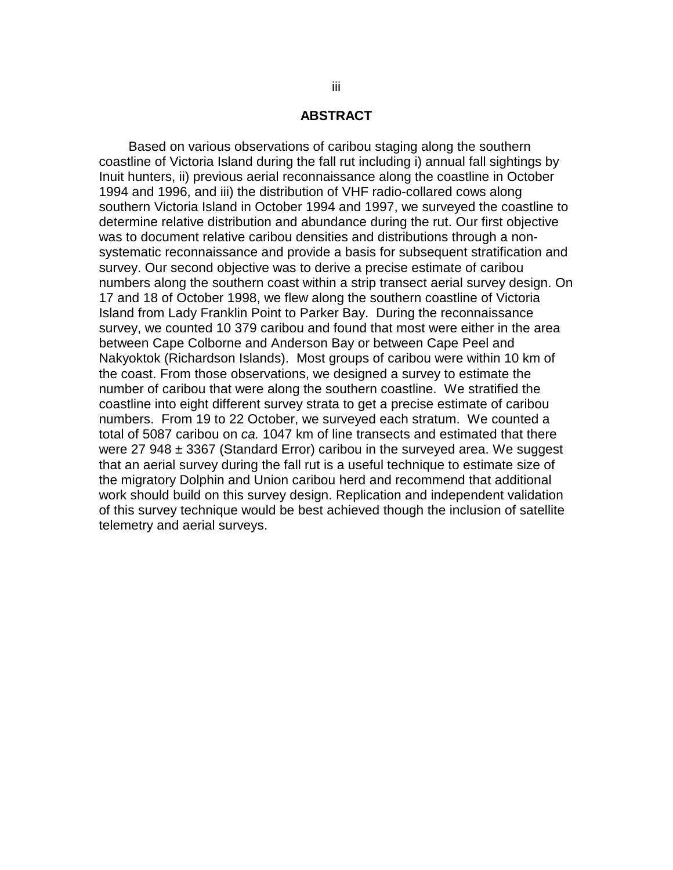### **ABSTRACT**

<span id="page-2-0"></span>Based on various observations of caribou staging along the southern coastline of Victoria Island during the fall rut including i) annual fall sightings by Inuit hunters, ii) previous aerial reconnaissance along the coastline in October 1994 and 1996, and iii) the distribution of VHF radio-collared cows along southern Victoria Island in October 1994 and 1997, we surveyed the coastline to determine relative distribution and abundance during the rut. Our first objective was to document relative caribou densities and distributions through a nonsystematic reconnaissance and provide a basis for subsequent stratification and survey. Our second objective was to derive a precise estimate of caribou numbers along the southern coast within a strip transect aerial survey design. On 17 and 18 of October 1998, we flew along the southern coastline of Victoria Island from Lady Franklin Point to Parker Bay. During the reconnaissance survey, we counted 10 379 caribou and found that most were either in the area between Cape Colborne and Anderson Bay or between Cape Peel and Nakyoktok (Richardson Islands). Most groups of caribou were within 10 km of the coast. From those observations, we designed a survey to estimate the number of caribou that were along the southern coastline. We stratified the coastline into eight different survey strata to get a precise estimate of caribou numbers. From 19 to 22 October, we surveyed each stratum. We counted a total of 5087 caribou on *ca.* 1047 km of line transects and estimated that there were 27 948  $\pm$  3367 (Standard Error) caribou in the surveyed area. We suggest that an aerial survey during the fall rut is a useful technique to estimate size of the migratory Dolphin and Union caribou herd and recommend that additional work should build on this survey design. Replication and independent validation of this survey technique would be best achieved though the inclusion of satellite telemetry and aerial surveys.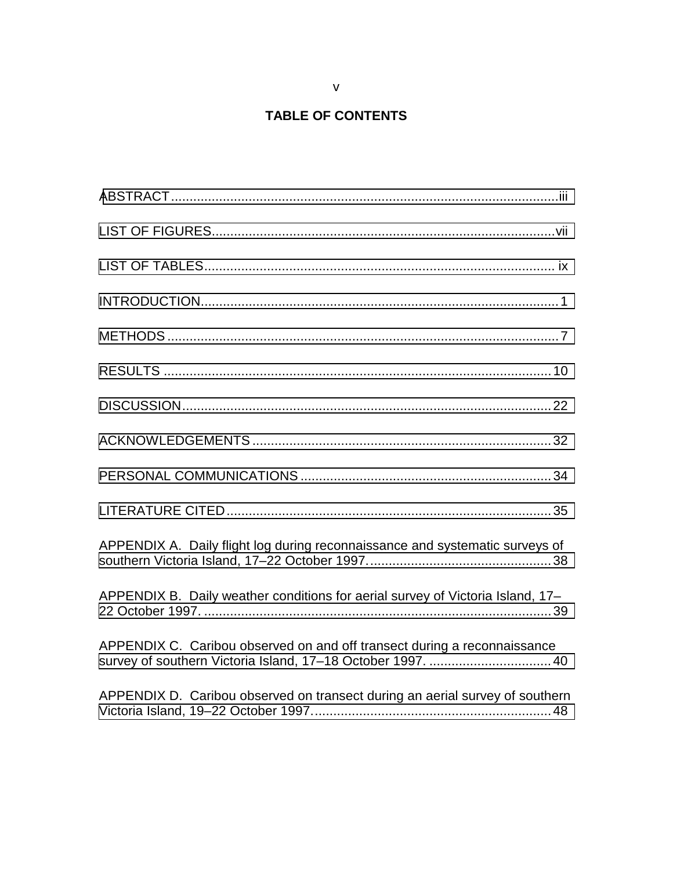## **TABLE OF CONTENTS**

| APPENDIX A. Daily flight log during reconnaissance and systematic surveys of                                                            |
|-----------------------------------------------------------------------------------------------------------------------------------------|
| APPENDIX B. Daily weather conditions for aerial survey of Victoria Island, 17-                                                          |
| APPENDIX C. Caribou observed on and off transect during a reconnaissance<br>survey of southern Victoria Island, 17-18 October 1997.  40 |
| APPENDIX D. Caribou observed on transect during an aerial survey of southern                                                            |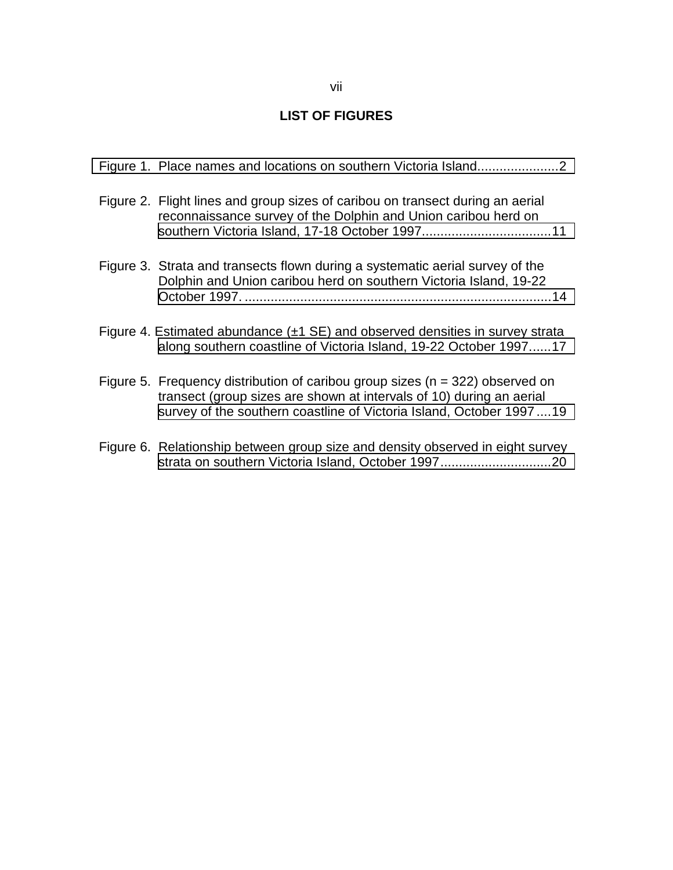### **LIST OF FIGURES**

<span id="page-6-0"></span>

| Figure 1. Place names and locations on southern Victoria Island2                                                                                                                                                                 |
|----------------------------------------------------------------------------------------------------------------------------------------------------------------------------------------------------------------------------------|
| Figure 2. Flight lines and group sizes of caribou on transect during an aerial<br>reconnaissance survey of the Dolphin and Union caribou herd on                                                                                 |
| Figure 3. Strata and transects flown during a systematic aerial survey of the<br>Dolphin and Union caribou herd on southern Victoria Island, 19-22                                                                               |
| Figure 4. Estimated abundance $(\pm 1 \text{ SE})$ and observed densities in survey strata<br>along southern coastline of Victoria Island, 19-22 October 199717                                                                  |
| Figure 5. Frequency distribution of caribou group sizes ( $n = 322$ ) observed on<br>transect (group sizes are shown at intervals of 10) during an aerial<br>survey of the southern coastline of Victoria Island, October 199719 |
| Figure 6. Relationship between group size and density observed in eight survey<br>strata on southern Victoria Island, October 199720                                                                                             |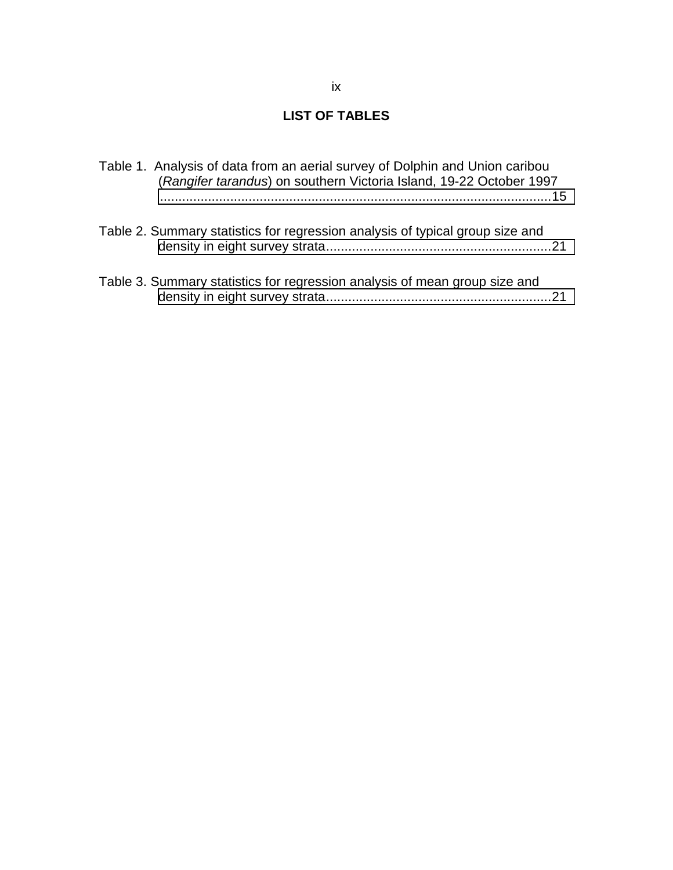### **LIST OF TABLES**

<span id="page-8-0"></span>

| Table 1. Analysis of data from an aerial survey of Dolphin and Union caribou<br>(Rangifer tarandus) on southern Victoria Island, 19-22 October 1997 |  |
|-----------------------------------------------------------------------------------------------------------------------------------------------------|--|
| Table 2. Summary statistics for regression analysis of typical group size and                                                                       |  |
| Table 3. Summary statistics for regression analysis of mean group size and                                                                          |  |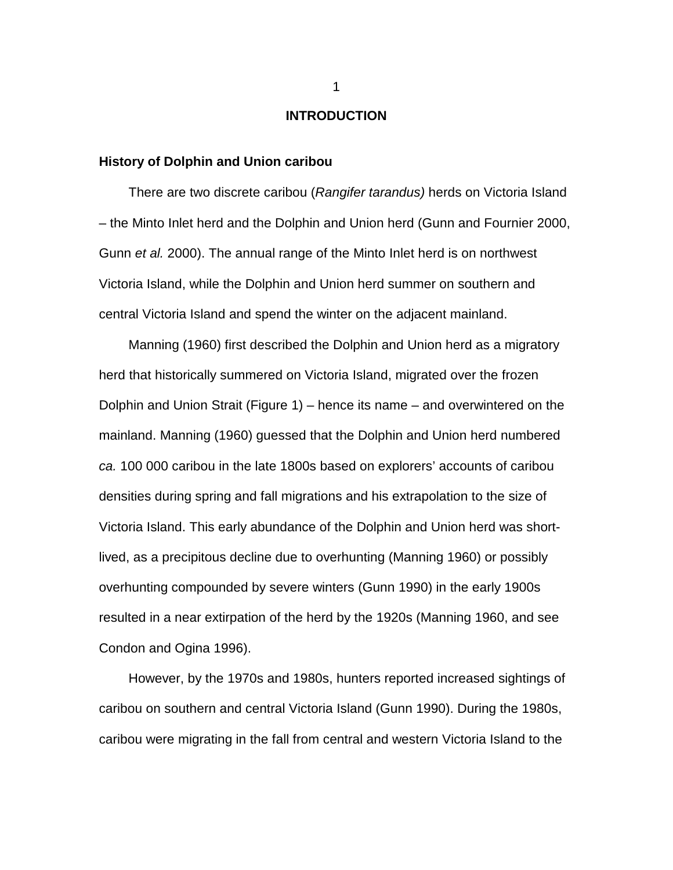#### **INTRODUCTION**

### <span id="page-10-0"></span>**History of Dolphin and Union caribou**

There are two discrete caribou (*Rangifer tarandus)* herds on Victoria Island – the Minto Inlet herd and the Dolphin and Union herd (Gunn and Fournier 2000, Gunn *et al.* 2000). The annual range of the Minto Inlet herd is on northwest Victoria Island, while the Dolphin and Union herd summer on southern and central Victoria Island and spend the winter on the adjacent mainland.

Manning (1960) first described the Dolphin and Union herd as a migratory herd that historically summered on Victoria Island, migrated over the frozen Dolphin and Union Strait (Figure 1) – hence its name – and overwintered on the mainland. Manning (1960) guessed that the Dolphin and Union herd numbered *ca.* 100 000 caribou in the late 1800s based on explorers' accounts of caribou densities during spring and fall migrations and his extrapolation to the size of Victoria Island. This early abundance of the Dolphin and Union herd was shortlived, as a precipitous decline due to overhunting (Manning 1960) or possibly overhunting compounded by severe winters (Gunn 1990) in the early 1900s resulted in a near extirpation of the herd by the 1920s (Manning 1960, and see Condon and Ogina 1996).

However, by the 1970s and 1980s, hunters reported increased sightings of caribou on southern and central Victoria Island (Gunn 1990). During the 1980s, caribou were migrating in the fall from central and western Victoria Island to the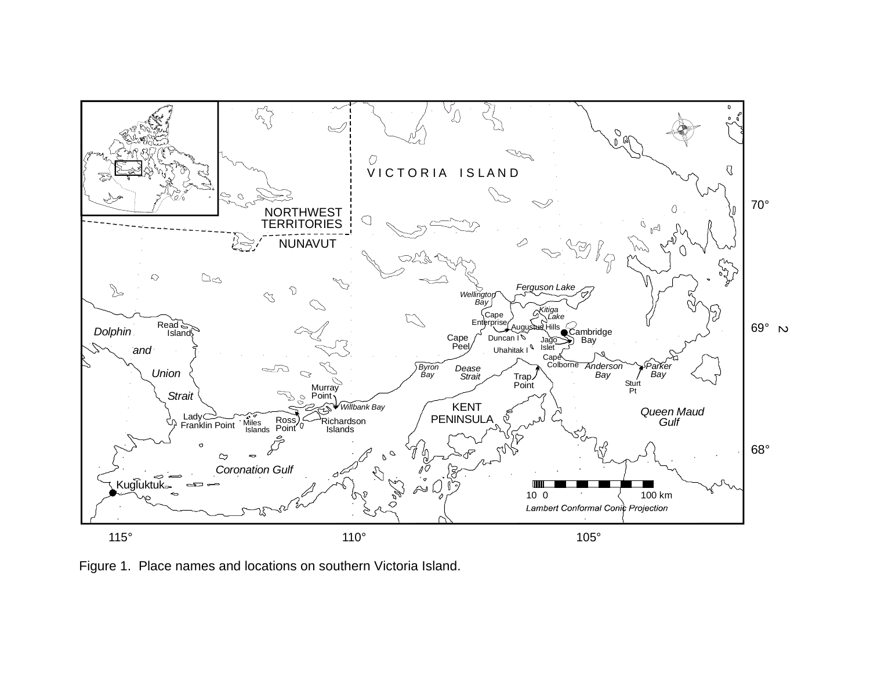<span id="page-11-0"></span>

Figure 1. Place names and locations on southern Victoria Island.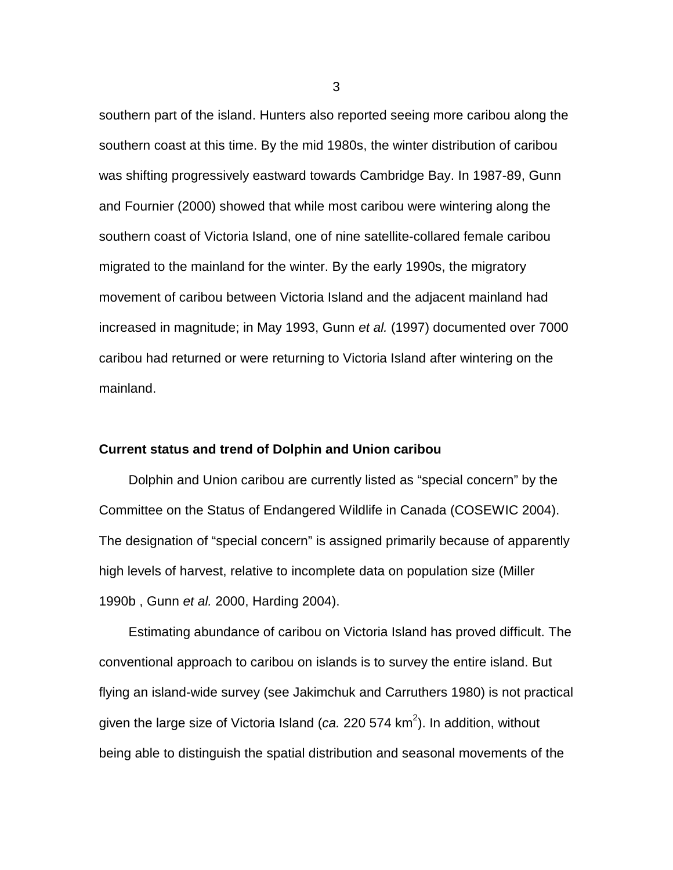southern part of the island. Hunters also reported seeing more caribou along the southern coast at this time. By the mid 1980s, the winter distribution of caribou was shifting progressively eastward towards Cambridge Bay. In 1987-89, Gunn and Fournier (2000) showed that while most caribou were wintering along the southern coast of Victoria Island, one of nine satellite-collared female caribou migrated to the mainland for the winter. By the early 1990s, the migratory movement of caribou between Victoria Island and the adjacent mainland had increased in magnitude; in May 1993, Gunn *et al.* (1997) documented over 7000 caribou had returned or were returning to Victoria Island after wintering on the mainland.

### **Current status and trend of Dolphin and Union caribou**

Dolphin and Union caribou are currently listed as "special concern" by the Committee on the Status of Endangered Wildlife in Canada (COSEWIC 2004). The designation of "special concern" is assigned primarily because of apparently high levels of harvest, relative to incomplete data on population size (Miller 1990b , Gunn *et al.* 2000, Harding 2004).

Estimating abundance of caribou on Victoria Island has proved difficult. The conventional approach to caribou on islands is to survey the entire island. But flying an island-wide survey (see Jakimchuk and Carruthers 1980) is not practical given the large size of Victoria Island (*ca.* 220 574 km<sup>2</sup>). In addition, without being able to distinguish the spatial distribution and seasonal movements of the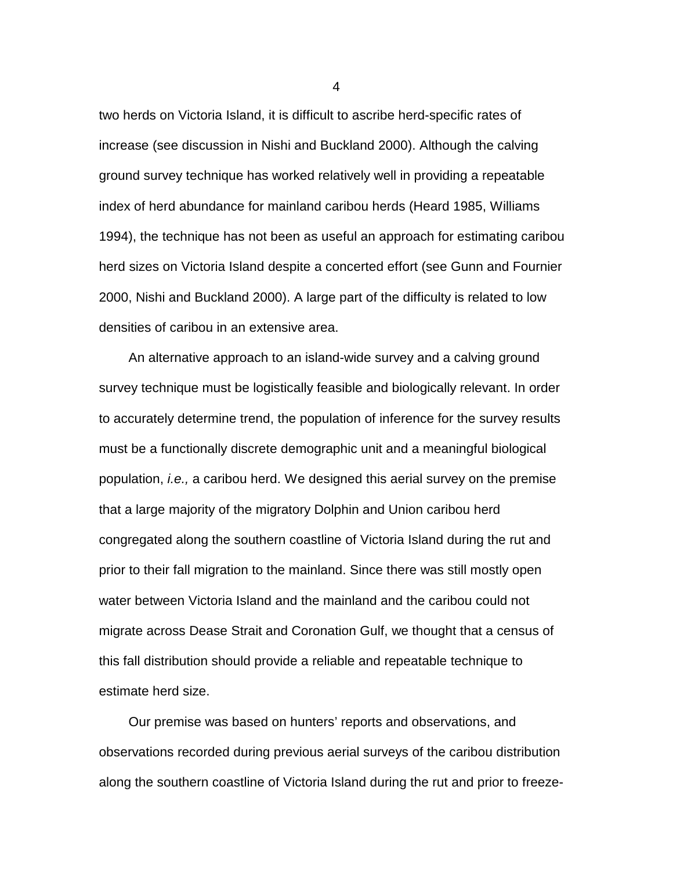two herds on Victoria Island, it is difficult to ascribe herd-specific rates of increase (see discussion in Nishi and Buckland 2000). Although the calving ground survey technique has worked relatively well in providing a repeatable index of herd abundance for mainland caribou herds (Heard 1985, Williams 1994), the technique has not been as useful an approach for estimating caribou herd sizes on Victoria Island despite a concerted effort (see Gunn and Fournier 2000, Nishi and Buckland 2000). A large part of the difficulty is related to low densities of caribou in an extensive area.

An alternative approach to an island-wide survey and a calving ground survey technique must be logistically feasible and biologically relevant. In order to accurately determine trend, the population of inference for the survey results must be a functionally discrete demographic unit and a meaningful biological population, *i.e.,* a caribou herd. We designed this aerial survey on the premise that a large majority of the migratory Dolphin and Union caribou herd congregated along the southern coastline of Victoria Island during the rut and prior to their fall migration to the mainland. Since there was still mostly open water between Victoria Island and the mainland and the caribou could not migrate across Dease Strait and Coronation Gulf, we thought that a census of this fall distribution should provide a reliable and repeatable technique to estimate herd size.

Our premise was based on hunters' reports and observations, and observations recorded during previous aerial surveys of the caribou distribution along the southern coastline of Victoria Island during the rut and prior to freeze-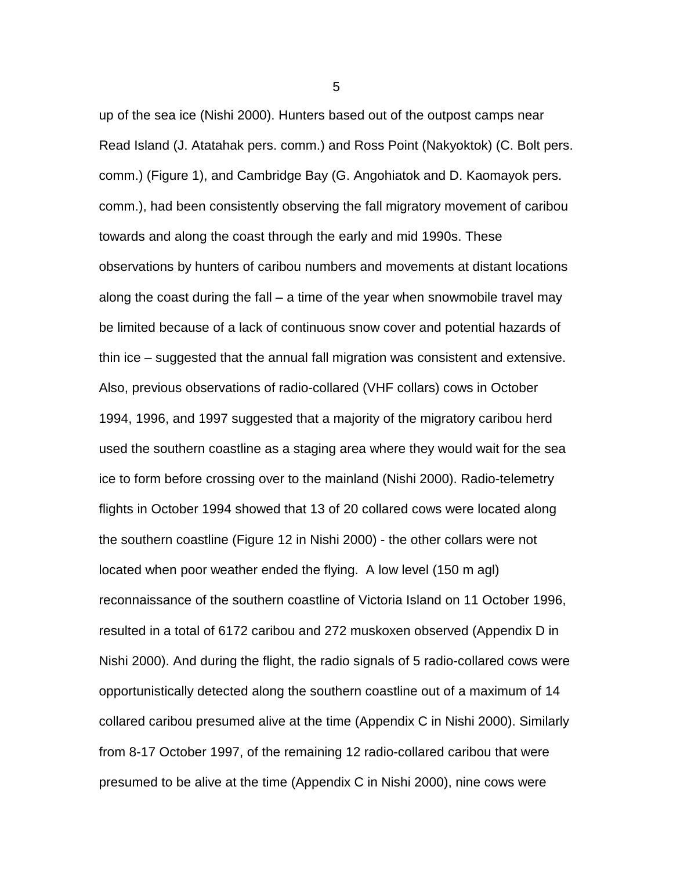up of the sea ice (Nishi 2000). Hunters based out of the outpost camps near Read Island (J. Atatahak pers. comm.) and Ross Point (Nakyoktok) (C. Bolt pers. comm.) (Figure 1), and Cambridge Bay (G. Angohiatok and D. Kaomayok pers. comm.), had been consistently observing the fall migratory movement of caribou towards and along the coast through the early and mid 1990s. These observations by hunters of caribou numbers and movements at distant locations along the coast during the fall – a time of the year when snowmobile travel may be limited because of a lack of continuous snow cover and potential hazards of thin ice – suggested that the annual fall migration was consistent and extensive. Also, previous observations of radio-collared (VHF collars) cows in October 1994, 1996, and 1997 suggested that a majority of the migratory caribou herd used the southern coastline as a staging area where they would wait for the sea ice to form before crossing over to the mainland (Nishi 2000). Radio-telemetry flights in October 1994 showed that 13 of 20 collared cows were located along the southern coastline (Figure 12 in Nishi 2000) - the other collars were not located when poor weather ended the flying. A low level (150 m agl) reconnaissance of the southern coastline of Victoria Island on 11 October 1996, resulted in a total of 6172 caribou and 272 muskoxen observed (Appendix D in Nishi 2000). And during the flight, the radio signals of 5 radio-collared cows were opportunistically detected along the southern coastline out of a maximum of 14 collared caribou presumed alive at the time (Appendix C in Nishi 2000). Similarly from 8-17 October 1997, of the remaining 12 radio-collared caribou that were presumed to be alive at the time (Appendix C in Nishi 2000), nine cows were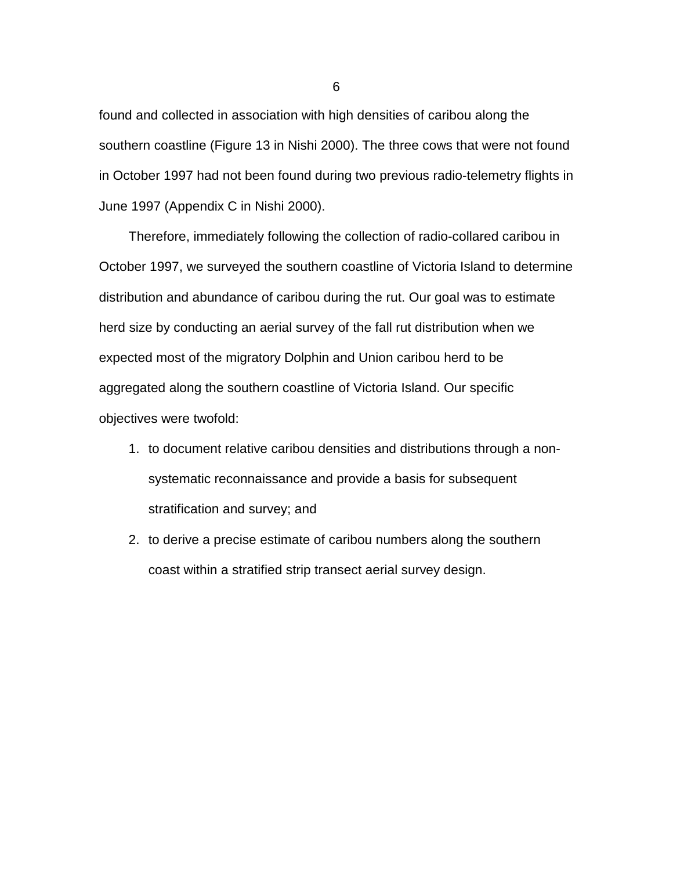found and collected in association with high densities of caribou along the southern coastline (Figure 13 in Nishi 2000). The three cows that were not found in October 1997 had not been found during two previous radio-telemetry flights in June 1997 (Appendix C in Nishi 2000).

Therefore, immediately following the collection of radio-collared caribou in October 1997, we surveyed the southern coastline of Victoria Island to determine distribution and abundance of caribou during the rut. Our goal was to estimate herd size by conducting an aerial survey of the fall rut distribution when we expected most of the migratory Dolphin and Union caribou herd to be aggregated along the southern coastline of Victoria Island. Our specific objectives were twofold:

- 1. to document relative caribou densities and distributions through a nonsystematic reconnaissance and provide a basis for subsequent stratification and survey; and
- 2. to derive a precise estimate of caribou numbers along the southern coast within a stratified strip transect aerial survey design.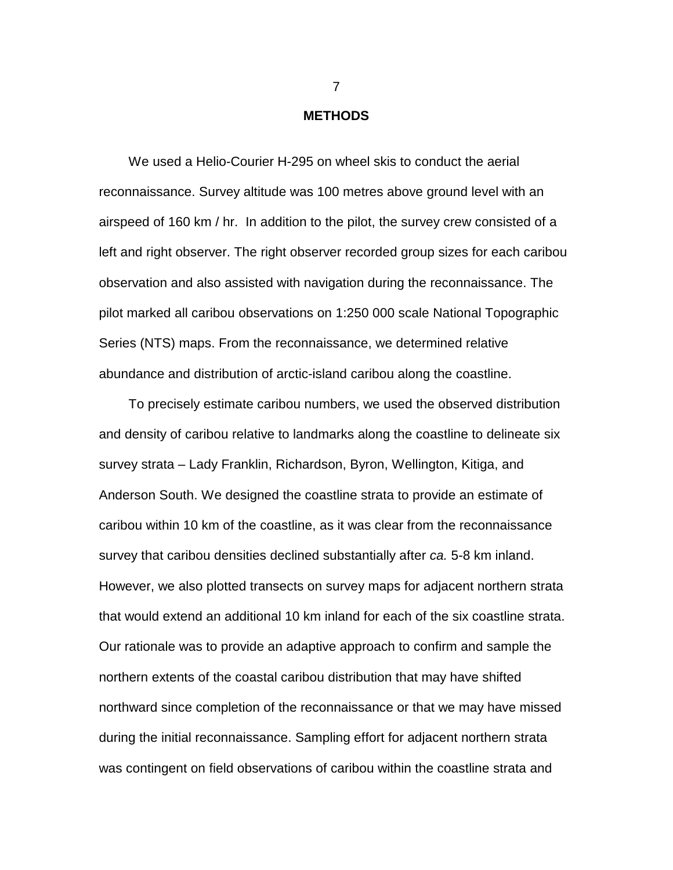#### **METHODS**

<span id="page-16-0"></span>We used a Helio-Courier H-295 on wheel skis to conduct the aerial reconnaissance. Survey altitude was 100 metres above ground level with an airspeed of 160 km / hr. In addition to the pilot, the survey crew consisted of a left and right observer. The right observer recorded group sizes for each caribou observation and also assisted with navigation during the reconnaissance. The pilot marked all caribou observations on 1:250 000 scale National Topographic Series (NTS) maps. From the reconnaissance, we determined relative abundance and distribution of arctic-island caribou along the coastline.

To precisely estimate caribou numbers, we used the observed distribution and density of caribou relative to landmarks along the coastline to delineate six survey strata – Lady Franklin, Richardson, Byron, Wellington, Kitiga, and Anderson South. We designed the coastline strata to provide an estimate of caribou within 10 km of the coastline, as it was clear from the reconnaissance survey that caribou densities declined substantially after *ca.* 5-8 km inland. However, we also plotted transects on survey maps for adjacent northern strata that would extend an additional 10 km inland for each of the six coastline strata. Our rationale was to provide an adaptive approach to confirm and sample the northern extents of the coastal caribou distribution that may have shifted northward since completion of the reconnaissance or that we may have missed during the initial reconnaissance. Sampling effort for adjacent northern strata was contingent on field observations of caribou within the coastline strata and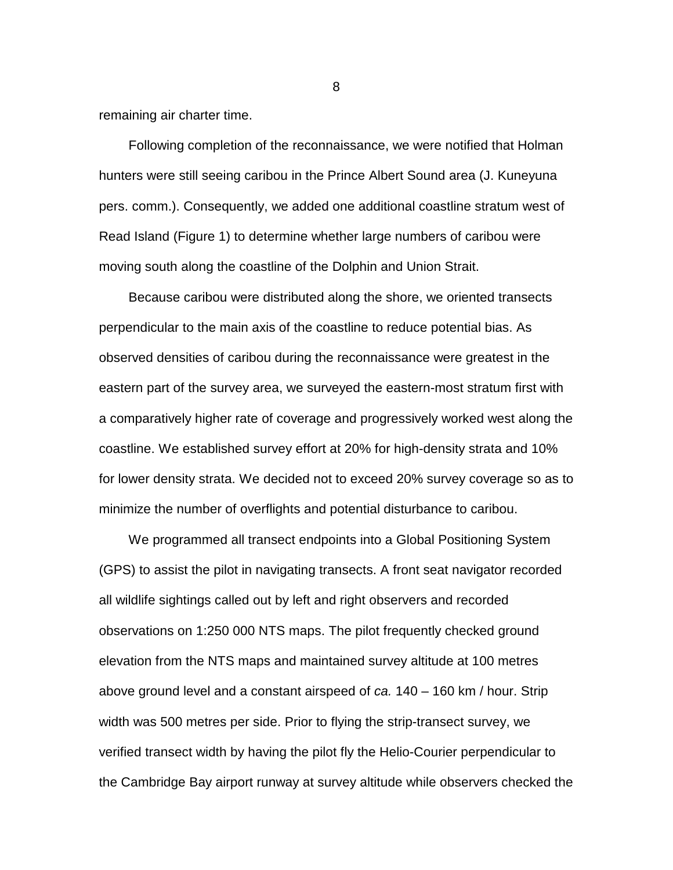remaining air charter time.

Following completion of the reconnaissance, we were notified that Holman hunters were still seeing caribou in the Prince Albert Sound area (J. Kuneyuna pers. comm.). Consequently, we added one additional coastline stratum west of Read Island (Figure 1) to determine whether large numbers of caribou were moving south along the coastline of the Dolphin and Union Strait.

Because caribou were distributed along the shore, we oriented transects perpendicular to the main axis of the coastline to reduce potential bias. As observed densities of caribou during the reconnaissance were greatest in the eastern part of the survey area, we surveyed the eastern-most stratum first with a comparatively higher rate of coverage and progressively worked west along the coastline. We established survey effort at 20% for high-density strata and 10% for lower density strata. We decided not to exceed 20% survey coverage so as to minimize the number of overflights and potential disturbance to caribou.

We programmed all transect endpoints into a Global Positioning System (GPS) to assist the pilot in navigating transects. A front seat navigator recorded all wildlife sightings called out by left and right observers and recorded observations on 1:250 000 NTS maps. The pilot frequently checked ground elevation from the NTS maps and maintained survey altitude at 100 metres above ground level and a constant airspeed of *ca.* 140 – 160 km / hour. Strip width was 500 metres per side. Prior to flying the strip-transect survey, we verified transect width by having the pilot fly the Helio-Courier perpendicular to the Cambridge Bay airport runway at survey altitude while observers checked the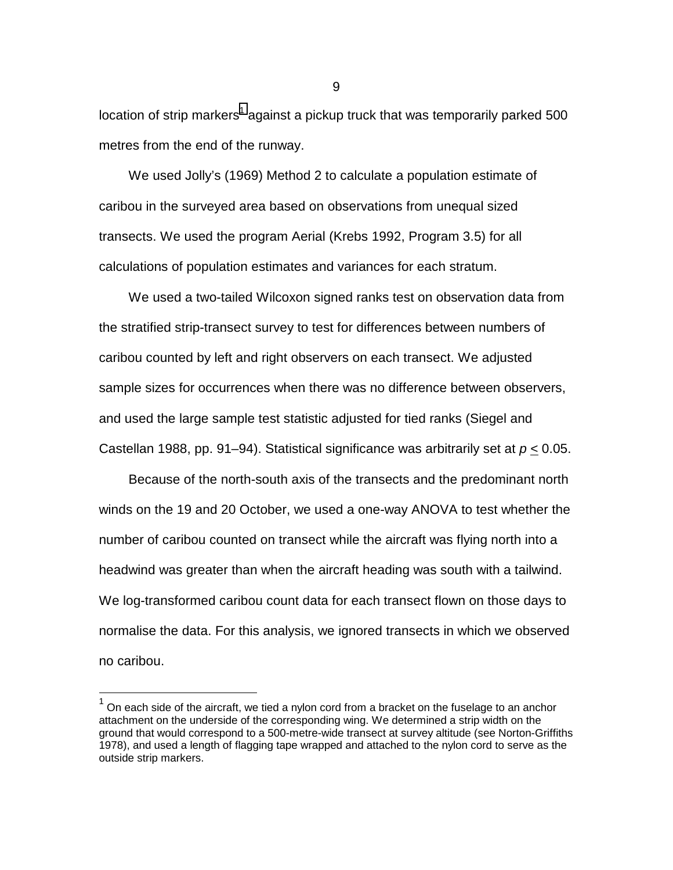location of strip markers<sup>1</sup> against a pickup truck that was temporarily parked 500 metres from the end of the runway.

We used Jolly's (1969) Method 2 to calculate a population estimate of caribou in the surveyed area based on observations from unequal sized transects. We used the program Aerial (Krebs 1992, Program 3.5) for all calculations of population estimates and variances for each stratum.

We used a two-tailed Wilcoxon signed ranks test on observation data from the stratified strip-transect survey to test for differences between numbers of caribou counted by left and right observers on each transect. We adjusted sample sizes for occurrences when there was no difference between observers, and used the large sample test statistic adjusted for tied ranks (Siegel and Castellan 1988, pp. 91–94). Statistical significance was arbitrarily set at *p* < 0.05.

Because of the north-south axis of the transects and the predominant north winds on the 19 and 20 October, we used a one-way ANOVA to test whether the number of caribou counted on transect while the aircraft was flying north into a headwind was greater than when the aircraft heading was south with a tailwind. We log-transformed caribou count data for each transect flown on those days to normalise the data. For this analysis, we ignored transects in which we observed no caribou.

l

<sup>1</sup> On each side of the aircraft, we tied a nylon cord from a bracket on the fuselage to an anchor attachment on the underside of the corresponding wing. We determined a strip width on the ground that would correspond to a 500-metre-wide transect at survey altitude (see Norton-Griffiths 1978), and used a length of flagging tape wrapped and attached to the nylon cord to serve as the outside strip markers.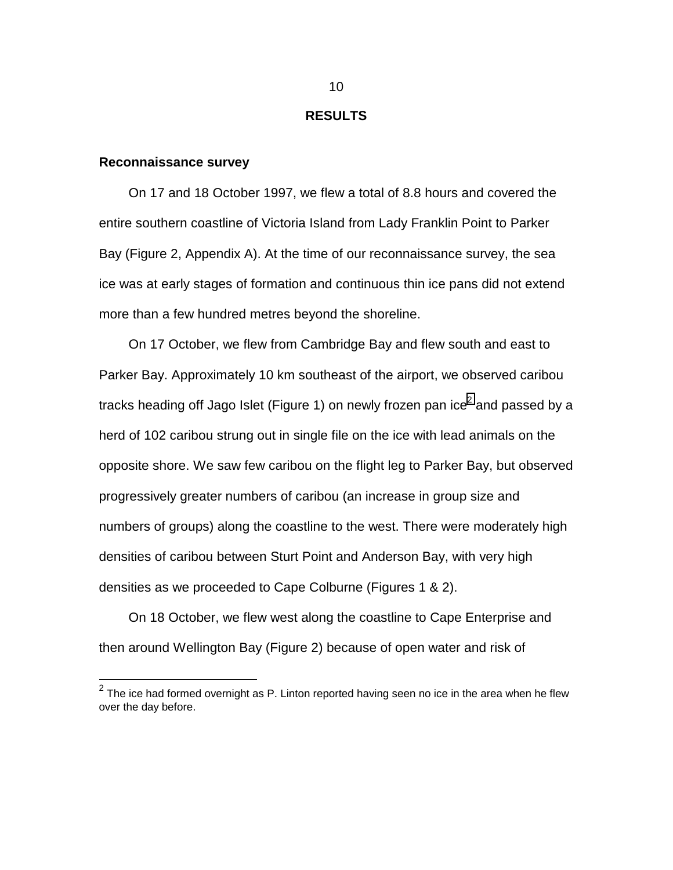### **RESULTS**

### <span id="page-19-0"></span>**Reconnaissance survey**

On 17 and 18 October 1997, we flew a total of 8.8 hours and covered the entire southern coastline of Victoria Island from Lady Franklin Point to Parker Bay (Figure 2, Appendix A). At the time of our reconnaissance survey, the sea ice was at early stages of formation and continuous thin ice pans did not extend more than a few hundred metres beyond the shoreline.

On 17 October, we flew from Cambridge Bay and flew south and east to Parker Bay. Approximately 10 km southeast of the airport, we observed caribou tracks heading off Jago Islet (Figure 1) on newly frozen pan ice $^2$  and passed by a herd of 102 caribou strung out in single file on the ice with lead animals on the opposite shore. We saw few caribou on the flight leg to Parker Bay, but observed progressively greater numbers of caribou (an increase in group size and numbers of groups) along the coastline to the west. There were moderately high densities of caribou between Sturt Point and Anderson Bay, with very high densities as we proceeded to Cape Colburne (Figures 1 & 2).

On 18 October, we flew west along the coastline to Cape Enterprise and then around Wellington Bay (Figure 2) because of open water and risk of

 $\overline{\hspace{0.1cm}}^2$  The ice had formed overnight as P. Linton reported having seen no ice in the area when he flew  $^2$ over the day before.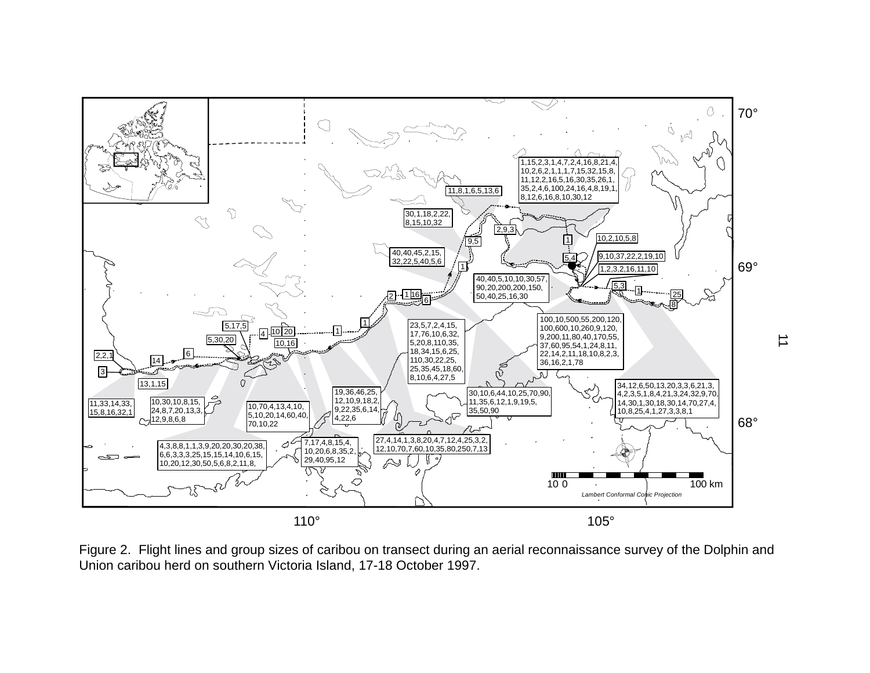<span id="page-20-0"></span>

Figure 2. Flight lines and group sizes of caribou on transect during an aerial reconnaissance survey of the Dolphin and Union caribou herd on southern Victoria Island, 17-18 October 1997.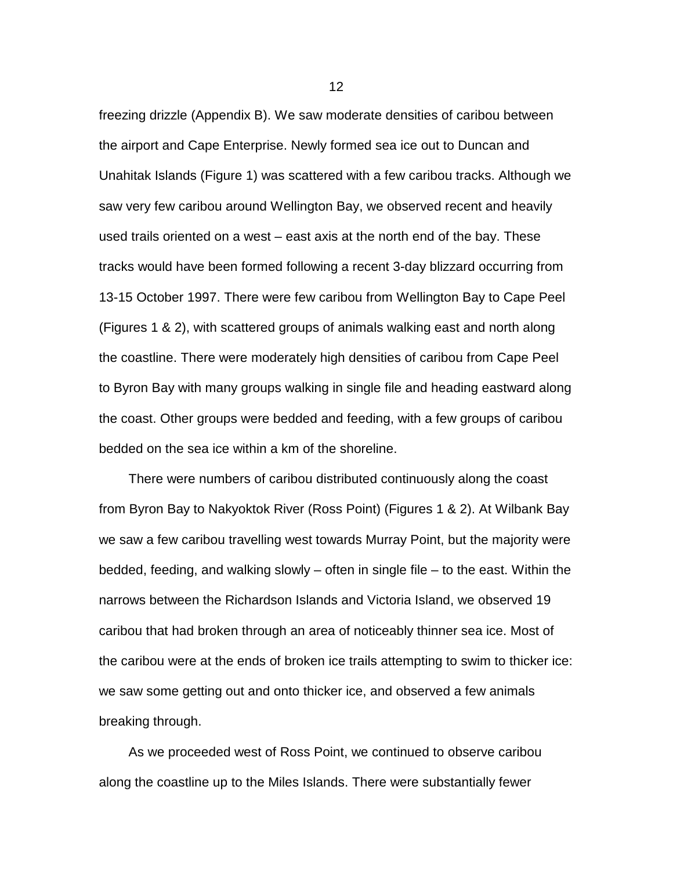freezing drizzle (Appendix B). We saw moderate densities of caribou between the airport and Cape Enterprise. Newly formed sea ice out to Duncan and Unahitak Islands (Figure 1) was scattered with a few caribou tracks. Although we saw very few caribou around Wellington Bay, we observed recent and heavily used trails oriented on a west – east axis at the north end of the bay. These tracks would have been formed following a recent 3-day blizzard occurring from 13-15 October 1997. There were few caribou from Wellington Bay to Cape Peel (Figures 1 & 2), with scattered groups of animals walking east and north along the coastline. There were moderately high densities of caribou from Cape Peel to Byron Bay with many groups walking in single file and heading eastward along the coast. Other groups were bedded and feeding, with a few groups of caribou bedded on the sea ice within a km of the shoreline.

There were numbers of caribou distributed continuously along the coast from Byron Bay to Nakyoktok River (Ross Point) (Figures 1 & 2). At Wilbank Bay we saw a few caribou travelling west towards Murray Point, but the majority were bedded, feeding, and walking slowly – often in single file – to the east. Within the narrows between the Richardson Islands and Victoria Island, we observed 19 caribou that had broken through an area of noticeably thinner sea ice. Most of the caribou were at the ends of broken ice trails attempting to swim to thicker ice: we saw some getting out and onto thicker ice, and observed a few animals breaking through.

As we proceeded west of Ross Point, we continued to observe caribou along the coastline up to the Miles Islands. There were substantially fewer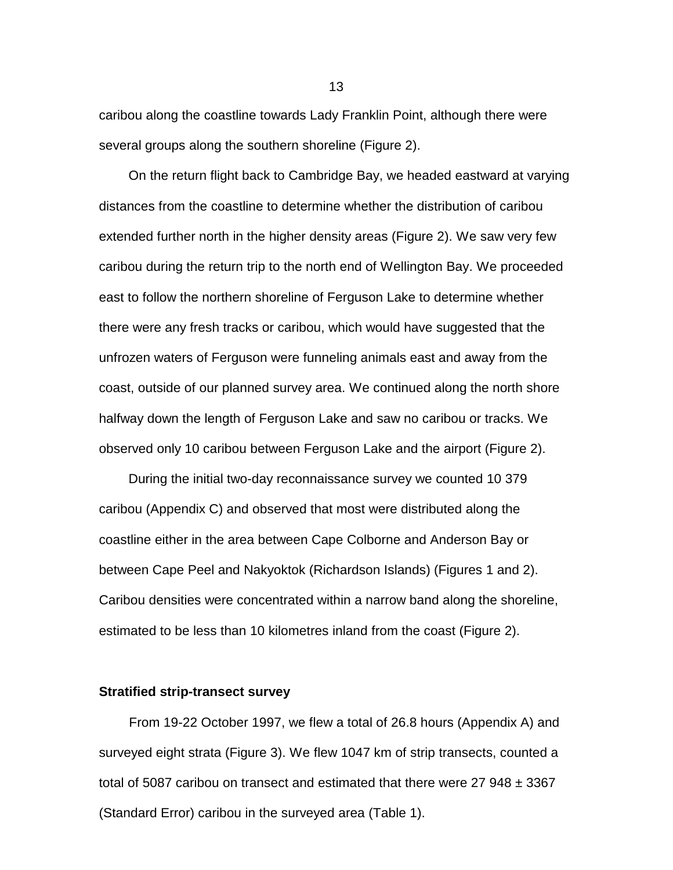caribou along the coastline towards Lady Franklin Point, although there were several groups along the southern shoreline (Figure 2).

On the return flight back to Cambridge Bay, we headed eastward at varying distances from the coastline to determine whether the distribution of caribou extended further north in the higher density areas (Figure 2). We saw very few caribou during the return trip to the north end of Wellington Bay. We proceeded east to follow the northern shoreline of Ferguson Lake to determine whether there were any fresh tracks or caribou, which would have suggested that the unfrozen waters of Ferguson were funneling animals east and away from the coast, outside of our planned survey area. We continued along the north shore halfway down the length of Ferguson Lake and saw no caribou or tracks. We observed only 10 caribou between Ferguson Lake and the airport (Figure 2).

During the initial two-day reconnaissance survey we counted 10 379 caribou (Appendix C) and observed that most were distributed along the coastline either in the area between Cape Colborne and Anderson Bay or between Cape Peel and Nakyoktok (Richardson Islands) (Figures 1 and 2). Caribou densities were concentrated within a narrow band along the shoreline, estimated to be less than 10 kilometres inland from the coast (Figure 2).

### **Stratified strip-transect survey**

From 19-22 October 1997, we flew a total of 26.8 hours (Appendix A) and surveyed eight strata (Figure 3). We flew 1047 km of strip transects, counted a total of 5087 caribou on transect and estimated that there were 27 948  $\pm$  3367 (Standard Error) caribou in the surveyed area (Table 1).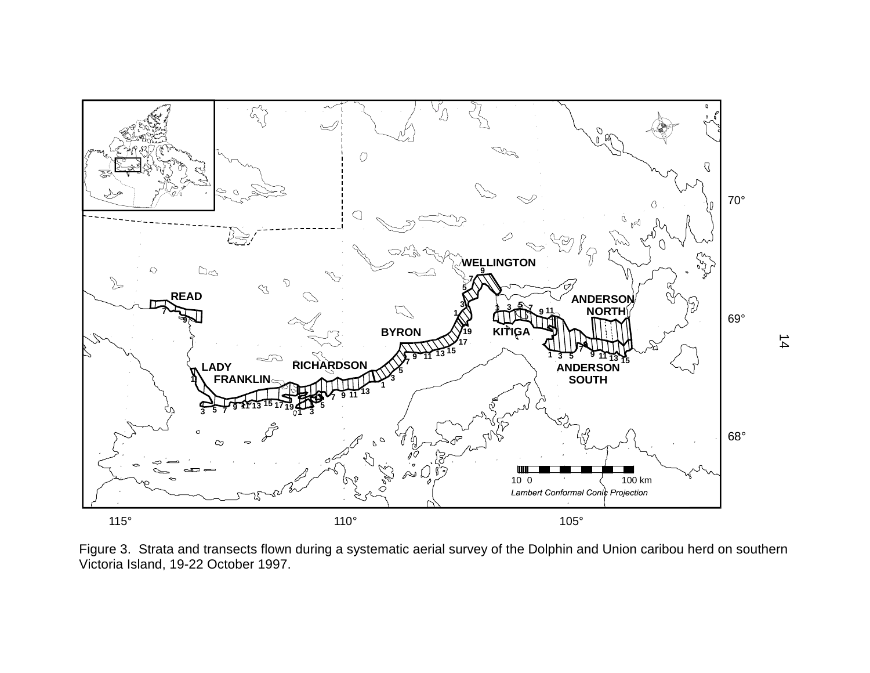<span id="page-23-0"></span>

Figure 3. Strata and transects flown during a systematic aerial survey of the Dolphin and Union caribou herd on southern Victoria Island, 19-22 October 1997.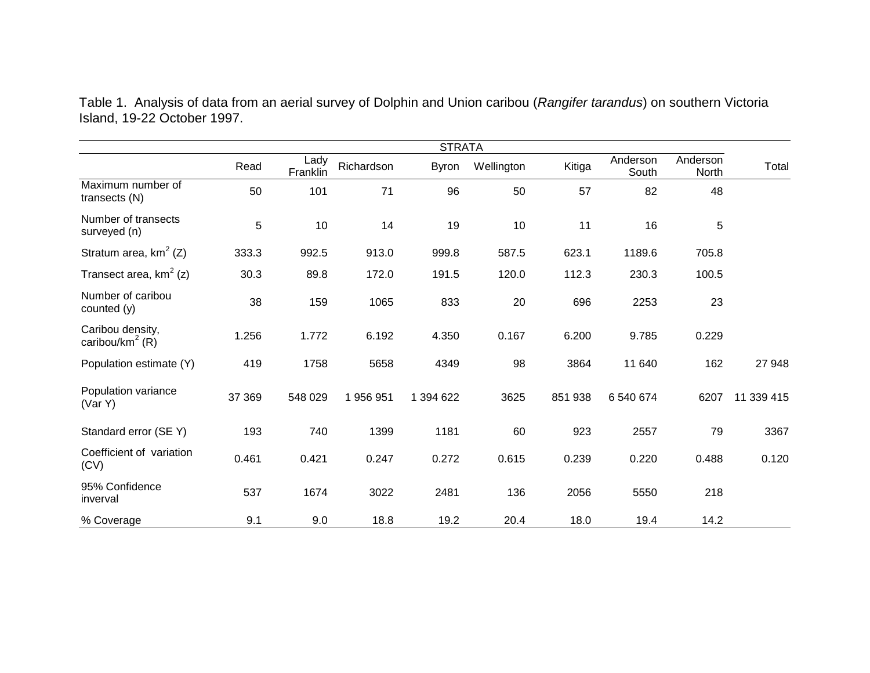|                                                 | <b>STRATA</b> |                  |            |              |            |         |                   |                   |            |
|-------------------------------------------------|---------------|------------------|------------|--------------|------------|---------|-------------------|-------------------|------------|
|                                                 | Read          | Lady<br>Franklin | Richardson | <b>Byron</b> | Wellington | Kitiga  | Anderson<br>South | Anderson<br>North | Total      |
| Maximum number of<br>transects (N)              | 50            | 101              | 71         | 96           | 50         | 57      | 82                | 48                |            |
| Number of transects<br>surveyed (n)             | 5             | 10               | 14         | 19           | 10         | 11      | 16                | 5                 |            |
| Stratum area, $km^2$ (Z)                        | 333.3         | 992.5            | 913.0      | 999.8        | 587.5      | 623.1   | 1189.6            | 705.8             |            |
| Transect area, $km^2$ (z)                       | 30.3          | 89.8             | 172.0      | 191.5        | 120.0      | 112.3   | 230.3             | 100.5             |            |
| Number of caribou<br>counted (y)                | 38            | 159              | 1065       | 833          | 20         | 696     | 2253              | 23                |            |
| Caribou density,<br>caribou/km <sup>2</sup> (R) | 1.256         | 1.772            | 6.192      | 4.350        | 0.167      | 6.200   | 9.785             | 0.229             |            |
| Population estimate (Y)                         | 419           | 1758             | 5658       | 4349         | 98         | 3864    | 11 640            | 162               | 27 948     |
| Population variance<br>(Var Y)                  | 37 369        | 548 029          | 1956951    | 1 394 622    | 3625       | 851 938 | 6 540 674         | 6207              | 11 339 415 |
| Standard error (SE Y)                           | 193           | 740              | 1399       | 1181         | 60         | 923     | 2557              | 79                | 3367       |
| Coefficient of variation<br>(CV)                | 0.461         | 0.421            | 0.247      | 0.272        | 0.615      | 0.239   | 0.220             | 0.488             | 0.120      |
| 95% Confidence<br>inverval                      | 537           | 1674             | 3022       | 2481         | 136        | 2056    | 5550              | 218               |            |
| % Coverage                                      | 9.1           | 9.0              | 18.8       | 19.2         | 20.4       | 18.0    | 19.4              | 14.2              |            |

<span id="page-24-0"></span>Table 1. Analysis of data from an aerial survey of Dolphin and Union caribou (*Rangifer tarandus*) on southern Victoria Island, 19-22 October 1997.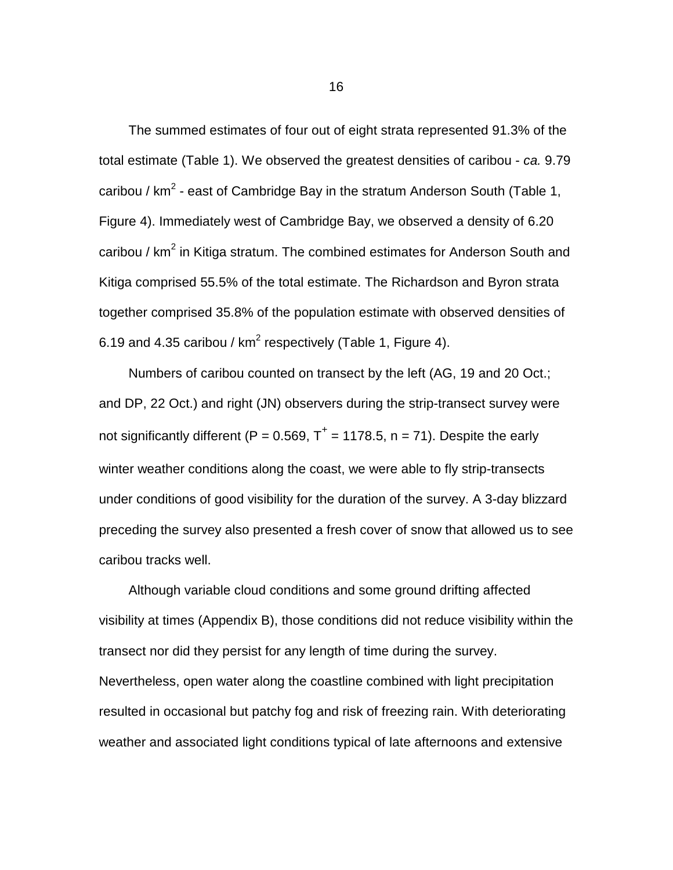The summed estimates of four out of eight strata represented 91.3% of the total estimate (Table 1). We observed the greatest densities of caribou - *ca.* 9.79 caribou / km<sup>2</sup> - east of Cambridge Bay in the stratum Anderson South (Table 1, Figure 4). Immediately west of Cambridge Bay, we observed a density of 6.20 caribou / km<sup>2</sup> in Kitiga stratum. The combined estimates for Anderson South and Kitiga comprised 55.5% of the total estimate. The Richardson and Byron strata together comprised 35.8% of the population estimate with observed densities of 6.19 and 4.35 caribou /  $km^2$  respectively (Table 1, Figure 4).

Numbers of caribou counted on transect by the left (AG, 19 and 20 Oct.; and DP, 22 Oct.) and right (JN) observers during the strip-transect survey were not significantly different (P = 0.569,  $T^+$  = 1178.5, n = 71). Despite the early winter weather conditions along the coast, we were able to fly strip-transects under conditions of good visibility for the duration of the survey. A 3-day blizzard preceding the survey also presented a fresh cover of snow that allowed us to see caribou tracks well.

Although variable cloud conditions and some ground drifting affected visibility at times (Appendix B), those conditions did not reduce visibility within the transect nor did they persist for any length of time during the survey. Nevertheless, open water along the coastline combined with light precipitation resulted in occasional but patchy fog and risk of freezing rain. With deteriorating weather and associated light conditions typical of late afternoons and extensive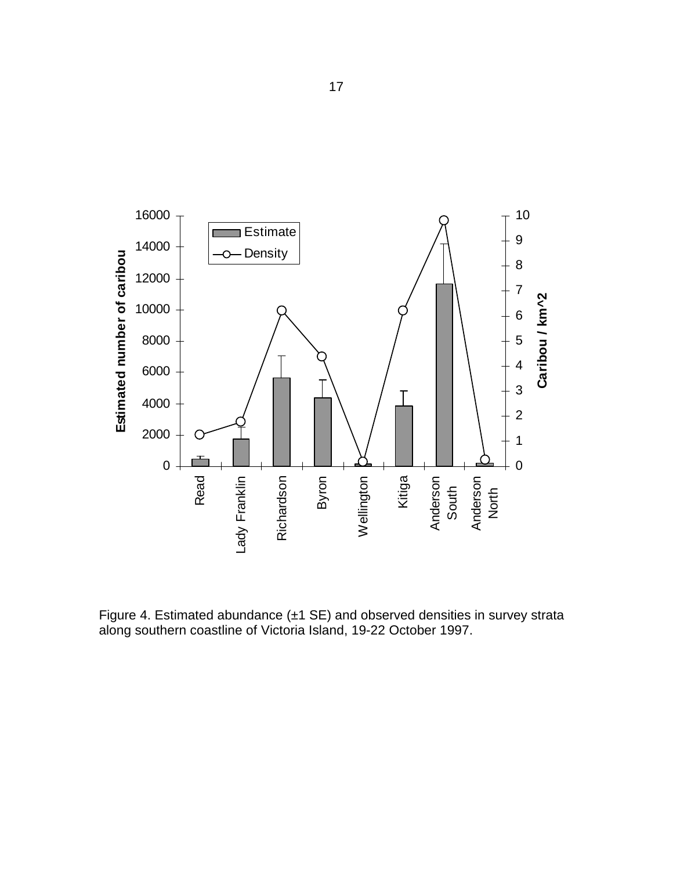<span id="page-26-0"></span>

Figure 4. Estimated abundance (±1 SE) and observed densities in survey strata along southern coastline of Victoria Island, 19-22 October 1997.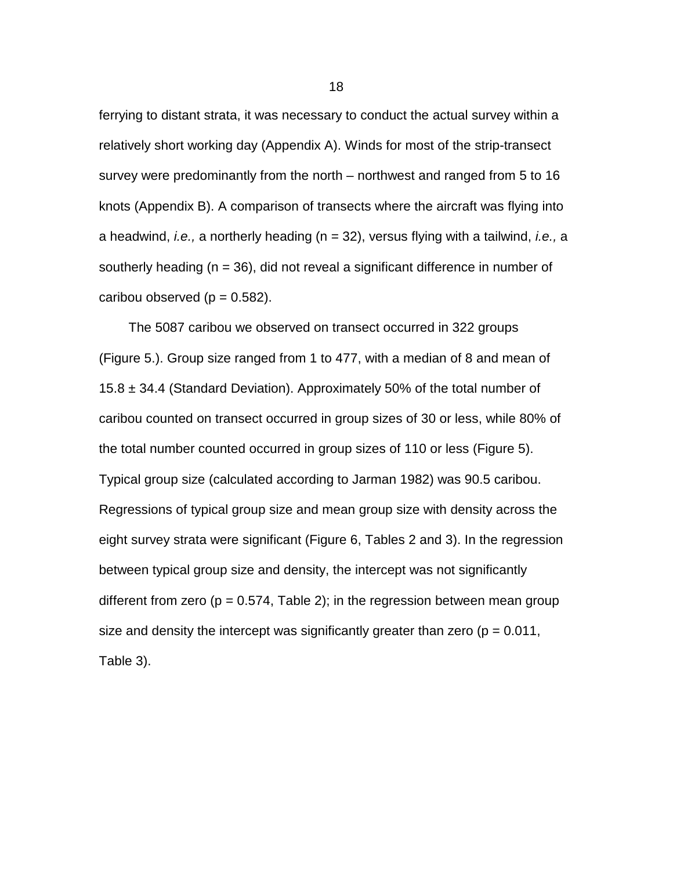ferrying to distant strata, it was necessary to conduct the actual survey within a relatively short working day (Appendix A). Winds for most of the strip-transect survey were predominantly from the north – northwest and ranged from 5 to 16 knots (Appendix B). A comparison of transects where the aircraft was flying into a headwind, *i.e.,* a northerly heading (n = 32), versus flying with a tailwind, *i.e.,* a southerly heading ( $n = 36$ ), did not reveal a significant difference in number of caribou observed ( $p = 0.582$ ).

The 5087 caribou we observed on transect occurred in 322 groups (Figure 5.). Group size ranged from 1 to 477, with a median of 8 and mean of 15.8  $\pm$  34.4 (Standard Deviation). Approximately 50% of the total number of caribou counted on transect occurred in group sizes of 30 or less, while 80% of the total number counted occurred in group sizes of 110 or less (Figure 5). Typical group size (calculated according to Jarman 1982) was 90.5 caribou. Regressions of typical group size and mean group size with density across the eight survey strata were significant (Figure 6, Tables 2 and 3). In the regression between typical group size and density, the intercept was not significantly different from zero ( $p = 0.574$ , Table 2); in the regression between mean group size and density the intercept was significantly greater than zero ( $p = 0.011$ , Table 3).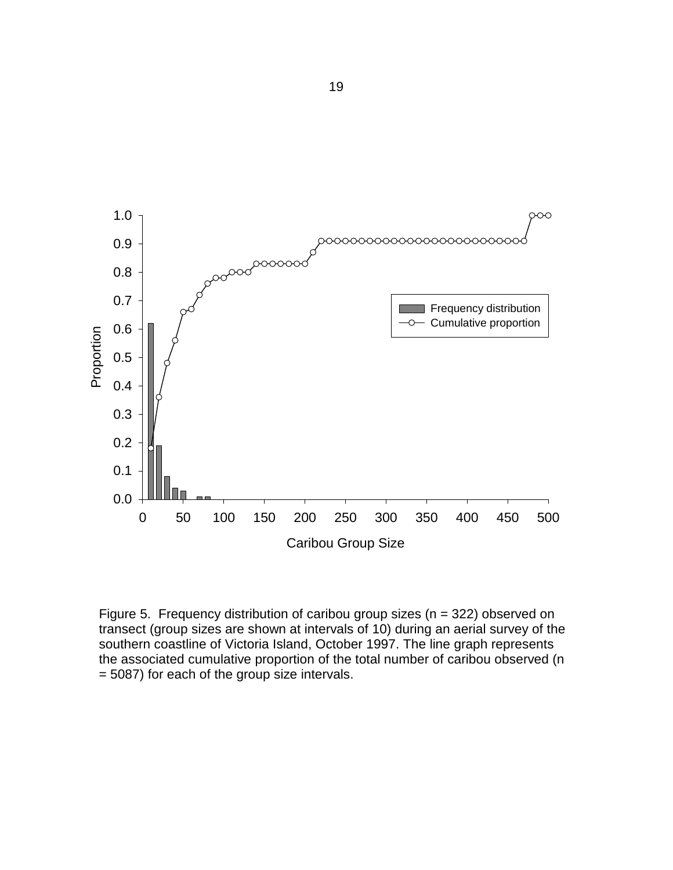<span id="page-28-0"></span>

Figure 5. Frequency distribution of caribou group sizes ( $n = 322$ ) observed on transect (group sizes are shown at intervals of 10) during an aerial survey of the southern coastline of Victoria Island, October 1997. The line graph represents the associated cumulative proportion of the total number of caribou observed (n = 5087) for each of the group size intervals.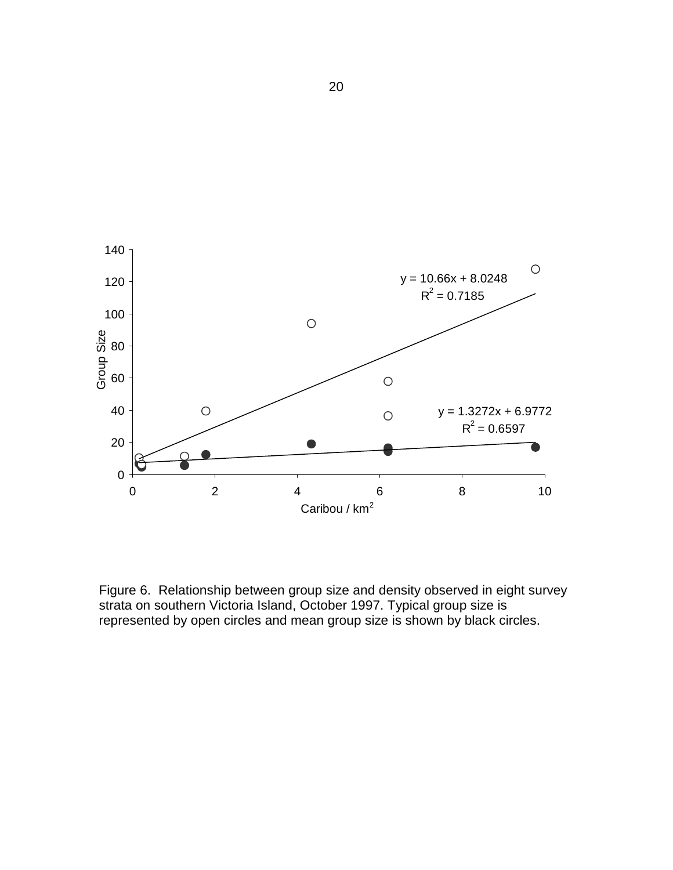<span id="page-29-0"></span>

Figure 6. Relationship between group size and density observed in eight survey strata on southern Victoria Island, October 1997. Typical group size is represented by open circles and mean group size is shown by black circles.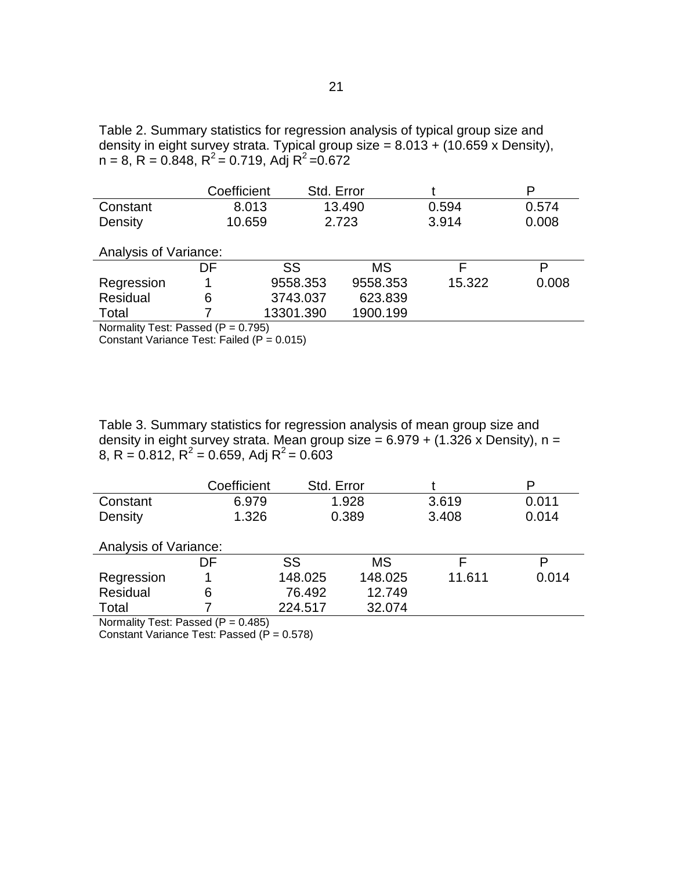<span id="page-30-0"></span>Table 2. Summary statistics for regression analysis of typical group size and density in eight survey strata. Typical group size = 8.013 + (10.659 x Density),  $n = 8$ ,  $R = 0.848$ ,  $R^2 = 0.719$ , Adj  $R^2 = 0.672$ 

|                       | Coefficient | Std. Error |           |        | P     |  |
|-----------------------|-------------|------------|-----------|--------|-------|--|
| Constant              |             | 8.013      | 13.490    | 0.594  | 0.574 |  |
| Density               |             | 10.659     | 2.723     | 3.914  | 0.008 |  |
|                       |             |            |           |        |       |  |
| Analysis of Variance: |             |            |           |        |       |  |
|                       | DF          | SS         | <b>MS</b> |        | P     |  |
| Regression            |             | 9558.353   | 9558.353  | 15.322 | 0.008 |  |
| Residual              | 6           | 3743.037   | 623.839   |        |       |  |
| Total                 |             | 13301.390  | 1900.199  |        |       |  |

Normality Test: Passed  $(P = 0.795)$ 

Constant Variance Test: Failed  $(P = 0.015)$ 

Table 3. Summary statistics for regression analysis of mean group size and density in eight survey strata. Mean group size =  $6.979 + (1.326 \times Density)$ , n = 8, R = 0.812, R<sup>2</sup> = 0.659, Adj R<sup>2</sup> = 0.603

|                       | Coefficient                                                                                                          | Std. Error |         |        | P     |
|-----------------------|----------------------------------------------------------------------------------------------------------------------|------------|---------|--------|-------|
| Constant              | 6.979                                                                                                                |            | 1.928   | 3.619  | 0.011 |
| Density               | 1.326                                                                                                                |            | 0.389   | 3.408  | 0.014 |
|                       |                                                                                                                      |            |         |        |       |
| Analysis of Variance: |                                                                                                                      |            |         |        |       |
|                       | DF.                                                                                                                  | SS         | MS      | F      | P     |
| Regression            |                                                                                                                      | 148.025    | 148.025 | 11.611 | 0.014 |
| Residual              | 6                                                                                                                    | 76.492     | 12.749  |        |       |
| Total                 |                                                                                                                      | 224.517    | 32.074  |        |       |
|                       | $\mathbf{1}$ $\mathbf{1}$ $\mathbf{2}$ $\mathbf{3}$ $\mathbf{3}$ $\mathbf{4}$ $\mathbf{5}$ $\mathbf{5}$ $\mathbf{1}$ |            |         |        |       |

Normality Test: Passed  $(P = 0.485)$ 

Constant Variance Test: Passed  $(P = 0.578)$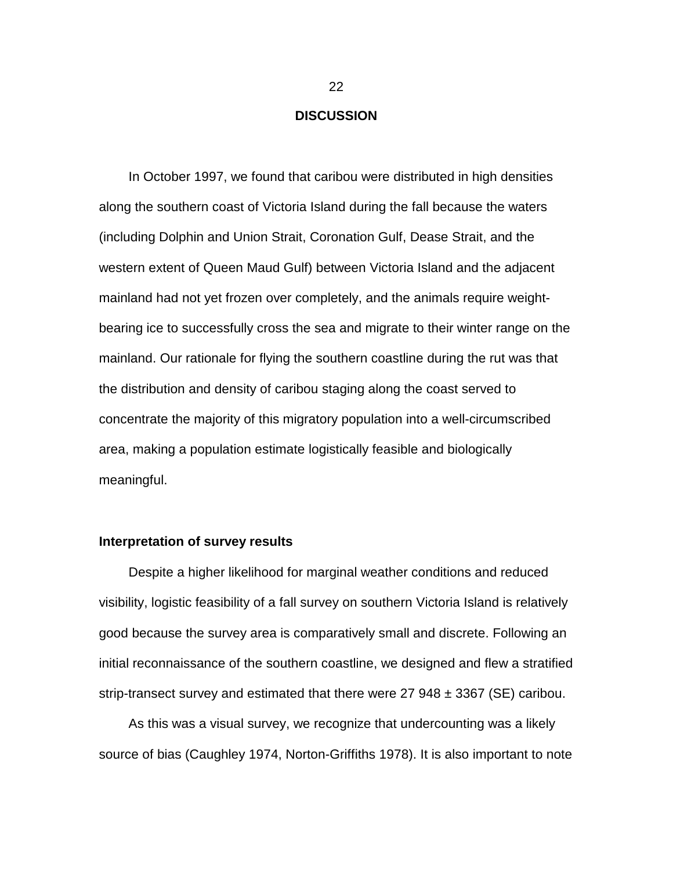### **DISCUSSION**

<span id="page-31-0"></span>In October 1997, we found that caribou were distributed in high densities along the southern coast of Victoria Island during the fall because the waters (including Dolphin and Union Strait, Coronation Gulf, Dease Strait, and the western extent of Queen Maud Gulf) between Victoria Island and the adjacent mainland had not yet frozen over completely, and the animals require weightbearing ice to successfully cross the sea and migrate to their winter range on the mainland. Our rationale for flying the southern coastline during the rut was that the distribution and density of caribou staging along the coast served to concentrate the majority of this migratory population into a well-circumscribed area, making a population estimate logistically feasible and biologically meaningful.

### **Interpretation of survey results**

Despite a higher likelihood for marginal weather conditions and reduced visibility, logistic feasibility of a fall survey on southern Victoria Island is relatively good because the survey area is comparatively small and discrete. Following an initial reconnaissance of the southern coastline, we designed and flew a stratified strip-transect survey and estimated that there were  $27\,948 \pm 3367$  (SE) caribou.

As this was a visual survey, we recognize that undercounting was a likely source of bias (Caughley 1974, Norton-Griffiths 1978). It is also important to note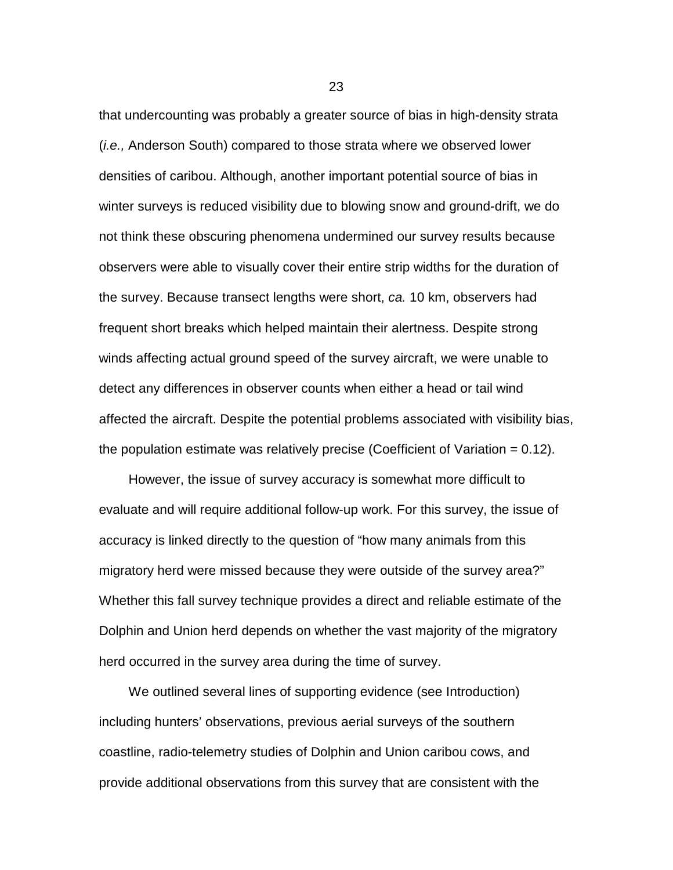that undercounting was probably a greater source of bias in high-density strata (*i.e.,* Anderson South) compared to those strata where we observed lower densities of caribou. Although, another important potential source of bias in winter surveys is reduced visibility due to blowing snow and ground-drift, we do not think these obscuring phenomena undermined our survey results because observers were able to visually cover their entire strip widths for the duration of the survey. Because transect lengths were short, *ca.* 10 km, observers had frequent short breaks which helped maintain their alertness. Despite strong winds affecting actual ground speed of the survey aircraft, we were unable to detect any differences in observer counts when either a head or tail wind affected the aircraft. Despite the potential problems associated with visibility bias, the population estimate was relatively precise (Coefficient of Variation  $= 0.12$ ).

However, the issue of survey accuracy is somewhat more difficult to evaluate and will require additional follow-up work. For this survey, the issue of accuracy is linked directly to the question of "how many animals from this migratory herd were missed because they were outside of the survey area?" Whether this fall survey technique provides a direct and reliable estimate of the Dolphin and Union herd depends on whether the vast majority of the migratory herd occurred in the survey area during the time of survey.

We outlined several lines of supporting evidence (see Introduction) including hunters' observations, previous aerial surveys of the southern coastline, radio-telemetry studies of Dolphin and Union caribou cows, and provide additional observations from this survey that are consistent with the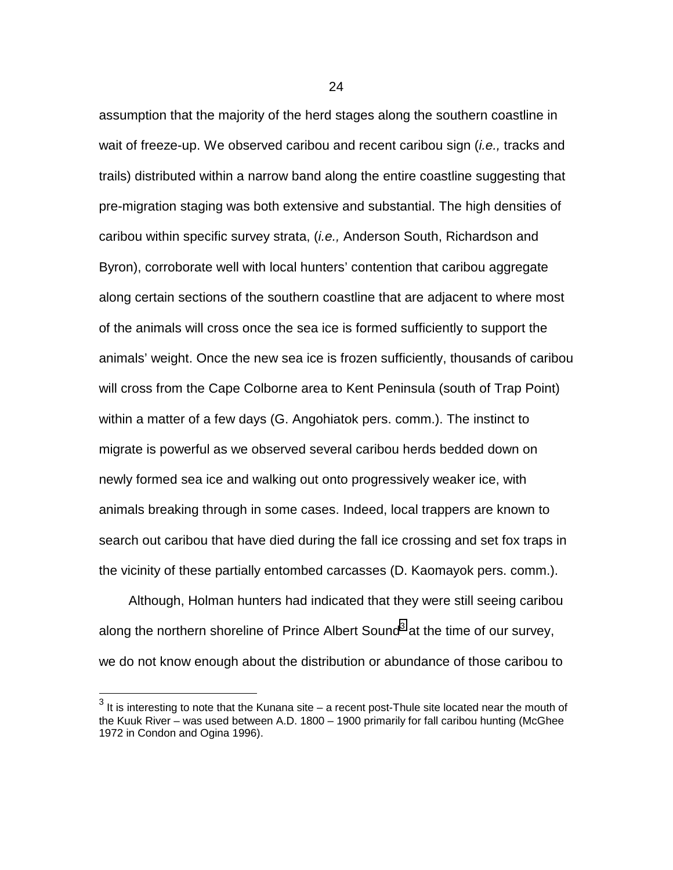assumption that the majority of the herd stages along the southern coastline in wait of freeze-up. We observed caribou and recent caribou sign (*i.e.,* tracks and trails) distributed within a narrow band along the entire coastline suggesting that pre-migration staging was both extensive and substantial. The high densities of caribou within specific survey strata, (*i.e.,* Anderson South, Richardson and Byron), corroborate well with local hunters' contention that caribou aggregate along certain sections of the southern coastline that are adjacent to where most of the animals will cross once the sea ice is formed sufficiently to support the animals' weight. Once the new sea ice is frozen sufficiently, thousands of caribou will cross from the Cape Colborne area to Kent Peninsula (south of Trap Point) within a matter of a few days (G. Angohiatok pers. comm.). The instinct to migrate is powerful as we observed several caribou herds bedded down on newly formed sea ice and walking out onto progressively weaker ice, with animals breaking through in some cases. Indeed, local trappers are known to search out caribou that have died during the fall ice crossing and set fox traps in the vicinity of these partially entombed carcasses (D. Kaomayok pers. comm.).

Although, Holman hunters had indicated that they were still seeing caribou along the northern shoreline of Prince Albert Sound<sup>3</sup> at the time of our survey, we do not know enough about the distribution or abundance of those caribou to

l

 $^3$  It is interesting to note that the Kunana site – a recent post-Thule site located near the mouth of the Kuuk River – was used between A.D. 1800 – 1900 primarily for fall caribou hunting (McGhee 1972 in Condon and Ogina 1996).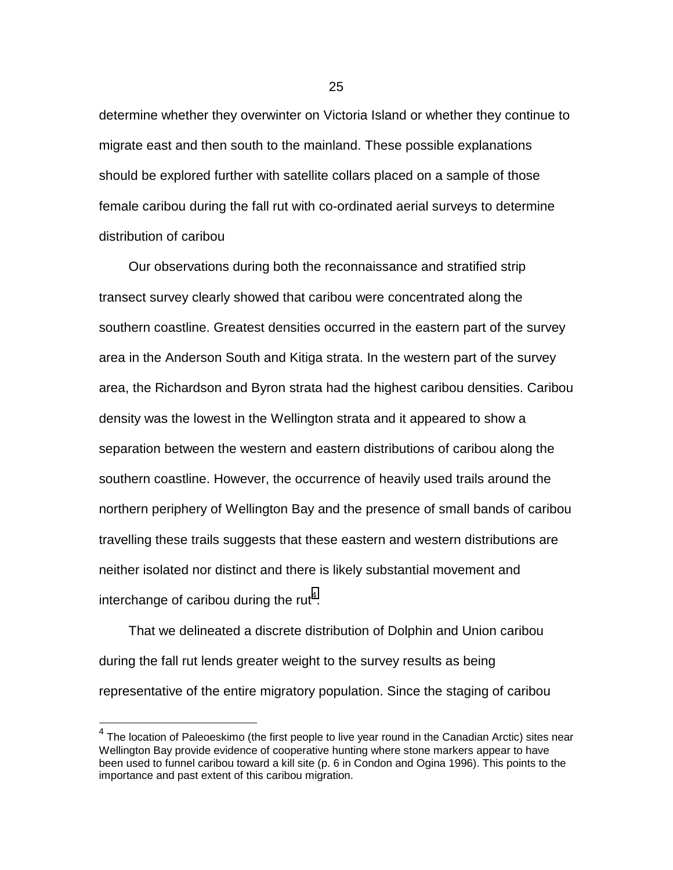determine whether they overwinter on Victoria Island or whether they continue to migrate east and then south to the mainland. These possible explanations should be explored further with satellite collars placed on a sample of those female caribou during the fall rut with co-ordinated aerial surveys to determine distribution of caribou

Our observations during both the reconnaissance and stratified strip transect survey clearly showed that caribou were concentrated along the southern coastline. Greatest densities occurred in the eastern part of the survey area in the Anderson South and Kitiga strata. In the western part of the survey area, the Richardson and Byron strata had the highest caribou densities. Caribou density was the lowest in the Wellington strata and it appeared to show a separation between the western and eastern distributions of caribou along the southern coastline. However, the occurrence of heavily used trails around the northern periphery of Wellington Bay and the presence of small bands of caribou travelling these trails suggests that these eastern and western distributions are neither isolated nor distinct and there is likely substantial movement and interchange of caribou during the rut<sup>4</sup>.

That we delineated a discrete distribution of Dolphin and Union caribou during the fall rut lends greater weight to the survey results as being representative of the entire migratory population. Since the staging of caribou

l

 $^4$  The location of Paleoeskimo (the first people to live year round in the Canadian Arctic) sites near Wellington Bay provide evidence of cooperative hunting where stone markers appear to have been used to funnel caribou toward a kill site (p. 6 in Condon and Ogina 1996). This points to the importance and past extent of this caribou migration.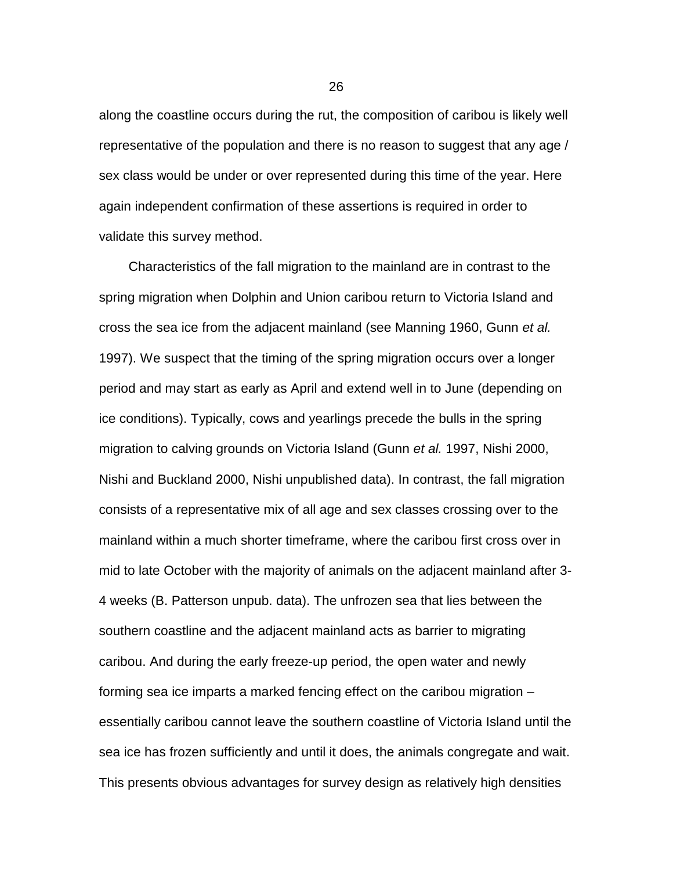along the coastline occurs during the rut, the composition of caribou is likely well representative of the population and there is no reason to suggest that any age / sex class would be under or over represented during this time of the year. Here again independent confirmation of these assertions is required in order to validate this survey method.

Characteristics of the fall migration to the mainland are in contrast to the spring migration when Dolphin and Union caribou return to Victoria Island and cross the sea ice from the adjacent mainland (see Manning 1960, Gunn *et al.* 1997). We suspect that the timing of the spring migration occurs over a longer period and may start as early as April and extend well in to June (depending on ice conditions). Typically, cows and yearlings precede the bulls in the spring migration to calving grounds on Victoria Island (Gunn *et al.* 1997, Nishi 2000, Nishi and Buckland 2000, Nishi unpublished data). In contrast, the fall migration consists of a representative mix of all age and sex classes crossing over to the mainland within a much shorter timeframe, where the caribou first cross over in mid to late October with the majority of animals on the adjacent mainland after 3- 4 weeks (B. Patterson unpub. data). The unfrozen sea that lies between the southern coastline and the adjacent mainland acts as barrier to migrating caribou. And during the early freeze-up period, the open water and newly forming sea ice imparts a marked fencing effect on the caribou migration – essentially caribou cannot leave the southern coastline of Victoria Island until the sea ice has frozen sufficiently and until it does, the animals congregate and wait. This presents obvious advantages for survey design as relatively high densities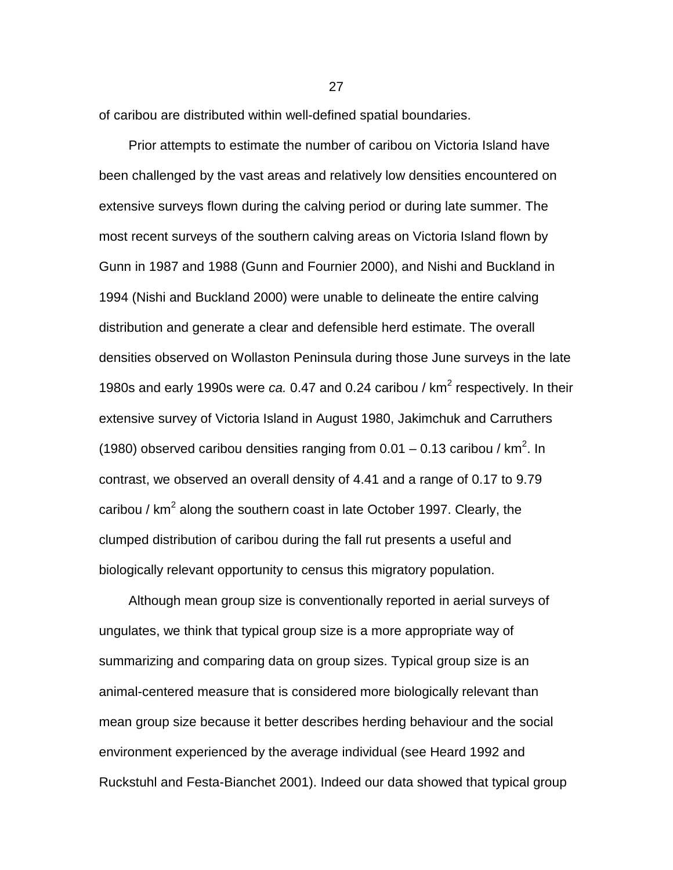of caribou are distributed within well-defined spatial boundaries.

Prior attempts to estimate the number of caribou on Victoria Island have been challenged by the vast areas and relatively low densities encountered on extensive surveys flown during the calving period or during late summer. The most recent surveys of the southern calving areas on Victoria Island flown by Gunn in 1987 and 1988 (Gunn and Fournier 2000), and Nishi and Buckland in 1994 (Nishi and Buckland 2000) were unable to delineate the entire calving distribution and generate a clear and defensible herd estimate. The overall densities observed on Wollaston Peninsula during those June surveys in the late 1980s and early 1990s were *ca.* 0.47 and 0.24 caribou / km<sup>2</sup> respectively. In their extensive survey of Victoria Island in August 1980, Jakimchuk and Carruthers (1980) observed caribou densities ranging from 0.01 – 0.13 caribou /  $km^2$ . In contrast, we observed an overall density of 4.41 and a range of 0.17 to 9.79 caribou / km<sup>2</sup> along the southern coast in late October 1997. Clearly, the clumped distribution of caribou during the fall rut presents a useful and biologically relevant opportunity to census this migratory population.

Although mean group size is conventionally reported in aerial surveys of ungulates, we think that typical group size is a more appropriate way of summarizing and comparing data on group sizes. Typical group size is an animal-centered measure that is considered more biologically relevant than mean group size because it better describes herding behaviour and the social environment experienced by the average individual (see Heard 1992 and Ruckstuhl and Festa-Bianchet 2001). Indeed our data showed that typical group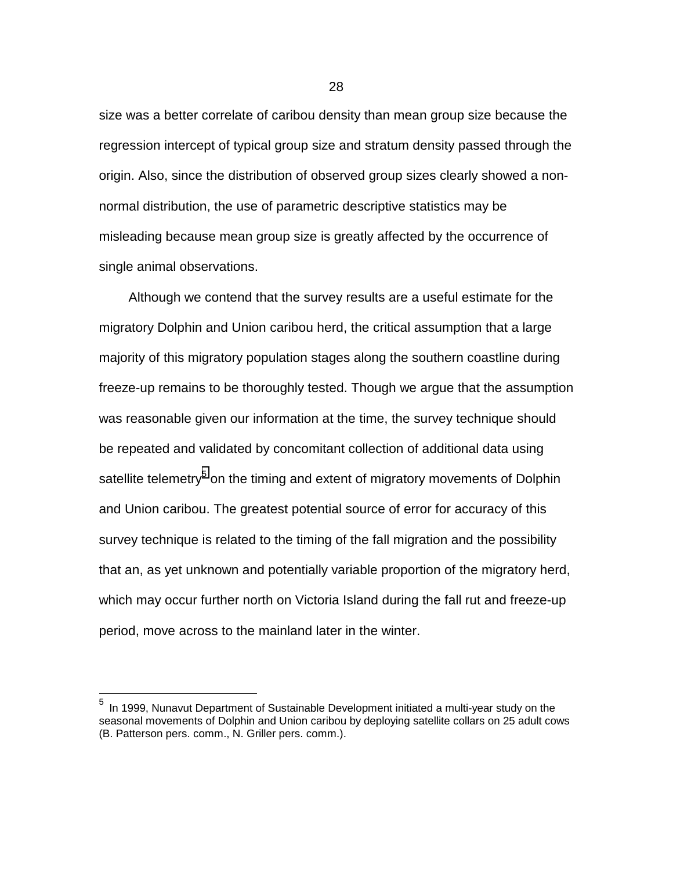size was a better correlate of caribou density than mean group size because the regression intercept of typical group size and stratum density passed through the origin. Also, since the distribution of observed group sizes clearly showed a nonnormal distribution, the use of parametric descriptive statistics may be misleading because mean group size is greatly affected by the occurrence of single animal observations.

Although we contend that the survey results are a useful estimate for the migratory Dolphin and Union caribou herd, the critical assumption that a large majority of this migratory population stages along the southern coastline during freeze-up remains to be thoroughly tested. Though we argue that the assumption was reasonable given our information at the time, the survey technique should be repeated and validated by concomitant collection of additional data using satellite telemetry<sup>5</sup> on the timing and extent of migratory movements of Dolphin and Union caribou. The greatest potential source of error for accuracy of this survey technique is related to the timing of the fall migration and the possibility that an, as yet unknown and potentially variable proportion of the migratory herd, which may occur further north on Victoria Island during the fall rut and freeze-up period, move across to the mainland later in the winter.

l

In 1999, Nunavut Department of Sustainable Development initiated a multi-year study on the seasonal movements of Dolphin and Union caribou by deploying satellite collars on 25 adult cows (B. Patterson pers. comm., N. Griller pers. comm.).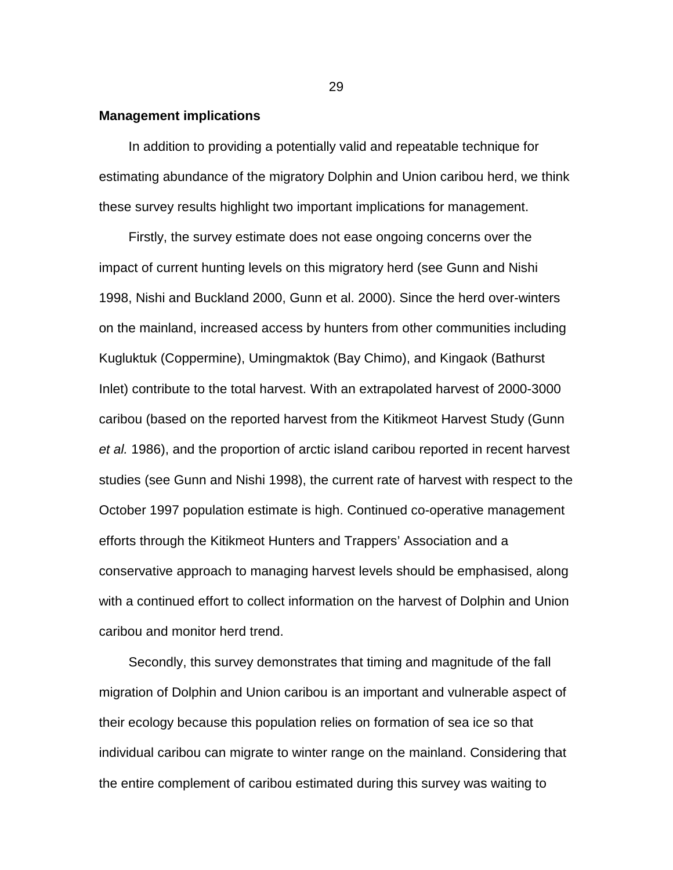#### **Management implications**

In addition to providing a potentially valid and repeatable technique for estimating abundance of the migratory Dolphin and Union caribou herd, we think these survey results highlight two important implications for management.

Firstly, the survey estimate does not ease ongoing concerns over the impact of current hunting levels on this migratory herd (see Gunn and Nishi 1998, Nishi and Buckland 2000, Gunn et al. 2000). Since the herd over-winters on the mainland, increased access by hunters from other communities including Kugluktuk (Coppermine), Umingmaktok (Bay Chimo), and Kingaok (Bathurst Inlet) contribute to the total harvest. With an extrapolated harvest of 2000-3000 caribou (based on the reported harvest from the Kitikmeot Harvest Study (Gunn *et al.* 1986), and the proportion of arctic island caribou reported in recent harvest studies (see Gunn and Nishi 1998), the current rate of harvest with respect to the October 1997 population estimate is high. Continued co-operative management efforts through the Kitikmeot Hunters and Trappers' Association and a conservative approach to managing harvest levels should be emphasised, along with a continued effort to collect information on the harvest of Dolphin and Union caribou and monitor herd trend.

Secondly, this survey demonstrates that timing and magnitude of the fall migration of Dolphin and Union caribou is an important and vulnerable aspect of their ecology because this population relies on formation of sea ice so that individual caribou can migrate to winter range on the mainland. Considering that the entire complement of caribou estimated during this survey was waiting to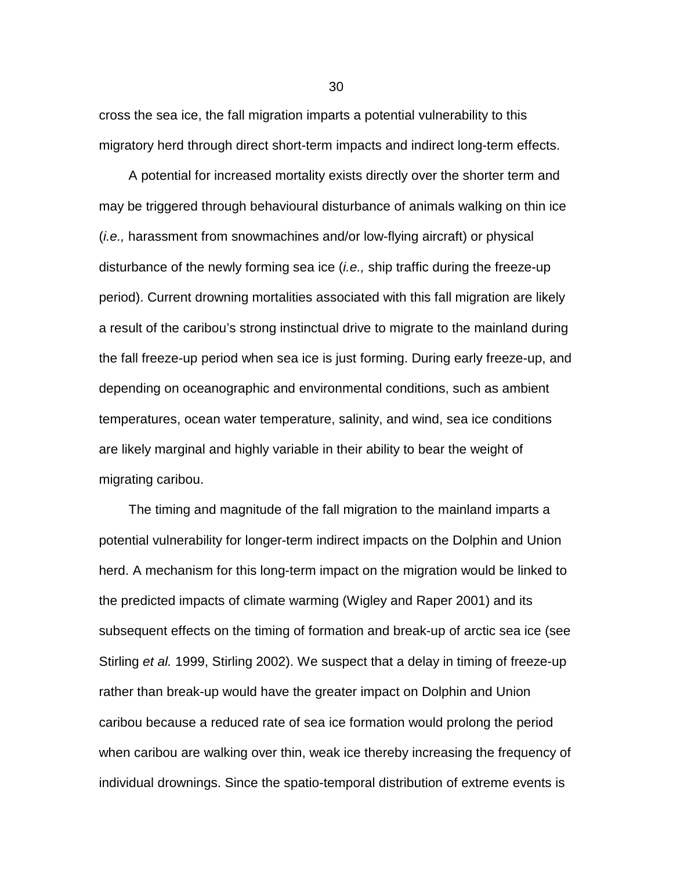cross the sea ice, the fall migration imparts a potential vulnerability to this migratory herd through direct short-term impacts and indirect long-term effects.

A potential for increased mortality exists directly over the shorter term and may be triggered through behavioural disturbance of animals walking on thin ice (*i.e.,* harassment from snowmachines and/or low-flying aircraft) or physical disturbance of the newly forming sea ice (*i.e.,* ship traffic during the freeze-up period). Current drowning mortalities associated with this fall migration are likely a result of the caribou's strong instinctual drive to migrate to the mainland during the fall freeze-up period when sea ice is just forming. During early freeze-up, and depending on oceanographic and environmental conditions, such as ambient temperatures, ocean water temperature, salinity, and wind, sea ice conditions are likely marginal and highly variable in their ability to bear the weight of migrating caribou.

The timing and magnitude of the fall migration to the mainland imparts a potential vulnerability for longer-term indirect impacts on the Dolphin and Union herd. A mechanism for this long-term impact on the migration would be linked to the predicted impacts of climate warming (Wigley and Raper 2001) and its subsequent effects on the timing of formation and break-up of arctic sea ice (see Stirling *et al.* 1999, Stirling 2002). We suspect that a delay in timing of freeze-up rather than break-up would have the greater impact on Dolphin and Union caribou because a reduced rate of sea ice formation would prolong the period when caribou are walking over thin, weak ice thereby increasing the frequency of individual drownings. Since the spatio-temporal distribution of extreme events is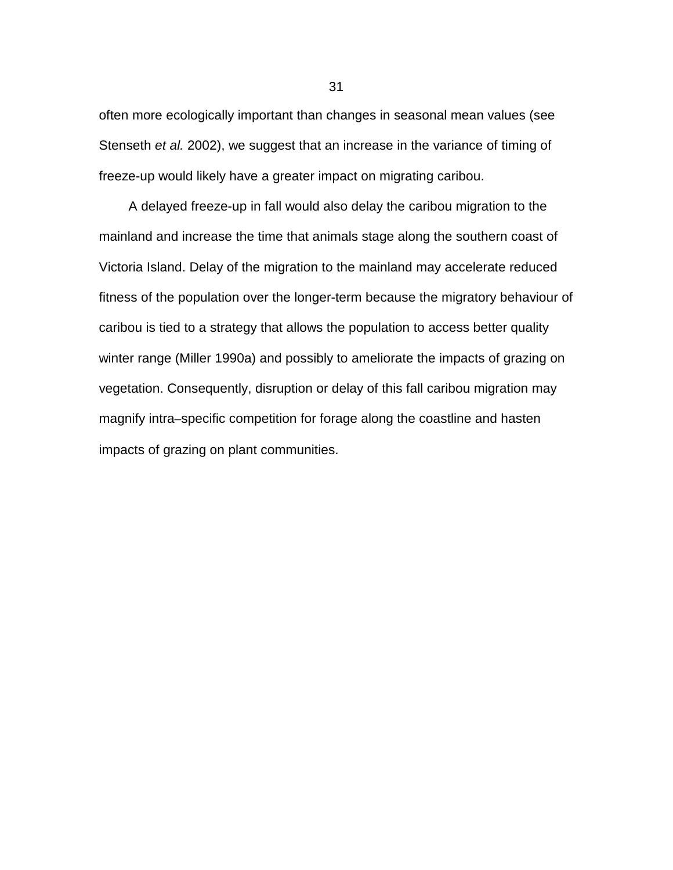often more ecologically important than changes in seasonal mean values (see Stenseth *et al.* 2002), we suggest that an increase in the variance of timing of freeze-up would likely have a greater impact on migrating caribou.

A delayed freeze-up in fall would also delay the caribou migration to the mainland and increase the time that animals stage along the southern coast of Victoria Island. Delay of the migration to the mainland may accelerate reduced fitness of the population over the longer-term because the migratory behaviour of caribou is tied to a strategy that allows the population to access better quality winter range (Miller 1990a) and possibly to ameliorate the impacts of grazing on vegetation. Consequently, disruption or delay of this fall caribou migration may magnify intra–specific competition for forage along the coastline and hasten impacts of grazing on plant communities.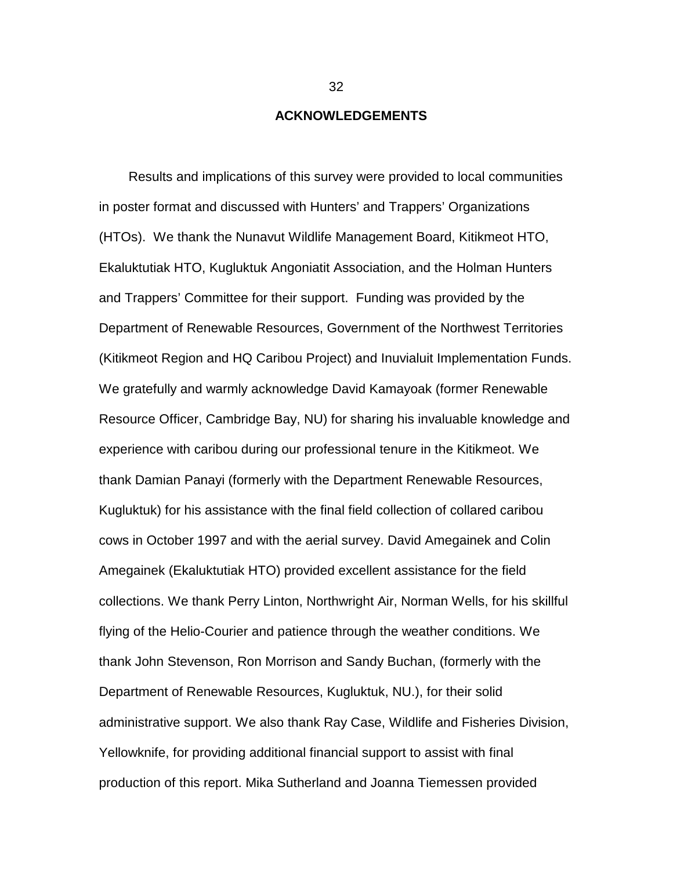#### **ACKNOWLEDGEMENTS**

<span id="page-41-0"></span>Results and implications of this survey were provided to local communities in poster format and discussed with Hunters' and Trappers' Organizations (HTOs). We thank the Nunavut Wildlife Management Board, Kitikmeot HTO, Ekaluktutiak HTO, Kugluktuk Angoniatit Association, and the Holman Hunters and Trappers' Committee for their support. Funding was provided by the Department of Renewable Resources, Government of the Northwest Territories (Kitikmeot Region and HQ Caribou Project) and Inuvialuit Implementation Funds. We gratefully and warmly acknowledge David Kamayoak (former Renewable Resource Officer, Cambridge Bay, NU) for sharing his invaluable knowledge and experience with caribou during our professional tenure in the Kitikmeot. We thank Damian Panayi (formerly with the Department Renewable Resources, Kugluktuk) for his assistance with the final field collection of collared caribou cows in October 1997 and with the aerial survey. David Amegainek and Colin Amegainek (Ekaluktutiak HTO) provided excellent assistance for the field collections. We thank Perry Linton, Northwright Air, Norman Wells, for his skillful flying of the Helio-Courier and patience through the weather conditions. We thank John Stevenson, Ron Morrison and Sandy Buchan, (formerly with the Department of Renewable Resources, Kugluktuk, NU.), for their solid administrative support. We also thank Ray Case, Wildlife and Fisheries Division, Yellowknife, for providing additional financial support to assist with final production of this report. Mika Sutherland and Joanna Tiemessen provided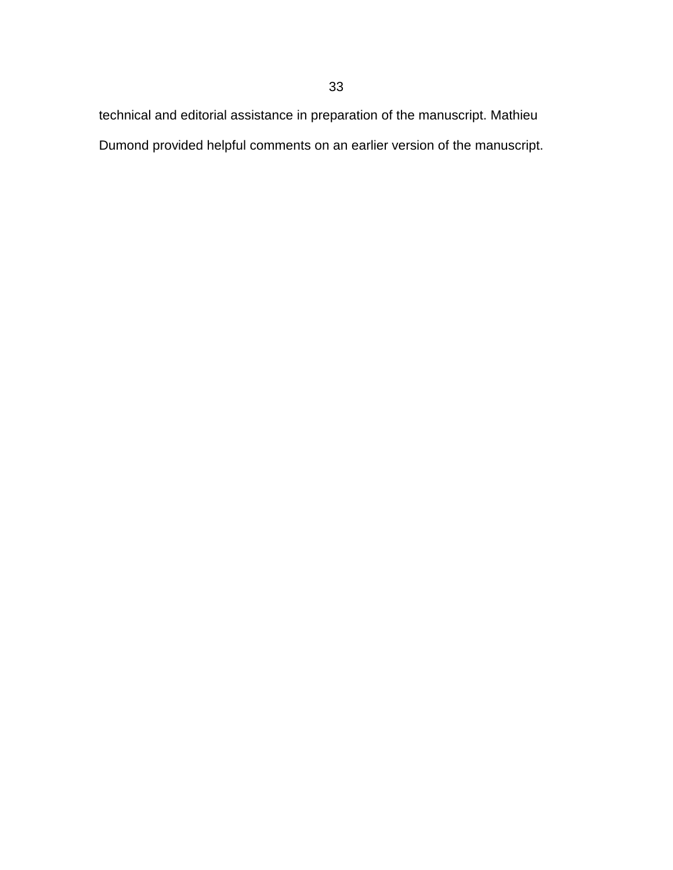technical and editorial assistance in preparation of the manuscript. Mathieu Dumond provided helpful comments on an earlier version of the manuscript.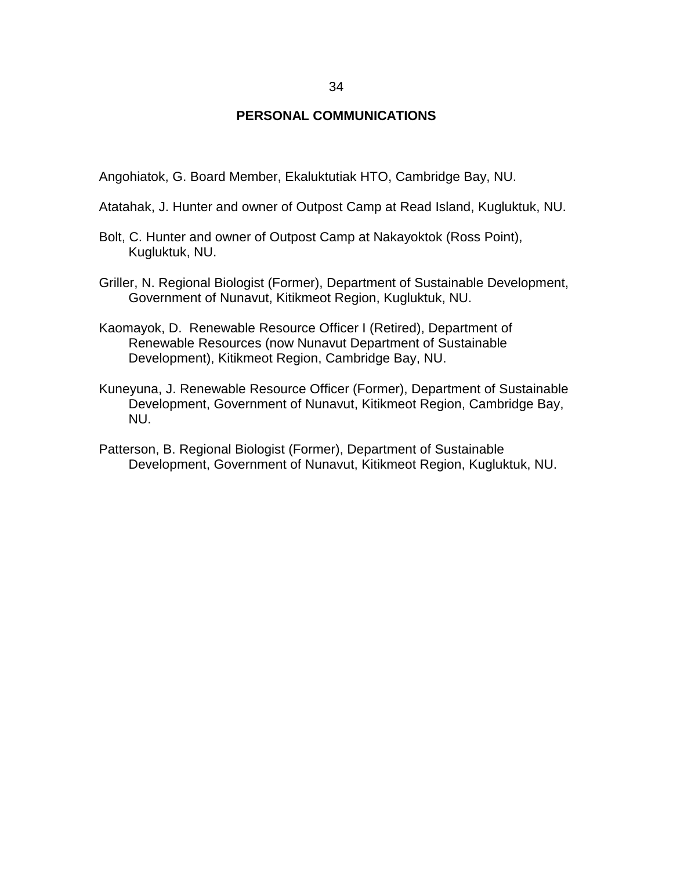### **PERSONAL COMMUNICATIONS**

<span id="page-43-0"></span>Angohiatok, G. Board Member, Ekaluktutiak HTO, Cambridge Bay, NU.

- Atatahak, J. Hunter and owner of Outpost Camp at Read Island, Kugluktuk, NU.
- Bolt, C. Hunter and owner of Outpost Camp at Nakayoktok (Ross Point), Kugluktuk, NU.
- Griller, N. Regional Biologist (Former), Department of Sustainable Development, Government of Nunavut, Kitikmeot Region, Kugluktuk, NU.
- Kaomayok, D. Renewable Resource Officer I (Retired), Department of Renewable Resources (now Nunavut Department of Sustainable Development), Kitikmeot Region, Cambridge Bay, NU.
- Kuneyuna, J. Renewable Resource Officer (Former), Department of Sustainable Development, Government of Nunavut, Kitikmeot Region, Cambridge Bay, NU.
- Patterson, B. Regional Biologist (Former), Department of Sustainable Development, Government of Nunavut, Kitikmeot Region, Kugluktuk, NU.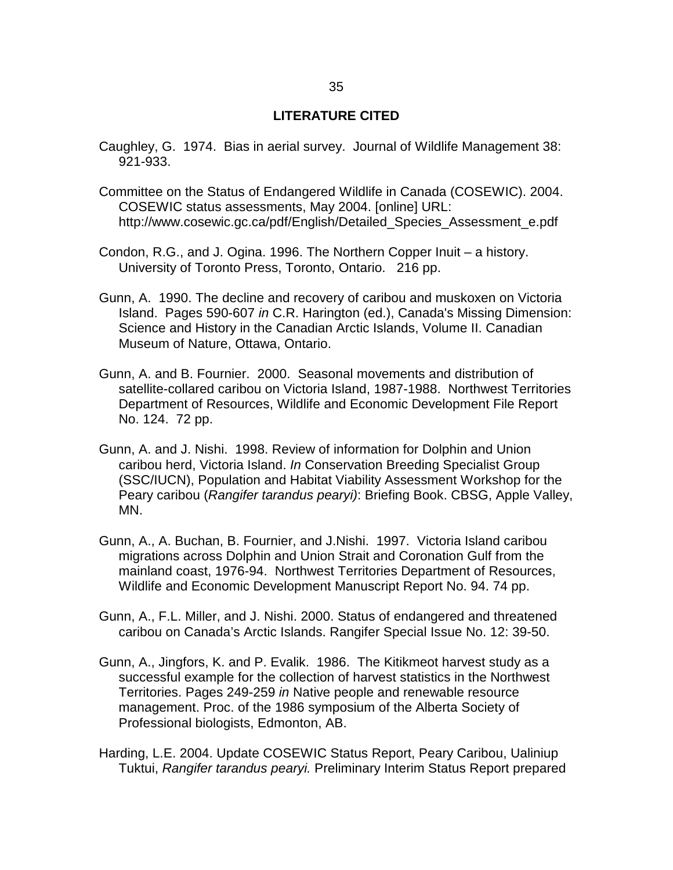### **LITERATURE CITED**

- <span id="page-44-0"></span>Caughley, G. 1974. Bias in aerial survey. Journal of Wildlife Management 38: 921-933.
- Committee on the Status of Endangered Wildlife in Canada (COSEWIC). 2004. COSEWIC status assessments, May 2004. [online] URL: http://www.cosewic.gc.ca/pdf/English/Detailed Species Assessment e.pdf
- Condon, R.G., and J. Ogina. 1996. The Northern Copper Inuit a history. University of Toronto Press, Toronto, Ontario. 216 pp.
- Gunn, A. 1990. The decline and recovery of caribou and muskoxen on Victoria Island. Pages 590-607 *in* C.R. Harington (ed.), Canada's Missing Dimension: Science and History in the Canadian Arctic Islands, Volume II. Canadian Museum of Nature, Ottawa, Ontario.
- Gunn, A. and B. Fournier. 2000. Seasonal movements and distribution of satellite-collared caribou on Victoria Island, 1987-1988. Northwest Territories Department of Resources, Wildlife and Economic Development File Report No. 124. 72 pp.
- Gunn, A. and J. Nishi. 1998. Review of information for Dolphin and Union caribou herd, Victoria Island. *In* Conservation Breeding Specialist Group (SSC/IUCN), Population and Habitat Viability Assessment Workshop for the Peary caribou (*Rangifer tarandus pearyi)*: Briefing Book. CBSG, Apple Valley, MN.
- Gunn, A., A. Buchan, B. Fournier, and J.Nishi. 1997. Victoria Island caribou migrations across Dolphin and Union Strait and Coronation Gulf from the mainland coast, 1976-94. Northwest Territories Department of Resources, Wildlife and Economic Development Manuscript Report No. 94. 74 pp.
- Gunn, A., F.L. Miller, and J. Nishi. 2000. Status of endangered and threatened caribou on Canada's Arctic Islands. Rangifer Special Issue No. 12: 39-50.
- Gunn, A., Jingfors, K. and P. Evalik. 1986. The Kitikmeot harvest study as a successful example for the collection of harvest statistics in the Northwest Territories. Pages 249-259 *in* Native people and renewable resource management. Proc. of the 1986 symposium of the Alberta Society of Professional biologists, Edmonton, AB.
- Harding, L.E. 2004. Update COSEWIC Status Report, Peary Caribou, Ualiniup Tuktui, *Rangifer tarandus pearyi.* Preliminary Interim Status Report prepared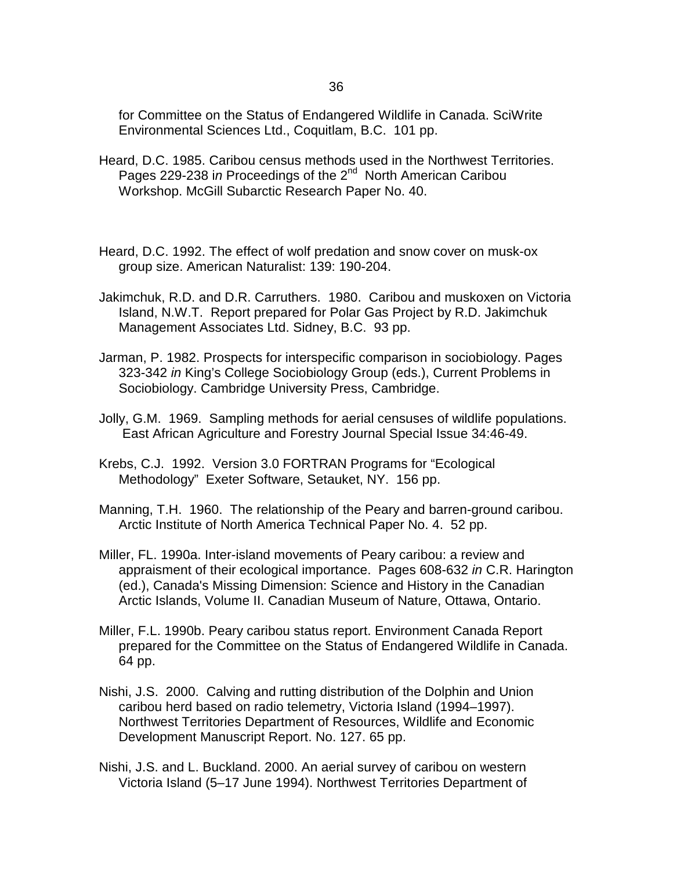36

for Committee on the Status of Endangered Wildlife in Canada. SciWrite Environmental Sciences Ltd., Coquitlam, B.C. 101 pp.

- Heard, D.C. 1985. Caribou census methods used in the Northwest Territories. Pages 229-238 in Proceedings of the 2<sup>nd</sup> North American Caribou Workshop. McGill Subarctic Research Paper No. 40.
- Heard, D.C. 1992. The effect of wolf predation and snow cover on musk-ox group size. American Naturalist: 139: 190-204.
- Jakimchuk, R.D. and D.R. Carruthers. 1980. Caribou and muskoxen on Victoria Island, N.W.T. Report prepared for Polar Gas Project by R.D. Jakimchuk Management Associates Ltd. Sidney, B.C. 93 pp.
- Jarman, P. 1982. Prospects for interspecific comparison in sociobiology. Pages 323-342 *in* King's College Sociobiology Group (eds.), Current Problems in Sociobiology. Cambridge University Press, Cambridge.
- Jolly, G.M. 1969. Sampling methods for aerial censuses of wildlife populations. East African Agriculture and Forestry Journal Special Issue 34:46-49.
- Krebs, C.J. 1992. Version 3.0 FORTRAN Programs for "Ecological Methodology" Exeter Software, Setauket, NY. 156 pp.
- Manning, T.H. 1960. The relationship of the Peary and barren-ground caribou. Arctic Institute of North America Technical Paper No. 4. 52 pp.
- Miller, FL. 1990a. Inter-island movements of Peary caribou: a review and appraisment of their ecological importance. Pages 608-632 *in* C.R. Harington (ed.), Canada's Missing Dimension: Science and History in the Canadian Arctic Islands, Volume II. Canadian Museum of Nature, Ottawa, Ontario.
- Miller, F.L. 1990b. Peary caribou status report. Environment Canada Report prepared for the Committee on the Status of Endangered Wildlife in Canada. 64 pp.
- Nishi, J.S. 2000. Calving and rutting distribution of the Dolphin and Union caribou herd based on radio telemetry, Victoria Island (1994–1997). Northwest Territories Department of Resources, Wildlife and Economic Development Manuscript Report. No. 127. 65 pp.
- Nishi, J.S. and L. Buckland. 2000. An aerial survey of caribou on western Victoria Island (5–17 June 1994). Northwest Territories Department of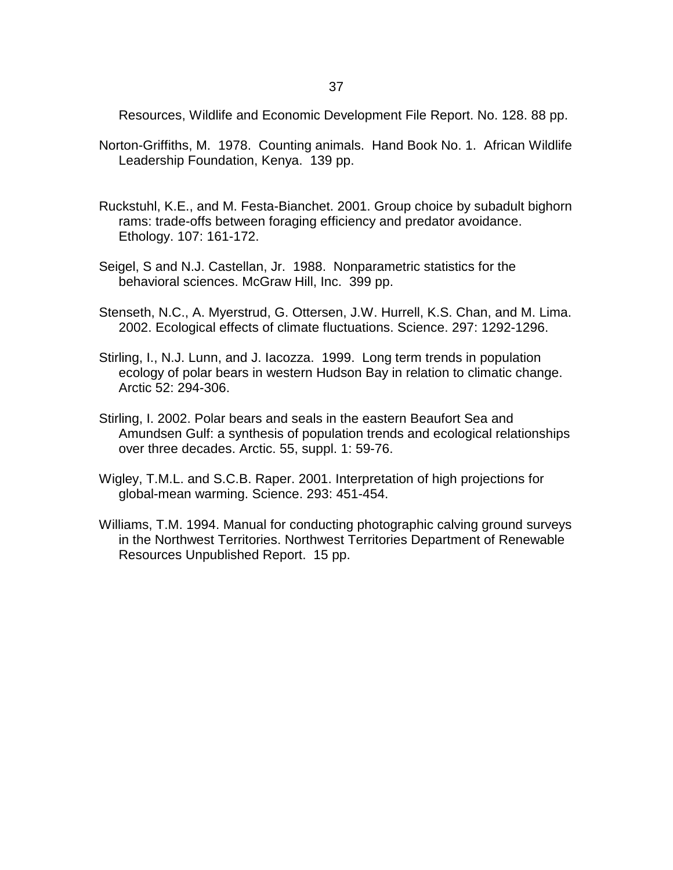Resources, Wildlife and Economic Development File Report. No. 128. 88 pp.

- Norton-Griffiths, M. 1978. Counting animals. Hand Book No. 1. African Wildlife Leadership Foundation, Kenya. 139 pp.
- Ruckstuhl, K.E., and M. Festa-Bianchet. 2001. Group choice by subadult bighorn rams: trade-offs between foraging efficiency and predator avoidance. Ethology. 107: 161-172.
- Seigel, S and N.J. Castellan, Jr. 1988. Nonparametric statistics for the behavioral sciences. McGraw Hill, Inc. 399 pp.
- Stenseth, N.C., A. Myerstrud, G. Ottersen, J.W. Hurrell, K.S. Chan, and M. Lima. 2002. Ecological effects of climate fluctuations. Science. 297: 1292-1296.
- Stirling, I., N.J. Lunn, and J. Iacozza. 1999. Long term trends in population ecology of polar bears in western Hudson Bay in relation to climatic change. Arctic 52: 294-306.
- Stirling, I. 2002. Polar bears and seals in the eastern Beaufort Sea and Amundsen Gulf: a synthesis of population trends and ecological relationships over three decades. Arctic. 55, suppl. 1: 59-76.
- Wigley, T.M.L. and S.C.B. Raper. 2001. Interpretation of high projections for global-mean warming. Science. 293: 451-454.
- Williams, T.M. 1994. Manual for conducting photographic calving ground surveys in the Northwest Territories. Northwest Territories Department of Renewable Resources Unpublished Report. 15 pp.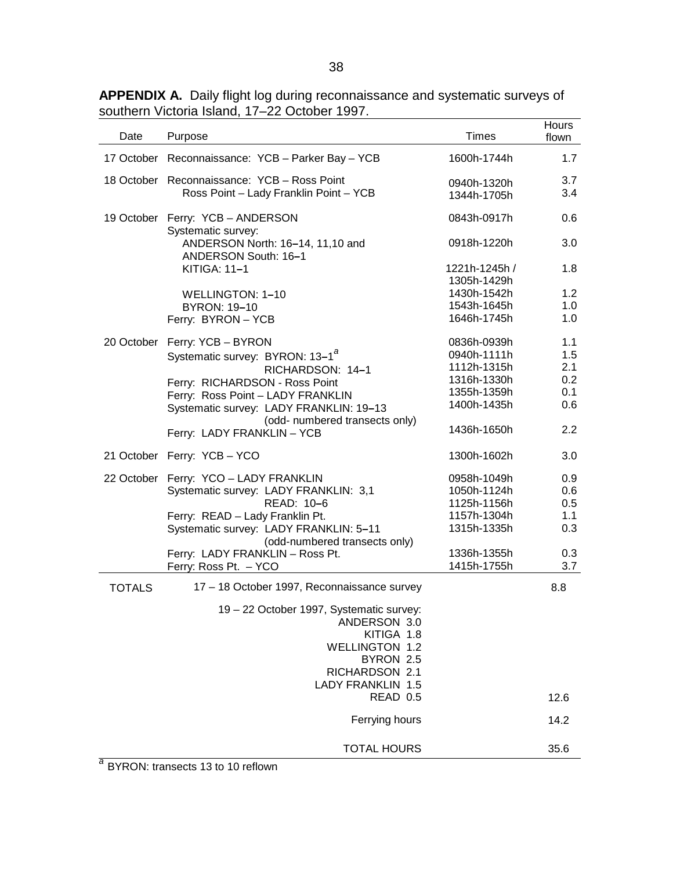<span id="page-47-0"></span>

|               |                                                                         |               | Hours |
|---------------|-------------------------------------------------------------------------|---------------|-------|
| Date          | Purpose                                                                 | <b>Times</b>  | flown |
|               | 17 October Reconnaissance: YCB - Parker Bay - YCB                       | 1600h-1744h   | 1.7   |
|               | 18 October Reconnaissance: YCB - Ross Point                             | 0940h-1320h   | 3.7   |
|               | Ross Point - Lady Franklin Point - YCB                                  | 1344h-1705h   | 3.4   |
|               |                                                                         |               |       |
|               | 19 October Ferry: YCB - ANDERSON<br>Systematic survey:                  | 0843h-0917h   | 0.6   |
|               | ANDERSON North: 16-14, 11,10 and<br>ANDERSON South: 16-1                | 0918h-1220h   | 3.0   |
|               | KITIGA: 11-1                                                            | 1221h-1245h / | 1.8   |
|               |                                                                         | 1305h-1429h   |       |
|               | WELLINGTON: 1-10                                                        | 1430h-1542h   | 1.2   |
|               | <b>BYRON: 19-10</b>                                                     | 1543h-1645h   | 1.0   |
|               | Ferry: BYRON - YCB                                                      | 1646h-1745h   | 1.0   |
|               | 20 October Ferry: YCB - BYRON                                           | 0836h-0939h   | 1.1   |
|               | Systematic survey: BYRON: 13-1 <sup>a</sup>                             | 0940h-1111h   | 1.5   |
|               | RICHARDSON: 14-1                                                        | 1112h-1315h   | 2.1   |
|               | Ferry: RICHARDSON - Ross Point                                          | 1316h-1330h   | 0.2   |
|               | Ferry: Ross Point - LADY FRANKLIN                                       | 1355h-1359h   | 0.1   |
|               | Systematic survey: LADY FRANKLIN: 19-13                                 | 1400h-1435h   | 0.6   |
|               | (odd- numbered transects only)<br>Ferry: LADY FRANKLIN - YCB            | 1436h-1650h   | 2.2   |
|               | 21 October Ferry: YCB - YCO                                             | 1300h-1602h   | 3.0   |
|               | 22 October Ferry: YCO - LADY FRANKLIN                                   | 0958h-1049h   | 0.9   |
|               | Systematic survey: LADY FRANKLIN: 3,1                                   | 1050h-1124h   | 0.6   |
|               | READ: 10-6                                                              | 1125h-1156h   | 0.5   |
|               | Ferry: READ - Lady Franklin Pt.                                         | 1157h-1304h   | 1.1   |
|               | Systematic survey: LADY FRANKLIN: 5-11<br>(odd-numbered transects only) | 1315h-1335h   | 0.3   |
|               | Ferry: LADY FRANKLIN - Ross Pt.                                         | 1336h-1355h   | 0.3   |
|               | Ferry: Ross Pt. - YCO                                                   | 1415h-1755h   | 3.7   |
| <b>TOTALS</b> | 17 - 18 October 1997, Reconnaissance survey                             |               | 8.8   |
|               | 19 - 22 October 1997, Systematic survey:                                |               |       |
|               | ANDERSON 3.0                                                            |               |       |
|               | KITIGA 1.8                                                              |               |       |
|               | <b>WELLINGTON 1.2</b>                                                   |               |       |
|               | BYRON 2.5                                                               |               |       |
|               | RICHARDSON 2.1                                                          |               |       |
|               | <b>LADY FRANKLIN 1.5</b>                                                |               |       |
|               | READ 0.5                                                                |               | 12.6  |
|               | Ferrying hours                                                          |               | 14.2  |
|               | <b>TOTAL HOURS</b>                                                      |               | 35.6  |
|               |                                                                         |               |       |

*<sup>a</sup>* BYRON: transects 13 to 10 reflown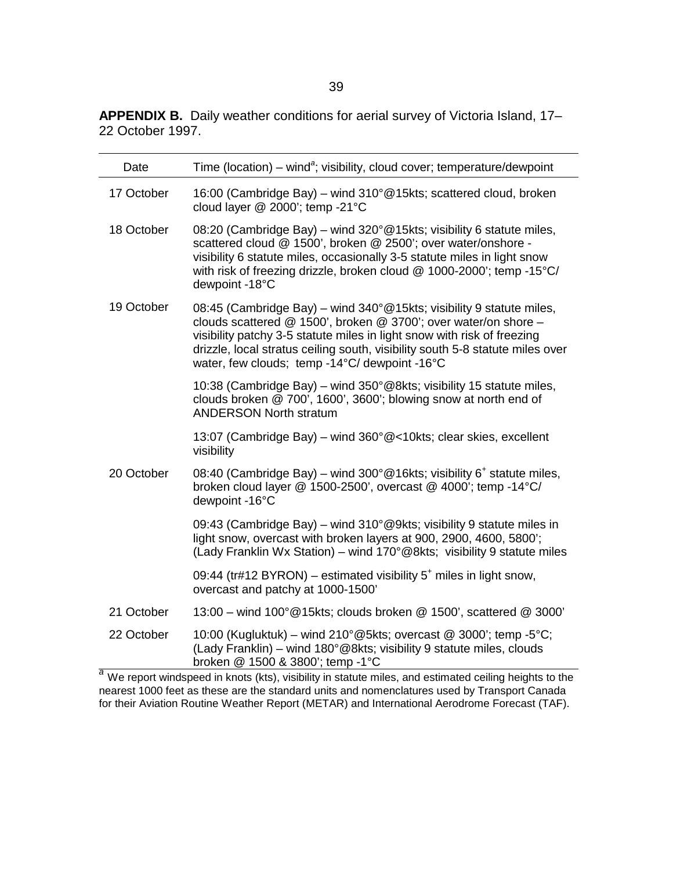<span id="page-48-0"></span>**APPENDIX B.** Daily weather conditions for aerial survey of Victoria Island, 17– 22 October 1997.

| Date       | Time (location) – wind <sup>a</sup> ; visibility, cloud cover; temperature/dewpoint                                                                                                                                                                                                                                                                   |
|------------|-------------------------------------------------------------------------------------------------------------------------------------------------------------------------------------------------------------------------------------------------------------------------------------------------------------------------------------------------------|
| 17 October | 16:00 (Cambridge Bay) – wind 310° @15kts; scattered cloud, broken<br>cloud layer @ 2000'; temp -21°C                                                                                                                                                                                                                                                  |
| 18 October | 08:20 (Cambridge Bay) – wind 320°@15kts; visibility 6 statute miles,<br>scattered cloud @ 1500', broken @ 2500'; over water/onshore -<br>visibility 6 statute miles, occasionally 3-5 statute miles in light snow<br>with risk of freezing drizzle, broken cloud @ 1000-2000'; temp -15°C/<br>dewpoint -18°C                                          |
| 19 October | 08:45 (Cambridge Bay) – wind 340° @15kts; visibility 9 statute miles,<br>clouds scattered @ 1500', broken @ 3700'; over water/on shore -<br>visibility patchy 3-5 statute miles in light snow with risk of freezing<br>drizzle, local stratus ceiling south, visibility south 5-8 statute miles over<br>water, few clouds; temp -14°C/ dewpoint -16°C |
|            | 10:38 (Cambridge Bay) – wind 350°@8kts; visibility 15 statute miles,<br>clouds broken @ 700', 1600', 3600'; blowing snow at north end of<br><b>ANDERSON North stratum</b>                                                                                                                                                                             |
|            | 13:07 (Cambridge Bay) – wind 360° @<10kts; clear skies, excellent<br>visibility                                                                                                                                                                                                                                                                       |
| 20 October | 08:40 (Cambridge Bay) – wind 300°@16kts; visibility 6 <sup>+</sup> statute miles,<br>broken cloud layer $@$ 1500-2500', overcast $@$ 4000'; temp -14 $°C/$<br>dewpoint -16°C                                                                                                                                                                          |
|            | 09:43 (Cambridge Bay) – wind 310°@9kts; visibility 9 statute miles in<br>light snow, overcast with broken layers at 900, 2900, 4600, 5800';<br>(Lady Franklin Wx Station) – wind 170°@8kts; visibility 9 statute miles                                                                                                                                |
|            | 09:44 (tr#12 BYRON) – estimated visibility $5+$ miles in light snow,<br>overcast and patchy at 1000-1500'                                                                                                                                                                                                                                             |
| 21 October | 13:00 – wind 100° @15kts; clouds broken @ 1500', scattered @ 3000'                                                                                                                                                                                                                                                                                    |
| 22 October | 10:00 (Kugluktuk) – wind 210 $^{\circ}$ @5kts; overcast @ 3000'; temp -5 $^{\circ}$ C;<br>(Lady Franklin) – wind 180°@8kts; visibility 9 statute miles, clouds<br>broken @ 1500 & 3800'; temp -1°C                                                                                                                                                    |

broken @ 1500 & 3800'; temp -1°C<br><sup>a</sup> We report windspeed in knots (kts), visibility in statute miles, and estimated ceiling heights to the nearest 1000 feet as these are the standard units and nomenclatures used by Transport Canada for their Aviation Routine Weather Report (METAR) and International Aerodrome Forecast (TAF).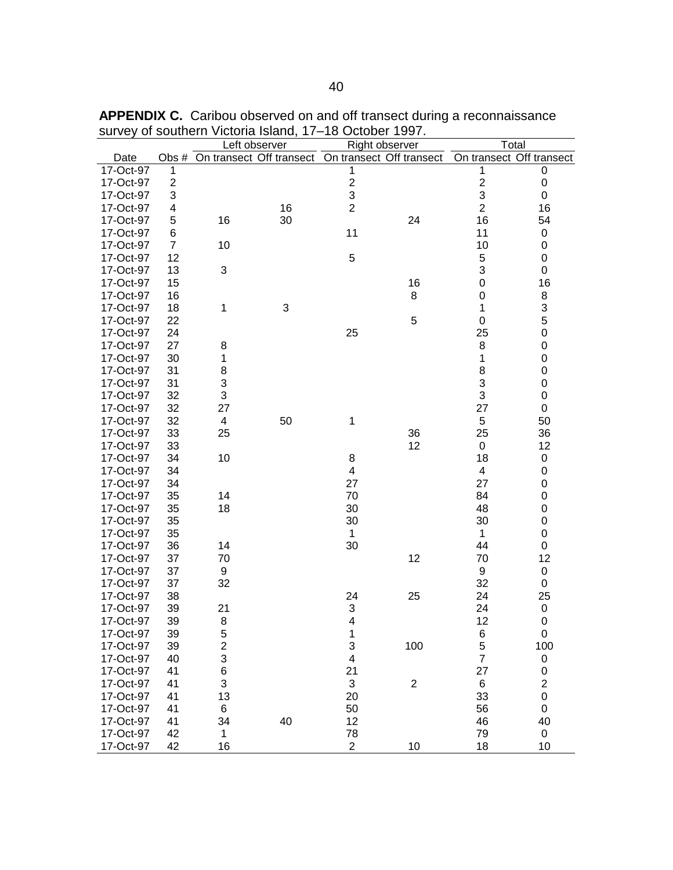|           |                  |                           | Left observer                  | Right observer            |                |                         | Total                    |
|-----------|------------------|---------------------------|--------------------------------|---------------------------|----------------|-------------------------|--------------------------|
| Date      |                  |                           | Obs # On transect Off transect | On transect Off transect  |                |                         | On transect Off transect |
| 17-Oct-97 | 1                |                           |                                | 1                         |                | 1                       | 0                        |
| 17-Oct-97 | $\boldsymbol{2}$ |                           |                                | $\overline{\mathbf{c}}$   |                | $\overline{\mathbf{c}}$ | $\mathbf 0$              |
| 17-Oct-97 | 3                |                           |                                | 3                         |                | 3                       | $\boldsymbol{0}$         |
| 17-Oct-97 | 4                |                           | 16                             | $\overline{2}$            |                | $\overline{2}$          | 16                       |
| 17-Oct-97 | 5                | 16                        | 30                             |                           | 24             | 16                      | 54                       |
| 17-Oct-97 | 6                |                           |                                | 11                        |                | 11                      | $\pmb{0}$                |
| 17-Oct-97 | $\overline{7}$   | 10                        |                                |                           |                | 10                      | 0                        |
| 17-Oct-97 | 12               |                           |                                | 5                         |                | 5                       | $\pmb{0}$                |
| 17-Oct-97 | 13               | 3                         |                                |                           |                | 3                       | $\mathbf 0$              |
| 17-Oct-97 | 15               |                           |                                |                           | 16             | 0                       | 16                       |
| 17-Oct-97 | 16               |                           |                                |                           | 8              | $\mathbf 0$             | 8                        |
| 17-Oct-97 | 18               | 1                         | $\ensuremath{\mathsf{3}}$      |                           |                | 1                       | 3                        |
| 17-Oct-97 | 22               |                           |                                |                           | 5              | $\mathsf{O}\xspace$     | 5                        |
| 17-Oct-97 | 24               |                           |                                | 25                        |                | 25                      | $\mathbf 0$              |
| 17-Oct-97 | 27               | 8                         |                                |                           |                | 8                       | $\mathbf 0$              |
| 17-Oct-97 | 30               | 1                         |                                |                           |                | 1                       | $\mathbf 0$              |
| 17-Oct-97 | 31               | 8                         |                                |                           |                | 8                       | $\mathbf 0$              |
| 17-Oct-97 | 31               | $\ensuremath{\mathsf{3}}$ |                                |                           |                | 3                       | $\pmb{0}$                |
| 17-Oct-97 | 32               | 3                         |                                |                           |                | 3                       | $\boldsymbol{0}$         |
| 17-Oct-97 | 32               | 27                        |                                |                           |                | 27                      | $\boldsymbol{0}$         |
| 17-Oct-97 | 32               | 4                         | 50                             | 1                         |                | 5                       | 50                       |
| 17-Oct-97 | 33               | 25                        |                                |                           | 36             | 25                      | 36                       |
| 17-Oct-97 | 33               |                           |                                |                           | 12             | 0                       | 12                       |
| 17-Oct-97 | 34               | 10                        |                                | 8                         |                | 18                      | $\pmb{0}$                |
| 17-Oct-97 | 34               |                           |                                | 4                         |                | 4                       | 0                        |
| 17-Oct-97 | 34               |                           |                                | 27                        |                | 27                      | $\boldsymbol{0}$         |
| 17-Oct-97 | 35               | 14                        |                                | 70                        |                | 84                      | $\boldsymbol{0}$         |
| 17-Oct-97 | 35               | 18                        |                                | 30                        |                | 48                      | $\mathbf 0$              |
| 17-Oct-97 | 35               |                           |                                | 30                        |                | 30                      | $\boldsymbol{0}$         |
| 17-Oct-97 | 35               |                           |                                | $\mathbf{1}$              |                | 1                       | $\mathbf 0$              |
| 17-Oct-97 | 36               | 14                        |                                | 30                        |                | 44                      | $\boldsymbol{0}$         |
| 17-Oct-97 | 37               | 70                        |                                |                           | 12             | 70                      | 12                       |
| 17-Oct-97 | 37               | 9                         |                                |                           |                | 9                       | $\pmb{0}$                |
| 17-Oct-97 | 37               | 32                        |                                |                           |                | 32                      | $\boldsymbol{0}$         |
| 17-Oct-97 | 38               |                           |                                | 24                        | 25             | 24                      | 25                       |
| 17-Oct-97 | 39               | 21                        |                                | $\sqrt{3}$                |                | 24                      | $\mathbf 0$              |
| 17-Oct-97 | 39               | 8                         |                                | 4                         |                | 12                      | 0                        |
| 17-Oct-97 | 39               | 5                         |                                | 1                         |                | 6                       | $\pmb{0}$                |
| 17-Oct-97 | 39               | $\overline{\mathbf{c}}$   |                                | 3                         | 100            | 5                       | 100                      |
| 17-Oct-97 | 40               | 3                         |                                | $\overline{\mathbf{4}}$   |                | $\overline{7}$          | 0                        |
| 17-Oct-97 | 41               | $\,6$                     |                                | 21                        |                | 27                      | $\pmb{0}$                |
| 17-Oct-97 | 41               | 3                         |                                | $\ensuremath{\mathsf{3}}$ | $\overline{c}$ | 6                       | $\overline{\mathbf{c}}$  |
| 17-Oct-97 | 41               | 13                        |                                | 20                        |                | 33                      | $\pmb{0}$                |
| 17-Oct-97 | 41               | 6                         |                                | 50                        |                | 56                      | $\mathbf 0$              |
| 17-Oct-97 | 41               | 34                        | 40                             | 12                        |                | 46                      | 40                       |
| 17-Oct-97 | 42               | $\mathbf 1$               |                                | 78                        |                | 79                      | $\pmb{0}$                |
| 17-Oct-97 | 42               | 16                        |                                | $\overline{c}$            | 10             | 18                      | 10                       |

<span id="page-49-0"></span>**APPENDIX C.** Caribou observed on and off transect during a reconnaissance survey of southern Victoria Island, 17–18 October 1997.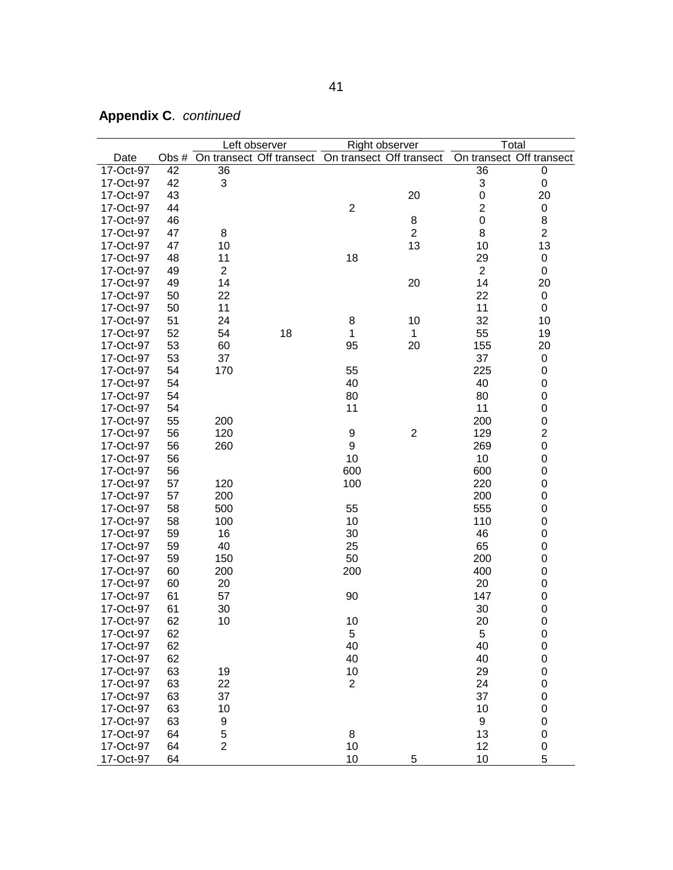| <b>Appendix C. continued</b> |  |
|------------------------------|--|
|------------------------------|--|

| Right observer<br>Total<br>Left observer<br>On transect Off transect<br>On transect Off transect<br>On transect Off transect<br>Date<br>Obs #<br>17-Oct-97<br>42<br>36<br>36<br>0<br>42<br>3<br>17-Oct-97<br>3<br>0<br>$\mathsf{O}\xspace$<br>43<br>17-Oct-97<br>20<br>20<br>$\overline{c}$<br>$\mathbf{2}$<br>17-Oct-97<br>44<br>$\pmb{0}$ |  |
|---------------------------------------------------------------------------------------------------------------------------------------------------------------------------------------------------------------------------------------------------------------------------------------------------------------------------------------------|--|
|                                                                                                                                                                                                                                                                                                                                             |  |
|                                                                                                                                                                                                                                                                                                                                             |  |
|                                                                                                                                                                                                                                                                                                                                             |  |
|                                                                                                                                                                                                                                                                                                                                             |  |
|                                                                                                                                                                                                                                                                                                                                             |  |
| $\mathbf 0$<br>8<br>17-Oct-97<br>46<br>8                                                                                                                                                                                                                                                                                                    |  |
| $\overline{2}$<br>8<br>$\overline{2}$<br>17-Oct-97<br>47<br>8                                                                                                                                                                                                                                                                               |  |
| 47<br>13<br>13<br>17-Oct-97<br>10<br>10                                                                                                                                                                                                                                                                                                     |  |
| 11<br>18<br>29<br>17-Oct-97<br>48<br>0                                                                                                                                                                                                                                                                                                      |  |
| $\overline{2}$<br>$\overline{c}$<br>17-Oct-97<br>49<br>$\boldsymbol{0}$                                                                                                                                                                                                                                                                     |  |
| 17-Oct-97<br>49<br>14<br>20<br>14<br>20                                                                                                                                                                                                                                                                                                     |  |
| 22<br>22<br>17-Oct-97<br>50<br>0                                                                                                                                                                                                                                                                                                            |  |
| 11<br>11<br>17-Oct-97<br>50<br>0                                                                                                                                                                                                                                                                                                            |  |
| 32<br>51<br>24<br>8<br>17-Oct-97<br>10<br>10                                                                                                                                                                                                                                                                                                |  |
| 52<br>54<br>18<br>1<br>55<br>17-Oct-97<br>1<br>19                                                                                                                                                                                                                                                                                           |  |
| 17-Oct-97<br>53<br>60<br>95<br>20<br>155<br>20                                                                                                                                                                                                                                                                                              |  |
| 53<br>37<br>17-Oct-97<br>37<br>0                                                                                                                                                                                                                                                                                                            |  |
| 55<br>225<br>17-Oct-97<br>54<br>170<br>0                                                                                                                                                                                                                                                                                                    |  |
| 40<br>40<br>17-Oct-97<br>54<br>0                                                                                                                                                                                                                                                                                                            |  |
| 80<br>80<br>17-Oct-97<br>54<br>0                                                                                                                                                                                                                                                                                                            |  |
| 11<br>11<br>$\mathbf 0$<br>17-Oct-97<br>54                                                                                                                                                                                                                                                                                                  |  |
| 55<br>200<br>$\mathbf 0$<br>17-Oct-97<br>200                                                                                                                                                                                                                                                                                                |  |
| $\overline{c}$<br>$\boldsymbol{2}$<br>56<br>120<br>9<br>129<br>17-Oct-97                                                                                                                                                                                                                                                                    |  |
| $\mathsf 0$<br>56<br>9<br>260<br>269<br>17-Oct-97                                                                                                                                                                                                                                                                                           |  |
| 10<br>56<br>10<br>0<br>17-Oct-97                                                                                                                                                                                                                                                                                                            |  |
| 17-Oct-97<br>56<br>600<br>600<br>0                                                                                                                                                                                                                                                                                                          |  |
| 17-Oct-97<br>100<br>220<br>0<br>57<br>120                                                                                                                                                                                                                                                                                                   |  |
| 57<br>200<br>200<br>0<br>17-Oct-97                                                                                                                                                                                                                                                                                                          |  |
| 58<br>555<br>17-Oct-97<br>500<br>55<br>0                                                                                                                                                                                                                                                                                                    |  |
| 10<br>17-Oct-97<br>58<br>100<br>110<br>0                                                                                                                                                                                                                                                                                                    |  |
| 16<br>46<br>$\mathbf 0$<br>17-Oct-97<br>59<br>30                                                                                                                                                                                                                                                                                            |  |
| 40<br>25<br>65<br>17-Oct-97<br>59<br>0                                                                                                                                                                                                                                                                                                      |  |
| 150<br>50<br>200<br>0<br>17-Oct-97<br>59                                                                                                                                                                                                                                                                                                    |  |
| 60<br>200<br>200<br>400<br>0<br>17-Oct-97                                                                                                                                                                                                                                                                                                   |  |
| 60<br>20<br>20<br>$\boldsymbol{0}$<br>17-Oct-97                                                                                                                                                                                                                                                                                             |  |
| 17-Oct-97<br>57<br>90<br>$\mathbf 0$<br>61<br>147                                                                                                                                                                                                                                                                                           |  |
| 30<br>17-Oct-97<br>61<br>30<br>0                                                                                                                                                                                                                                                                                                            |  |
| 62<br>10<br>20<br>0<br>17-Oct-97<br>10                                                                                                                                                                                                                                                                                                      |  |
| 17-Oct-97<br>62<br>5<br>5<br>0                                                                                                                                                                                                                                                                                                              |  |
| 62<br>40<br>40<br>$\pmb{0}$<br>17-Oct-97                                                                                                                                                                                                                                                                                                    |  |
| 62<br>40<br>$\mathbf 0$<br>17-Oct-97<br>40                                                                                                                                                                                                                                                                                                  |  |
| 63<br>10<br>29<br>$\pmb{0}$<br>17-Oct-97<br>19                                                                                                                                                                                                                                                                                              |  |
| 63<br>22<br>$\overline{2}$<br>$\pmb{0}$<br>17-Oct-97<br>24                                                                                                                                                                                                                                                                                  |  |
| 63<br>37<br>37<br>$\pmb{0}$<br>17-Oct-97                                                                                                                                                                                                                                                                                                    |  |
| 63<br>10<br>10<br>$\pmb{0}$<br>17-Oct-97                                                                                                                                                                                                                                                                                                    |  |
| $\mathbf 0$<br>17-Oct-97<br>63<br>9<br>9                                                                                                                                                                                                                                                                                                    |  |
| 5<br>17-Oct-97<br>8<br>13<br>$\mathbf 0$<br>64                                                                                                                                                                                                                                                                                              |  |
| $\overline{2}$<br>10<br>12<br>0<br>17-Oct-97<br>64                                                                                                                                                                                                                                                                                          |  |
| 10<br>10<br>5<br>17-Oct-97<br>5<br>64                                                                                                                                                                                                                                                                                                       |  |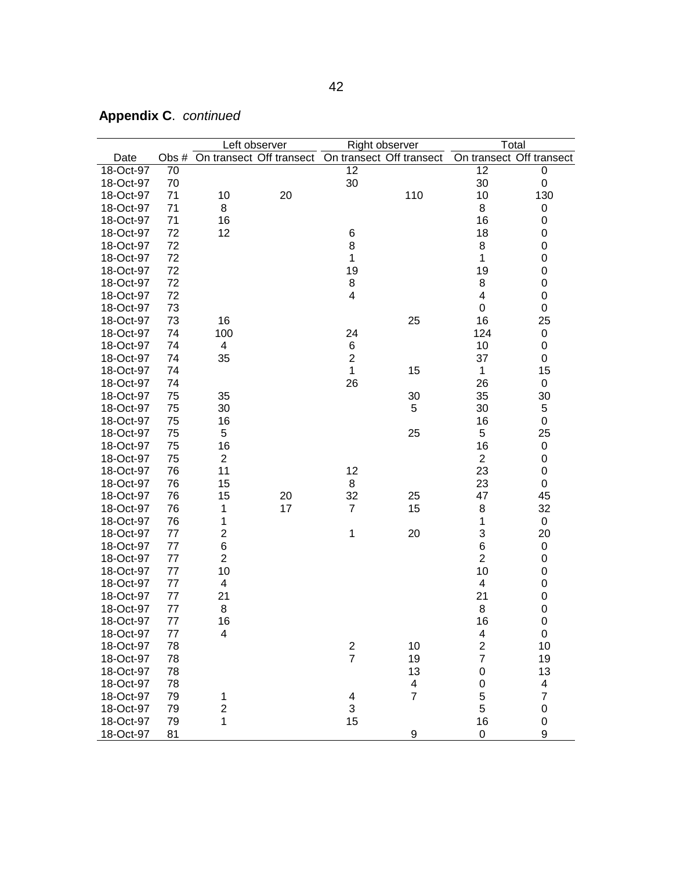|           |    |                         | Left observer                                           |                         | Right observer          | Total                   |                          |
|-----------|----|-------------------------|---------------------------------------------------------|-------------------------|-------------------------|-------------------------|--------------------------|
| Date      |    |                         | Obs # On transect Off transect On transect Off transect |                         |                         |                         | On transect Off transect |
| 18-Oct-97 | 70 |                         |                                                         | 12                      |                         | 12                      | 0                        |
| 18-Oct-97 | 70 |                         |                                                         | 30                      |                         | 30                      | 0                        |
| 18-Oct-97 | 71 | 10                      | 20                                                      |                         | 110                     | 10                      | 130                      |
| 18-Oct-97 | 71 | 8                       |                                                         |                         |                         | 8                       | 0                        |
| 18-Oct-97 | 71 | 16                      |                                                         |                         |                         | 16                      | 0                        |
| 18-Oct-97 | 72 | 12                      |                                                         | 6                       |                         | 18                      | 0                        |
| 18-Oct-97 | 72 |                         |                                                         | 8                       |                         | 8                       | $\mathbf 0$              |
| 18-Oct-97 | 72 |                         |                                                         | 1                       |                         | 1                       | $\mathbf 0$              |
| 18-Oct-97 | 72 |                         |                                                         | 19                      |                         | 19                      | 0                        |
| 18-Oct-97 | 72 |                         |                                                         | 8                       |                         | 8                       | 0                        |
| 18-Oct-97 | 72 |                         |                                                         | 4                       |                         | 4                       | 0                        |
| 18-Oct-97 | 73 |                         |                                                         |                         |                         | 0                       | $\boldsymbol{0}$         |
| 18-Oct-97 | 73 | 16                      |                                                         |                         | 25                      | 16                      | 25                       |
| 18-Oct-97 | 74 | 100                     |                                                         | 24                      |                         | 124                     | 0                        |
| 18-Oct-97 | 74 | $\overline{4}$          |                                                         | 6                       |                         | 10                      | 0                        |
| 18-Oct-97 | 74 | 35                      |                                                         | $\overline{\mathbf{c}}$ |                         | 37                      | $\boldsymbol{0}$         |
| 18-Oct-97 | 74 |                         |                                                         | $\mathbf{1}$            | 15                      | $\mathbf{1}$            | 15                       |
| 18-Oct-97 | 74 |                         |                                                         | 26                      |                         | 26                      | 0                        |
| 18-Oct-97 | 75 | 35                      |                                                         |                         | 30                      | 35                      | 30                       |
| 18-Oct-97 | 75 | 30                      |                                                         |                         | 5                       | 30                      | 5                        |
| 18-Oct-97 | 75 | 16                      |                                                         |                         |                         | 16                      | $\boldsymbol{0}$         |
| 18-Oct-97 | 75 | 5                       |                                                         |                         | 25                      | 5                       | 25                       |
| 18-Oct-97 | 75 | 16                      |                                                         |                         |                         | 16                      | 0                        |
| 18-Oct-97 | 75 | $\overline{2}$          |                                                         |                         |                         | $\overline{2}$          | 0                        |
| 18-Oct-97 | 76 | 11                      |                                                         | 12                      |                         | 23                      | $\boldsymbol{0}$         |
| 18-Oct-97 | 76 | 15                      |                                                         | 8                       |                         | 23                      | 0                        |
| 18-Oct-97 | 76 | 15                      | 20                                                      | 32                      | 25                      | 47                      | 45                       |
| 18-Oct-97 | 76 | 1                       | 17                                                      | $\overline{7}$          | 15                      | 8                       | 32                       |
| 18-Oct-97 | 76 | 1                       |                                                         |                         |                         | 1                       | 0                        |
| 18-Oct-97 | 77 | $\overline{\mathbf{c}}$ |                                                         | $\mathbf 1$             | 20                      | 3                       | 20                       |
| 18-Oct-97 | 77 | 6                       |                                                         |                         |                         | $\,6$                   | 0                        |
| 18-Oct-97 | 77 | $\overline{c}$          |                                                         |                         |                         | $\overline{c}$          | 0                        |
| 18-Oct-97 | 77 | 10                      |                                                         |                         |                         | 10                      | 0                        |
| 18-Oct-97 | 77 | 4                       |                                                         |                         |                         | 4                       | $\boldsymbol{0}$         |
| 18-Oct-97 | 77 | 21                      |                                                         |                         |                         | 21                      | $\boldsymbol{0}$         |
| 18-Oct-97 | 77 | 8                       |                                                         |                         |                         | 8                       | $\mathbf 0$              |
| 18-Oct-97 | 77 | 16                      |                                                         |                         |                         | 16                      | 0                        |
| 18-Oct-97 | 77 | 4                       |                                                         |                         |                         | 4                       | $\mathsf 0$              |
| 18-Oct-97 | 78 |                         |                                                         |                         | 10                      | $\overline{\mathbf{c}}$ | 10                       |
| 18-Oct-97 | 78 |                         |                                                         | $\frac{2}{7}$           | 19                      | $\overline{7}$          | 19                       |
| 18-Oct-97 | 78 |                         |                                                         |                         | 13                      | 0                       | 13                       |
| 18-Oct-97 | 78 |                         |                                                         |                         | $\overline{\mathbf{4}}$ | 0                       | 4                        |
| 18-Oct-97 | 79 | 1                       |                                                         | 4                       | $\overline{7}$          | 5                       | $\overline{\mathbf{7}}$  |
| 18-Oct-97 | 79 | $\overline{\mathbf{c}}$ |                                                         | 3                       |                         | 5                       | $\pmb{0}$                |
| 18-Oct-97 | 79 | 1                       |                                                         | 15                      |                         | 16                      | $\mathbf 0$              |
| 18-Oct-97 | 81 |                         |                                                         |                         | 9                       | $\pmb{0}$               | 9                        |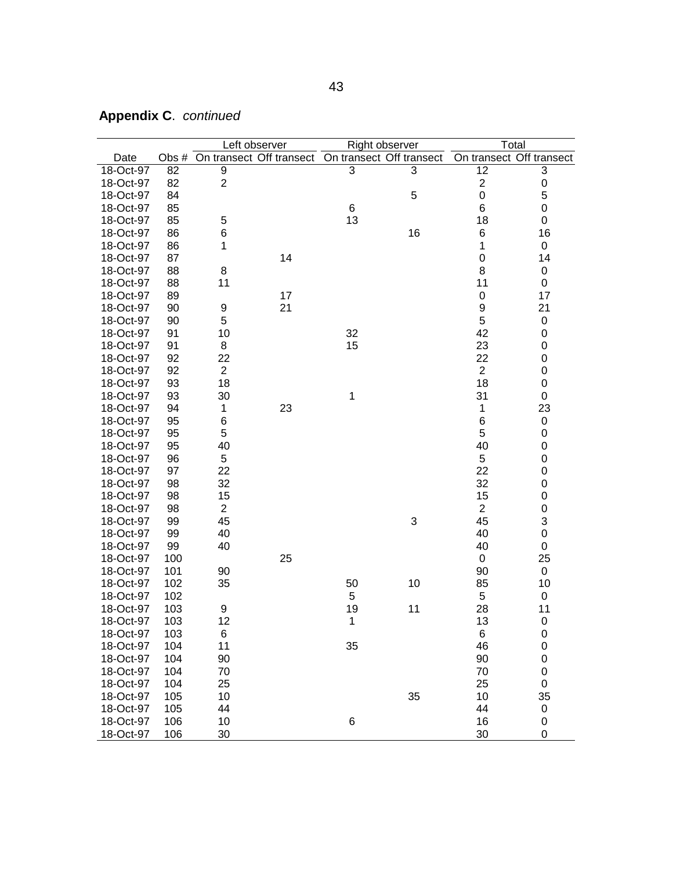|           |     |                | Left observer |             | Right observer                                          | Total                    |             |
|-----------|-----|----------------|---------------|-------------|---------------------------------------------------------|--------------------------|-------------|
| Date      |     |                |               |             | Obs # On transect Off transect On transect Off transect | On transect Off transect |             |
| 18-Oct-97 | 82  | 9              |               | 3           | 3                                                       | 12                       | 3           |
| 18-Oct-97 | 82  | $\overline{2}$ |               |             |                                                         | $\boldsymbol{2}$         | 0           |
| 18-Oct-97 | 84  |                |               |             | 5                                                       | $\mathbf 0$              | 5           |
| 18-Oct-97 | 85  |                |               | 6           |                                                         | $6\phantom{1}6$          | 0           |
| 18-Oct-97 | 85  | 5              |               | 13          |                                                         | 18                       | 0           |
| 18-Oct-97 | 86  | 6              |               |             | 16                                                      | 6                        | 16          |
| 18-Oct-97 | 86  | 1              |               |             |                                                         | 1                        | $\mathbf 0$ |
| 18-Oct-97 | 87  |                | 14            |             |                                                         | $\mathbf 0$              | 14          |
| 18-Oct-97 | 88  | 8              |               |             |                                                         | 8                        | 0           |
| 18-Oct-97 | 88  | 11             |               |             |                                                         | 11                       | 0           |
| 18-Oct-97 | 89  |                | 17            |             |                                                         | $\pmb{0}$                | 17          |
| 18-Oct-97 | 90  | 9              | 21            |             |                                                         | 9                        | 21          |
| 18-Oct-97 | 90  | 5              |               |             |                                                         | 5                        | $\pmb{0}$   |
| 18-Oct-97 | 91  | 10             |               | 32          |                                                         | 42                       | 0           |
| 18-Oct-97 | 91  | 8              |               | 15          |                                                         | 23                       | $\mathbf 0$ |
| 18-Oct-97 | 92  | 22             |               |             |                                                         | 22                       | 0           |
| 18-Oct-97 | 92  | $\overline{2}$ |               |             |                                                         | $\overline{2}$           | $\mathsf 0$ |
| 18-Oct-97 | 93  | 18             |               |             |                                                         | 18                       | $\mathsf 0$ |
| 18-Oct-97 | 93  | 30             |               | 1           |                                                         | 31                       | 0           |
| 18-Oct-97 | 94  | 1              | 23            |             |                                                         | 1                        | 23          |
| 18-Oct-97 | 95  | 6              |               |             |                                                         | 6                        | $\pmb{0}$   |
| 18-Oct-97 | 95  | 5              |               |             |                                                         | 5                        | 0           |
| 18-Oct-97 | 95  | 40             |               |             |                                                         | 40                       | 0           |
| 18-Oct-97 | 96  | 5              |               |             |                                                         | 5                        | 0           |
| 18-Oct-97 | 97  | 22             |               |             |                                                         | 22                       | 0           |
| 18-Oct-97 | 98  | 32             |               |             |                                                         | 32                       | 0           |
| 18-Oct-97 | 98  | 15             |               |             |                                                         | 15                       | 0           |
| 18-Oct-97 | 98  | $\overline{c}$ |               |             |                                                         | $\overline{2}$           | 0           |
| 18-Oct-97 | 99  | 45             |               |             | 3                                                       | 45                       | 3           |
| 18-Oct-97 | 99  | 40             |               |             |                                                         | 40                       | $\mathsf 0$ |
| 18-Oct-97 | 99  | 40             |               |             |                                                         | 40                       | 0           |
| 18-Oct-97 | 100 |                | 25            |             |                                                         | $\boldsymbol{0}$         | 25          |
| 18-Oct-97 | 101 | 90             |               |             |                                                         | 90                       | $\mathbf 0$ |
| 18-Oct-97 | 102 | 35             |               | 50          | 10                                                      | 85                       | 10          |
| 18-Oct-97 | 102 |                |               | 5           |                                                         | 5                        | $\pmb{0}$   |
| 18-Oct-97 | 103 | 9              |               | 19          | 11                                                      | 28                       | 11          |
| 18-Oct-97 | 103 | 12             |               | $\mathbf 1$ |                                                         | 13                       | 0           |
| 18-Oct-97 | 103 | 6              |               |             |                                                         | $\,6$                    | $\mathbf 0$ |
| 18-Oct-97 | 104 | 11             |               | 35          |                                                         | 46                       | $\pmb{0}$   |
| 18-Oct-97 | 104 | 90             |               |             |                                                         | 90                       | $\pmb{0}$   |
| 18-Oct-97 | 104 | 70             |               |             |                                                         | 70                       | $\pmb{0}$   |
| 18-Oct-97 | 104 | 25             |               |             |                                                         | 25                       | 0           |
| 18-Oct-97 | 105 | 10             |               |             | 35                                                      | 10                       | 35          |
| 18-Oct-97 | 105 | 44             |               |             |                                                         | 44                       | 0           |
| 18-Oct-97 | 106 | 10             |               | 6           |                                                         | 16                       | 0           |
| 18-Oct-97 | 106 | 30             |               |             |                                                         | 30                       | 0           |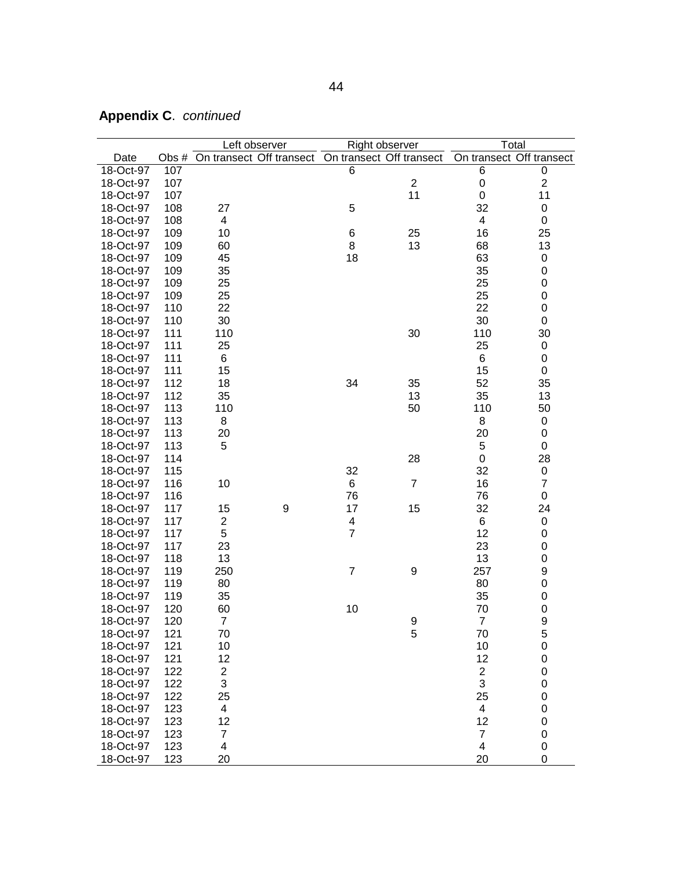|           |       |                         | Left observer                                     |                  | Right observer | Total                    |                  |
|-----------|-------|-------------------------|---------------------------------------------------|------------------|----------------|--------------------------|------------------|
| Date      | Obs # |                         | On transect Off transect On transect Off transect |                  |                | On transect Off transect |                  |
| 18-Oct-97 | 107   |                         |                                                   | 6                |                | $\,6$                    | $\pmb{0}$        |
| 18-Oct-97 | 107   |                         |                                                   |                  | $\overline{2}$ | $\mathbf 0$              | $\sqrt{2}$       |
| 18-Oct-97 | 107   |                         |                                                   |                  | 11             | $\boldsymbol{0}$         | 11               |
| 18-Oct-97 | 108   | 27                      |                                                   | 5                |                | 32                       | $\pmb{0}$        |
| 18-Oct-97 | 108   | 4                       |                                                   |                  |                | 4                        | $\pmb{0}$        |
| 18-Oct-97 | 109   | 10                      |                                                   | 6                | 25             | 16                       | 25               |
| 18-Oct-97 | 109   | 60                      |                                                   | 8                | 13             | 68                       | 13               |
| 18-Oct-97 | 109   | 45                      |                                                   | 18               |                | 63                       | 0                |
| 18-Oct-97 | 109   | 35                      |                                                   |                  |                | 35                       | $\mathbf 0$      |
| 18-Oct-97 | 109   | 25                      |                                                   |                  |                | 25                       | $\mathbf 0$      |
| 18-Oct-97 | 109   | 25                      |                                                   |                  |                | 25                       | $\mathbf 0$      |
|           |       |                         |                                                   |                  |                |                          |                  |
| 18-Oct-97 | 110   | 22                      |                                                   |                  |                | 22                       | $\pmb{0}$        |
| 18-Oct-97 | 110   | 30                      |                                                   |                  |                | 30                       | $\pmb{0}$        |
| 18-Oct-97 | 111   | 110                     |                                                   |                  | 30             | 110                      | 30               |
| 18-Oct-97 | 111   | 25                      |                                                   |                  |                | 25                       | $\pmb{0}$        |
| 18-Oct-97 | 111   | 6                       |                                                   |                  |                | 6                        | $\pmb{0}$        |
| 18-Oct-97 | 111   | 15                      |                                                   |                  |                | 15                       | $\pmb{0}$        |
| 18-Oct-97 | 112   | 18                      |                                                   | 34               | 35             | 52                       | 35               |
| 18-Oct-97 | 112   | 35                      |                                                   |                  | 13             | 35                       | 13               |
| 18-Oct-97 | 113   | 110                     |                                                   |                  | 50             | 110                      | 50               |
| 18-Oct-97 | 113   | 8                       |                                                   |                  |                | 8                        | $\pmb{0}$        |
| 18-Oct-97 | 113   | 20                      |                                                   |                  |                | 20                       | $\pmb{0}$        |
| 18-Oct-97 | 113   | 5                       |                                                   |                  |                | 5                        | $\pmb{0}$        |
| 18-Oct-97 | 114   |                         |                                                   |                  | 28             | $\pmb{0}$                | 28               |
| 18-Oct-97 | 115   |                         |                                                   | 32               |                | 32                       | $\pmb{0}$        |
| 18-Oct-97 | 116   | 10                      |                                                   | 6                | $\overline{7}$ | 16                       | $\overline{7}$   |
| 18-Oct-97 | 116   |                         |                                                   | 76               |                | 76                       | $\pmb{0}$        |
| 18-Oct-97 | 117   | 15                      | $\boldsymbol{9}$                                  | 17               | 15             | 32                       | 24               |
| 18-Oct-97 | 117   | $\mathbf{2}$            |                                                   | 4                |                | 6                        | $\pmb{0}$        |
| 18-Oct-97 | 117   | 5                       |                                                   | $\overline{7}$   |                | 12                       | $\pmb{0}$        |
| 18-Oct-97 | 117   | 23                      |                                                   |                  |                | 23                       | 0                |
| 18-Oct-97 | 118   | 13                      |                                                   |                  |                | 13                       | $\mathbf 0$      |
| 18-Oct-97 | 119   | 250                     |                                                   | $\boldsymbol{7}$ | 9              | 257                      | 9                |
| 18-Oct-97 | 119   | 80                      |                                                   |                  |                | 80                       | $\mathbf 0$      |
| 18-Oct-97 | 119   | 35                      |                                                   |                  |                | 35                       | $\boldsymbol{0}$ |
| 18-Oct-97 | 120   | 60                      |                                                   | 10               |                | 70                       | $\mathbf 0$      |
| 18-Oct-97 | 120   | $\overline{7}$          |                                                   |                  | 9              | $\overline{7}$           | $\boldsymbol{9}$ |
| 18-Oct-97 | 121   | 70                      |                                                   |                  | 5              | 70                       | 5                |
|           |       |                         |                                                   |                  |                |                          |                  |
| 18-Oct-97 | 121   | 10                      |                                                   |                  |                | 10                       | $\boldsymbol{0}$ |
| 18-Oct-97 | 121   | 12                      |                                                   |                  |                | 12                       | $\pmb{0}$        |
| 18-Oct-97 | 122   | $\overline{c}$          |                                                   |                  |                | $\overline{\mathbf{c}}$  | $\pmb{0}$        |
| 18-Oct-97 | 122   | 3                       |                                                   |                  |                | 3                        | $\pmb{0}$        |
| 18-Oct-97 | 122   | 25                      |                                                   |                  |                | 25                       | $\pmb{0}$        |
| 18-Oct-97 | 123   | 4                       |                                                   |                  |                | 4                        | $\pmb{0}$        |
| 18-Oct-97 | 123   | 12                      |                                                   |                  |                | 12                       | $\pmb{0}$        |
| 18-Oct-97 | 123   | $\overline{7}$          |                                                   |                  |                | $\overline{7}$           | $\mathsf 0$      |
| 18-Oct-97 | 123   | $\overline{\mathbf{4}}$ |                                                   |                  |                | $\overline{\mathbf{4}}$  | $\pmb{0}$        |
| 18-Oct-97 | 123   | 20                      |                                                   |                  |                | 20                       | 0                |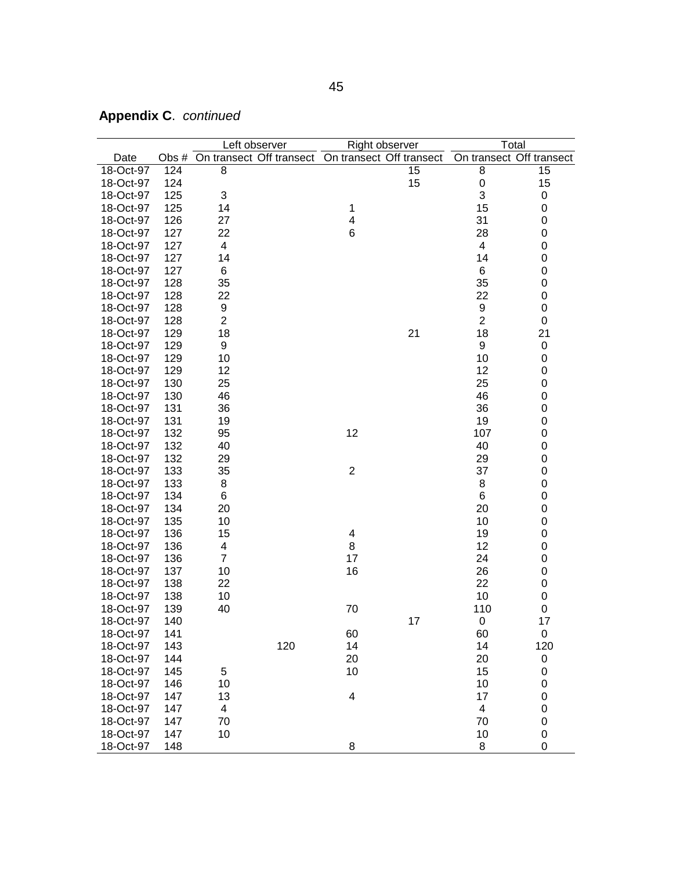|           |     |                | Left observer |              | Right observer                                          | Total          |                          |
|-----------|-----|----------------|---------------|--------------|---------------------------------------------------------|----------------|--------------------------|
| Date      |     |                |               |              | Obs # On transect Off transect On transect Off transect |                | On transect Off transect |
| 18-Oct-97 | 124 | 8              |               |              | 15                                                      | 8              | 15                       |
| 18-Oct-97 | 124 |                |               |              | 15                                                      | 0              | 15                       |
| 18-Oct-97 | 125 | 3              |               |              |                                                         | 3              | 0                        |
| 18-Oct-97 | 125 | 14             |               | 1            |                                                         | 15             | 0                        |
| 18-Oct-97 | 126 | 27             |               | 4            |                                                         | 31             | 0                        |
| 18-Oct-97 | 127 | 22             |               | 6            |                                                         | 28             | 0                        |
| 18-Oct-97 | 127 | 4              |               |              |                                                         | 4              | 0                        |
| 18-Oct-97 | 127 | 14             |               |              |                                                         | 14             | 0                        |
| 18-Oct-97 | 127 | 6              |               |              |                                                         | $\,6$          | 0                        |
| 18-Oct-97 | 128 | 35             |               |              |                                                         | 35             | 0                        |
| 18-Oct-97 | 128 | 22             |               |              |                                                         | 22             | 0                        |
| 18-Oct-97 | 128 | 9              |               |              |                                                         | 9              | 0                        |
| 18-Oct-97 | 128 | $\overline{2}$ |               |              |                                                         | $\overline{2}$ | $\boldsymbol{0}$         |
| 18-Oct-97 | 129 | 18             |               |              | 21                                                      | 18             | 21                       |
| 18-Oct-97 | 129 | 9              |               |              |                                                         | 9              | $\mathbf 0$              |
| 18-Oct-97 | 129 | 10             |               |              |                                                         | 10             | 0                        |
| 18-Oct-97 | 129 | 12             |               |              |                                                         | 12             | 0                        |
| 18-Oct-97 | 130 | 25             |               |              |                                                         | 25             | 0                        |
| 18-Oct-97 | 130 | 46             |               |              |                                                         | 46             | 0                        |
| 18-Oct-97 | 131 | 36             |               |              |                                                         | 36             | 0                        |
| 18-Oct-97 | 131 | 19             |               |              |                                                         | 19             | 0                        |
| 18-Oct-97 | 132 | 95             |               | 12           |                                                         | 107            | 0                        |
| 18-Oct-97 | 132 | 40             |               |              |                                                         | 40             | 0                        |
| 18-Oct-97 | 132 | 29             |               |              |                                                         | 29             | 0                        |
| 18-Oct-97 | 133 | 35             |               | $\mathbf{2}$ |                                                         | 37             | 0                        |
| 18-Oct-97 | 133 | 8              |               |              |                                                         | 8              | 0                        |
| 18-Oct-97 | 134 | 6              |               |              |                                                         | 6              | 0                        |
| 18-Oct-97 | 134 | 20             |               |              |                                                         | 20             | 0                        |
| 18-Oct-97 | 135 | 10             |               |              |                                                         | 10             | 0                        |
| 18-Oct-97 | 136 | 15             |               | 4            |                                                         | 19             | 0                        |
| 18-Oct-97 | 136 | 4              |               | 8            |                                                         | 12             | 0                        |
| 18-Oct-97 | 136 | $\overline{7}$ |               | 17           |                                                         | 24             | 0                        |
| 18-Oct-97 | 137 | 10             |               | 16           |                                                         | 26             | 0                        |
| 18-Oct-97 | 138 | 22             |               |              |                                                         | 22             | 0                        |
| 18-Oct-97 | 138 | 10             |               |              |                                                         | 10             | 0                        |
| 18-Oct-97 | 139 | 40             |               | 70           |                                                         | 110            | 0                        |
| 18-Oct-97 | 140 |                |               |              | 17                                                      | 0              | 17                       |
| 18-Oct-97 | 141 |                |               | 60           |                                                         | 60             | $\pmb{0}$                |
| 18-Oct-97 | 143 |                | 120           | 14           |                                                         | 14             | 120                      |
| 18-Oct-97 | 144 |                |               | 20           |                                                         | 20             | $\pmb{0}$                |
| 18-Oct-97 | 145 | 5              |               | 10           |                                                         | 15             | $\mathbf 0$              |
| 18-Oct-97 | 146 | 10             |               |              |                                                         | 10             | 0                        |
| 18-Oct-97 | 147 | 13             |               | 4            |                                                         | 17             | 0                        |
| 18-Oct-97 | 147 | 4              |               |              |                                                         | 4              | $\boldsymbol{0}$         |
| 18-Oct-97 | 147 | 70             |               |              |                                                         | 70             | $\mathbf 0$              |
| 18-Oct-97 | 147 | 10             |               |              |                                                         | 10             | 0                        |
| 18-Oct-97 | 148 |                |               | 8            |                                                         | 8              | 0                        |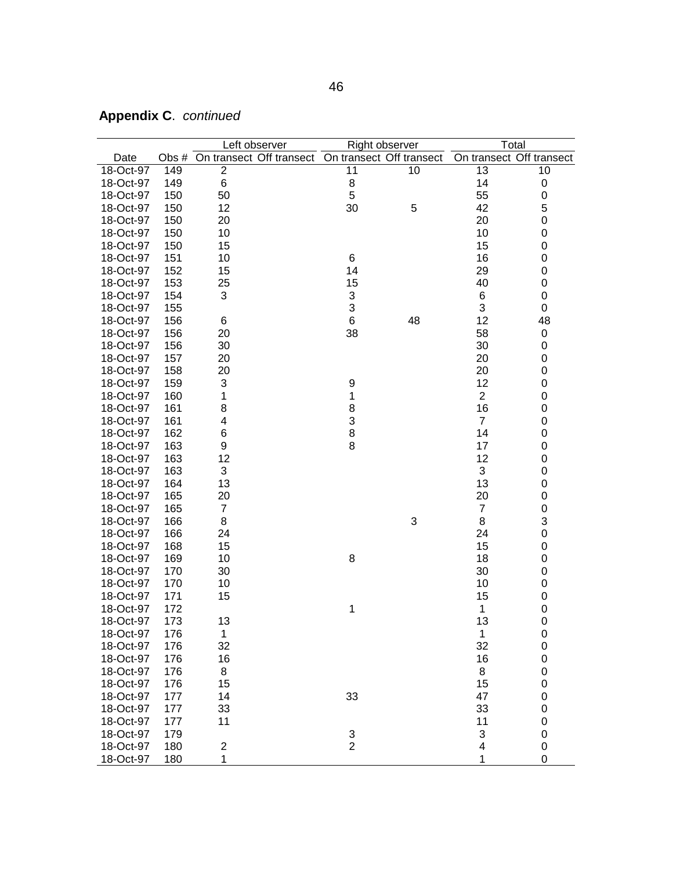| On transect Off transect<br>On transect Off transect<br>On transect Off transect<br>Date<br>Obs #<br>$\overline{2}$<br>149<br>11<br>10<br>13<br>10<br>18-Oct-97<br>149<br>8<br>14<br>18-Oct-97<br>6<br>0<br>5<br>150<br>55<br>18-Oct-97<br>50<br>0<br>150<br>30<br>5<br>42<br>5<br>18-Oct-97<br>12<br>150<br>20<br>0<br>18-Oct-97<br>20<br>150<br>10<br>0<br>18-Oct-97<br>10<br>150<br>15<br>0<br>18-Oct-97<br>15<br>151<br>6<br>16<br>0<br>18-Oct-97<br>10<br>152<br>15<br>29<br>$\mathbf 0$<br>18-Oct-97<br>14<br>15<br>153<br>25<br>40<br>0<br>18-Oct-97<br>$\ensuremath{\mathsf{3}}$<br>3<br>6<br>18-Oct-97<br>154<br>0<br>3<br>3<br>155<br>0<br>18-Oct-97<br>6<br>48<br>12<br>48<br>18-Oct-97<br>156<br>6<br>58<br>156<br>38<br>18-Oct-97<br>20<br>0<br>156<br>30<br>18-Oct-97<br>30<br>0<br>157<br>20<br>18-Oct-97<br>20<br>0<br>158<br>20<br>20<br>0<br>18-Oct-97<br>159<br>3<br>9<br>12<br>0<br>18-Oct-97<br>$\overline{c}$<br>1<br>1<br>0<br>18-Oct-97<br>160<br>161<br>8<br>8<br>16<br>0<br>18-Oct-97<br>3<br>$\overline{7}$<br>161<br>0<br>18-Oct-97<br>4<br>162<br>8<br>14<br>18-Oct-97<br>6<br>0<br>163<br>8<br>17<br>18-Oct-97<br>9<br>0<br>163<br>12<br>12<br>18-Oct-97<br>0<br>3<br>163<br>3<br>18-Oct-97<br>0<br>164<br>13<br>0<br>18-Oct-97<br>13<br>165<br>20<br>0<br>18-Oct-97<br>20<br>$\mathbf 0$<br>165<br>$\overline{7}$<br>$\overline{7}$<br>18-Oct-97<br>3<br>3<br>8<br>166<br>8<br>18-Oct-97<br>166<br>24<br>0<br>18-Oct-97<br>24<br>15<br>0<br>18-Oct-97<br>168<br>15<br>18<br>169<br>10<br>8<br>0<br>18-Oct-97<br>30<br>18-Oct-97<br>170<br>30<br>0 |
|----------------------------------------------------------------------------------------------------------------------------------------------------------------------------------------------------------------------------------------------------------------------------------------------------------------------------------------------------------------------------------------------------------------------------------------------------------------------------------------------------------------------------------------------------------------------------------------------------------------------------------------------------------------------------------------------------------------------------------------------------------------------------------------------------------------------------------------------------------------------------------------------------------------------------------------------------------------------------------------------------------------------------------------------------------------------------------------------------------------------------------------------------------------------------------------------------------------------------------------------------------------------------------------------------------------------------------------------------------------------------------------------------------------------------------------------------------------------------------------------------------------------------------------------------------------------------------|
|                                                                                                                                                                                                                                                                                                                                                                                                                                                                                                                                                                                                                                                                                                                                                                                                                                                                                                                                                                                                                                                                                                                                                                                                                                                                                                                                                                                                                                                                                                                                                                                  |
|                                                                                                                                                                                                                                                                                                                                                                                                                                                                                                                                                                                                                                                                                                                                                                                                                                                                                                                                                                                                                                                                                                                                                                                                                                                                                                                                                                                                                                                                                                                                                                                  |
|                                                                                                                                                                                                                                                                                                                                                                                                                                                                                                                                                                                                                                                                                                                                                                                                                                                                                                                                                                                                                                                                                                                                                                                                                                                                                                                                                                                                                                                                                                                                                                                  |
|                                                                                                                                                                                                                                                                                                                                                                                                                                                                                                                                                                                                                                                                                                                                                                                                                                                                                                                                                                                                                                                                                                                                                                                                                                                                                                                                                                                                                                                                                                                                                                                  |
|                                                                                                                                                                                                                                                                                                                                                                                                                                                                                                                                                                                                                                                                                                                                                                                                                                                                                                                                                                                                                                                                                                                                                                                                                                                                                                                                                                                                                                                                                                                                                                                  |
|                                                                                                                                                                                                                                                                                                                                                                                                                                                                                                                                                                                                                                                                                                                                                                                                                                                                                                                                                                                                                                                                                                                                                                                                                                                                                                                                                                                                                                                                                                                                                                                  |
|                                                                                                                                                                                                                                                                                                                                                                                                                                                                                                                                                                                                                                                                                                                                                                                                                                                                                                                                                                                                                                                                                                                                                                                                                                                                                                                                                                                                                                                                                                                                                                                  |
|                                                                                                                                                                                                                                                                                                                                                                                                                                                                                                                                                                                                                                                                                                                                                                                                                                                                                                                                                                                                                                                                                                                                                                                                                                                                                                                                                                                                                                                                                                                                                                                  |
|                                                                                                                                                                                                                                                                                                                                                                                                                                                                                                                                                                                                                                                                                                                                                                                                                                                                                                                                                                                                                                                                                                                                                                                                                                                                                                                                                                                                                                                                                                                                                                                  |
|                                                                                                                                                                                                                                                                                                                                                                                                                                                                                                                                                                                                                                                                                                                                                                                                                                                                                                                                                                                                                                                                                                                                                                                                                                                                                                                                                                                                                                                                                                                                                                                  |
|                                                                                                                                                                                                                                                                                                                                                                                                                                                                                                                                                                                                                                                                                                                                                                                                                                                                                                                                                                                                                                                                                                                                                                                                                                                                                                                                                                                                                                                                                                                                                                                  |
|                                                                                                                                                                                                                                                                                                                                                                                                                                                                                                                                                                                                                                                                                                                                                                                                                                                                                                                                                                                                                                                                                                                                                                                                                                                                                                                                                                                                                                                                                                                                                                                  |
|                                                                                                                                                                                                                                                                                                                                                                                                                                                                                                                                                                                                                                                                                                                                                                                                                                                                                                                                                                                                                                                                                                                                                                                                                                                                                                                                                                                                                                                                                                                                                                                  |
|                                                                                                                                                                                                                                                                                                                                                                                                                                                                                                                                                                                                                                                                                                                                                                                                                                                                                                                                                                                                                                                                                                                                                                                                                                                                                                                                                                                                                                                                                                                                                                                  |
|                                                                                                                                                                                                                                                                                                                                                                                                                                                                                                                                                                                                                                                                                                                                                                                                                                                                                                                                                                                                                                                                                                                                                                                                                                                                                                                                                                                                                                                                                                                                                                                  |
|                                                                                                                                                                                                                                                                                                                                                                                                                                                                                                                                                                                                                                                                                                                                                                                                                                                                                                                                                                                                                                                                                                                                                                                                                                                                                                                                                                                                                                                                                                                                                                                  |
|                                                                                                                                                                                                                                                                                                                                                                                                                                                                                                                                                                                                                                                                                                                                                                                                                                                                                                                                                                                                                                                                                                                                                                                                                                                                                                                                                                                                                                                                                                                                                                                  |
|                                                                                                                                                                                                                                                                                                                                                                                                                                                                                                                                                                                                                                                                                                                                                                                                                                                                                                                                                                                                                                                                                                                                                                                                                                                                                                                                                                                                                                                                                                                                                                                  |
|                                                                                                                                                                                                                                                                                                                                                                                                                                                                                                                                                                                                                                                                                                                                                                                                                                                                                                                                                                                                                                                                                                                                                                                                                                                                                                                                                                                                                                                                                                                                                                                  |
|                                                                                                                                                                                                                                                                                                                                                                                                                                                                                                                                                                                                                                                                                                                                                                                                                                                                                                                                                                                                                                                                                                                                                                                                                                                                                                                                                                                                                                                                                                                                                                                  |
|                                                                                                                                                                                                                                                                                                                                                                                                                                                                                                                                                                                                                                                                                                                                                                                                                                                                                                                                                                                                                                                                                                                                                                                                                                                                                                                                                                                                                                                                                                                                                                                  |
|                                                                                                                                                                                                                                                                                                                                                                                                                                                                                                                                                                                                                                                                                                                                                                                                                                                                                                                                                                                                                                                                                                                                                                                                                                                                                                                                                                                                                                                                                                                                                                                  |
|                                                                                                                                                                                                                                                                                                                                                                                                                                                                                                                                                                                                                                                                                                                                                                                                                                                                                                                                                                                                                                                                                                                                                                                                                                                                                                                                                                                                                                                                                                                                                                                  |
|                                                                                                                                                                                                                                                                                                                                                                                                                                                                                                                                                                                                                                                                                                                                                                                                                                                                                                                                                                                                                                                                                                                                                                                                                                                                                                                                                                                                                                                                                                                                                                                  |
|                                                                                                                                                                                                                                                                                                                                                                                                                                                                                                                                                                                                                                                                                                                                                                                                                                                                                                                                                                                                                                                                                                                                                                                                                                                                                                                                                                                                                                                                                                                                                                                  |
|                                                                                                                                                                                                                                                                                                                                                                                                                                                                                                                                                                                                                                                                                                                                                                                                                                                                                                                                                                                                                                                                                                                                                                                                                                                                                                                                                                                                                                                                                                                                                                                  |
|                                                                                                                                                                                                                                                                                                                                                                                                                                                                                                                                                                                                                                                                                                                                                                                                                                                                                                                                                                                                                                                                                                                                                                                                                                                                                                                                                                                                                                                                                                                                                                                  |
|                                                                                                                                                                                                                                                                                                                                                                                                                                                                                                                                                                                                                                                                                                                                                                                                                                                                                                                                                                                                                                                                                                                                                                                                                                                                                                                                                                                                                                                                                                                                                                                  |
|                                                                                                                                                                                                                                                                                                                                                                                                                                                                                                                                                                                                                                                                                                                                                                                                                                                                                                                                                                                                                                                                                                                                                                                                                                                                                                                                                                                                                                                                                                                                                                                  |
|                                                                                                                                                                                                                                                                                                                                                                                                                                                                                                                                                                                                                                                                                                                                                                                                                                                                                                                                                                                                                                                                                                                                                                                                                                                                                                                                                                                                                                                                                                                                                                                  |
|                                                                                                                                                                                                                                                                                                                                                                                                                                                                                                                                                                                                                                                                                                                                                                                                                                                                                                                                                                                                                                                                                                                                                                                                                                                                                                                                                                                                                                                                                                                                                                                  |
|                                                                                                                                                                                                                                                                                                                                                                                                                                                                                                                                                                                                                                                                                                                                                                                                                                                                                                                                                                                                                                                                                                                                                                                                                                                                                                                                                                                                                                                                                                                                                                                  |
|                                                                                                                                                                                                                                                                                                                                                                                                                                                                                                                                                                                                                                                                                                                                                                                                                                                                                                                                                                                                                                                                                                                                                                                                                                                                                                                                                                                                                                                                                                                                                                                  |
|                                                                                                                                                                                                                                                                                                                                                                                                                                                                                                                                                                                                                                                                                                                                                                                                                                                                                                                                                                                                                                                                                                                                                                                                                                                                                                                                                                                                                                                                                                                                                                                  |
|                                                                                                                                                                                                                                                                                                                                                                                                                                                                                                                                                                                                                                                                                                                                                                                                                                                                                                                                                                                                                                                                                                                                                                                                                                                                                                                                                                                                                                                                                                                                                                                  |
| 170<br>10<br>10<br>0<br>18-Oct-97                                                                                                                                                                                                                                                                                                                                                                                                                                                                                                                                                                                                                                                                                                                                                                                                                                                                                                                                                                                                                                                                                                                                                                                                                                                                                                                                                                                                                                                                                                                                                |
| 15<br>18-Oct-97<br>171<br>15<br>0                                                                                                                                                                                                                                                                                                                                                                                                                                                                                                                                                                                                                                                                                                                                                                                                                                                                                                                                                                                                                                                                                                                                                                                                                                                                                                                                                                                                                                                                                                                                                |
| $\mathbf 0$<br>18-Oct-97<br>172<br>1<br>1                                                                                                                                                                                                                                                                                                                                                                                                                                                                                                                                                                                                                                                                                                                                                                                                                                                                                                                                                                                                                                                                                                                                                                                                                                                                                                                                                                                                                                                                                                                                        |
| 173<br>13<br>0<br>18-Oct-97<br>13                                                                                                                                                                                                                                                                                                                                                                                                                                                                                                                                                                                                                                                                                                                                                                                                                                                                                                                                                                                                                                                                                                                                                                                                                                                                                                                                                                                                                                                                                                                                                |
| 18-Oct-97<br>176<br>$\mathbf 1$<br>1<br>$\boldsymbol{0}$                                                                                                                                                                                                                                                                                                                                                                                                                                                                                                                                                                                                                                                                                                                                                                                                                                                                                                                                                                                                                                                                                                                                                                                                                                                                                                                                                                                                                                                                                                                         |
| 32<br>$\pmb{0}$<br>176<br>32<br>18-Oct-97                                                                                                                                                                                                                                                                                                                                                                                                                                                                                                                                                                                                                                                                                                                                                                                                                                                                                                                                                                                                                                                                                                                                                                                                                                                                                                                                                                                                                                                                                                                                        |
| 16<br>18-Oct-97<br>176<br>16<br>0                                                                                                                                                                                                                                                                                                                                                                                                                                                                                                                                                                                                                                                                                                                                                                                                                                                                                                                                                                                                                                                                                                                                                                                                                                                                                                                                                                                                                                                                                                                                                |
| 8<br>8<br>0<br>18-Oct-97<br>176                                                                                                                                                                                                                                                                                                                                                                                                                                                                                                                                                                                                                                                                                                                                                                                                                                                                                                                                                                                                                                                                                                                                                                                                                                                                                                                                                                                                                                                                                                                                                  |
| 176<br>18-Oct-97<br>15<br>0<br>15                                                                                                                                                                                                                                                                                                                                                                                                                                                                                                                                                                                                                                                                                                                                                                                                                                                                                                                                                                                                                                                                                                                                                                                                                                                                                                                                                                                                                                                                                                                                                |
| 33<br>18-Oct-97<br>177<br>14<br>47<br>0                                                                                                                                                                                                                                                                                                                                                                                                                                                                                                                                                                                                                                                                                                                                                                                                                                                                                                                                                                                                                                                                                                                                                                                                                                                                                                                                                                                                                                                                                                                                          |
| 33<br>18-Oct-97<br>177<br>33<br>0                                                                                                                                                                                                                                                                                                                                                                                                                                                                                                                                                                                                                                                                                                                                                                                                                                                                                                                                                                                                                                                                                                                                                                                                                                                                                                                                                                                                                                                                                                                                                |
| 18-Oct-97<br>11<br>177<br>11<br>0                                                                                                                                                                                                                                                                                                                                                                                                                                                                                                                                                                                                                                                                                                                                                                                                                                                                                                                                                                                                                                                                                                                                                                                                                                                                                                                                                                                                                                                                                                                                                |
| 18-Oct-97<br>3<br>$\mathbf 0$<br>179                                                                                                                                                                                                                                                                                                                                                                                                                                                                                                                                                                                                                                                                                                                                                                                                                                                                                                                                                                                                                                                                                                                                                                                                                                                                                                                                                                                                                                                                                                                                             |
| $\frac{3}{2}$<br>4<br>$\pmb{0}$<br>18-Oct-97<br>180<br>$\overline{\mathbf{c}}$                                                                                                                                                                                                                                                                                                                                                                                                                                                                                                                                                                                                                                                                                                                                                                                                                                                                                                                                                                                                                                                                                                                                                                                                                                                                                                                                                                                                                                                                                                   |
| 1<br>18-Oct-97<br>180<br>1<br>0                                                                                                                                                                                                                                                                                                                                                                                                                                                                                                                                                                                                                                                                                                                                                                                                                                                                                                                                                                                                                                                                                                                                                                                                                                                                                                                                                                                                                                                                                                                                                  |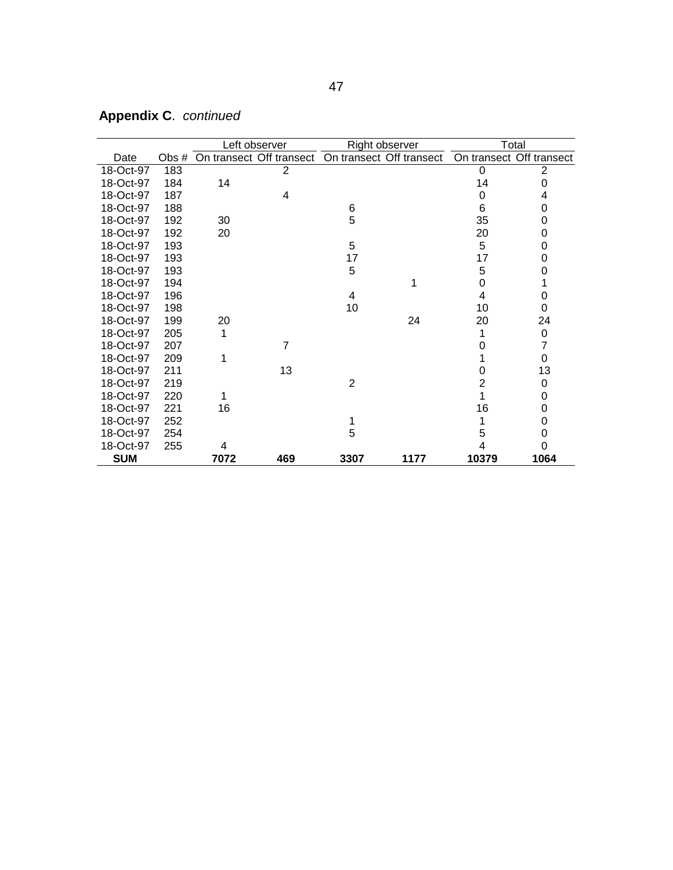|            |       |      | Left observer                                     |      | Right observer |                | Total                    |
|------------|-------|------|---------------------------------------------------|------|----------------|----------------|--------------------------|
| Date       | Obs # |      | On transect Off transect On transect Off transect |      |                |                | On transect Off transect |
| 18-Oct-97  | 183   |      | $\overline{2}$                                    |      |                | 0              | $\overline{2}$           |
| 18-Oct-97  | 184   | 14   |                                                   |      |                | 14             | 0                        |
| 18-Oct-97  | 187   |      | 4                                                 |      |                | 0              | 4                        |
| 18-Oct-97  | 188   |      |                                                   | 6    |                | 6              | 0                        |
| 18-Oct-97  | 192   | 30   |                                                   | 5    |                | 35             | 0                        |
| 18-Oct-97  | 192   | 20   |                                                   |      |                | 20             | 0                        |
| 18-Oct-97  | 193   |      |                                                   | 5    |                | 5              | 0                        |
| 18-Oct-97  | 193   |      |                                                   | 17   |                | 17             | 0                        |
| 18-Oct-97  | 193   |      |                                                   | 5    |                | 5              | 0                        |
| 18-Oct-97  | 194   |      |                                                   |      |                | 0              |                          |
| 18-Oct-97  | 196   |      |                                                   | 4    |                | 4              | 0                        |
| 18-Oct-97  | 198   |      |                                                   | 10   |                | 10             | 0                        |
| 18-Oct-97  | 199   | 20   |                                                   |      | 24             | 20             | 24                       |
| 18-Oct-97  | 205   | 1    |                                                   |      |                | 1              | 0                        |
| 18-Oct-97  | 207   |      | $\overline{7}$                                    |      |                | ი              | 7                        |
| 18-Oct-97  | 209   |      |                                                   |      |                |                | $\Omega$                 |
| 18-Oct-97  | 211   |      | 13                                                |      |                | 0              | 13                       |
| 18-Oct-97  | 219   |      |                                                   | 2    |                | $\overline{2}$ | 0                        |
| 18-Oct-97  | 220   |      |                                                   |      |                | 1              | 0                        |
| 18-Oct-97  | 221   | 16   |                                                   |      |                | 16             | 0                        |
| 18-Oct-97  | 252   |      |                                                   |      |                | 1              | 0                        |
| 18-Oct-97  | 254   |      |                                                   | 5    |                | 5              | 0                        |
| 18-Oct-97  | 255   | 4    |                                                   |      |                |                | 0                        |
| <b>SUM</b> |       | 7072 | 469                                               | 3307 | 1177           | 10379          | 1064                     |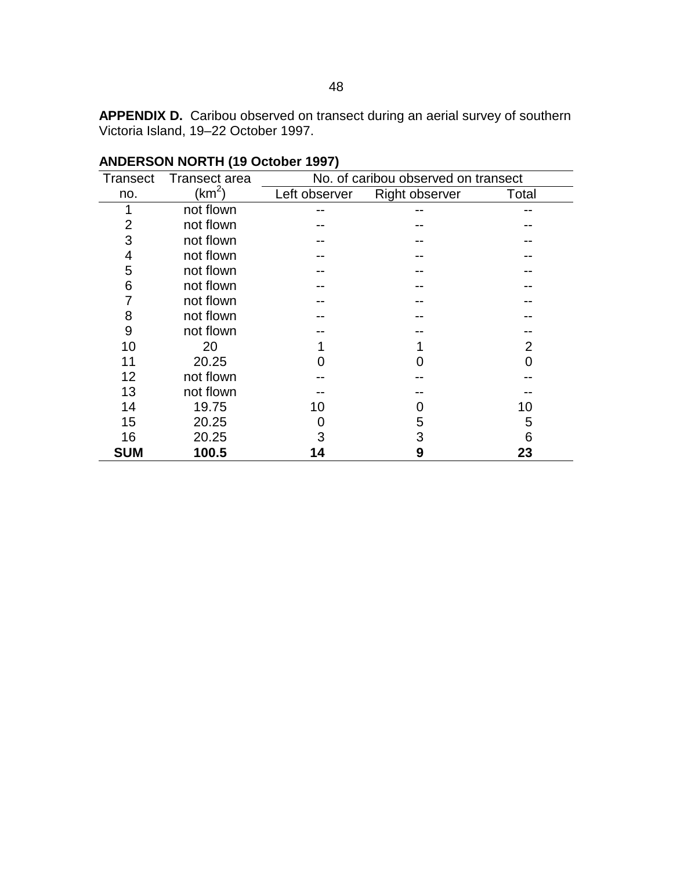<span id="page-57-0"></span>**APPENDIX D.** Caribou observed on transect during an aerial survey of southern Victoria Island, 19–22 October 1997.

| <b>Transect</b> | Transect area | No. of caribou observed on transect |                       |       |  |  |
|-----------------|---------------|-------------------------------------|-----------------------|-------|--|--|
| no.             | $(km^2)$      | Left observer                       | <b>Right observer</b> | Total |  |  |
| 1               | not flown     |                                     |                       |       |  |  |
| 2               | not flown     |                                     |                       |       |  |  |
| 3               | not flown     |                                     |                       |       |  |  |
| 4               | not flown     |                                     |                       |       |  |  |
| 5               | not flown     |                                     |                       |       |  |  |
| 6               | not flown     |                                     |                       |       |  |  |
|                 | not flown     |                                     |                       |       |  |  |
| 8               | not flown     |                                     |                       |       |  |  |
| 9               | not flown     |                                     |                       |       |  |  |
| 10              | 20            |                                     |                       | 2     |  |  |
| 11              | 20.25         |                                     |                       | Ⴖ     |  |  |
| 12              | not flown     |                                     |                       |       |  |  |
| 13              | not flown     |                                     |                       |       |  |  |
| 14              | 19.75         | 10                                  |                       | 10    |  |  |
| 15              | 20.25         |                                     | 5                     | 5     |  |  |
| 16              | 20.25         | 3                                   | 3                     | 6     |  |  |
| <b>SUM</b>      | 100.5         | 14                                  | 9                     | 23    |  |  |

### **ANDERSON NORTH (19 October 1997)**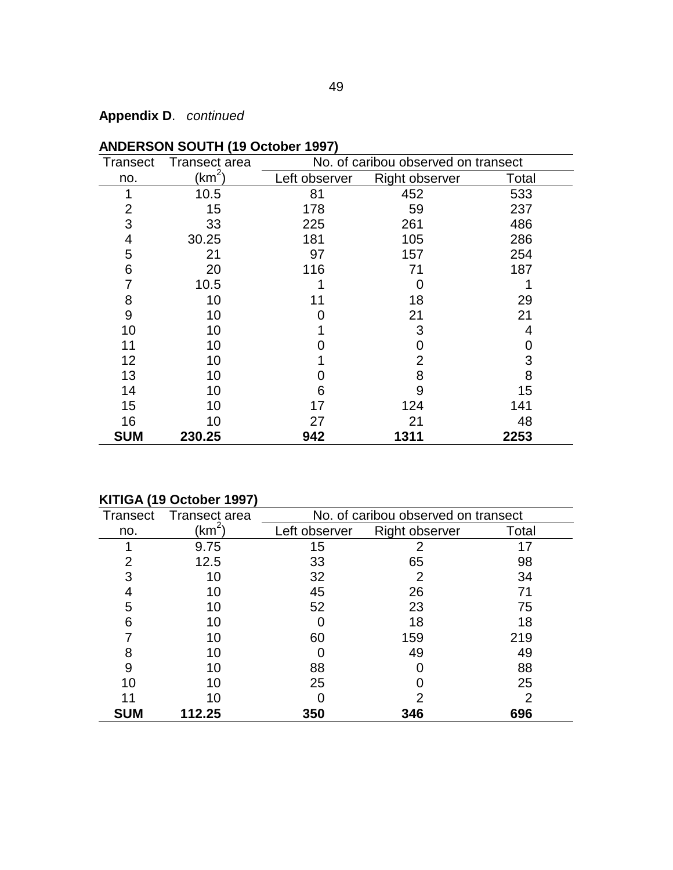| <b>Transect</b> | <b>Transect area</b> | No. of caribou observed on transect |                       |       |  |  |
|-----------------|----------------------|-------------------------------------|-----------------------|-------|--|--|
| no.             | (km $^2)$            | Left observer                       | <b>Right observer</b> | Total |  |  |
| 1               | 10.5                 | 81                                  | 452                   | 533   |  |  |
| $\overline{2}$  | 15                   | 178                                 | 59                    | 237   |  |  |
| 3               | 33                   | 225                                 | 261                   | 486   |  |  |
| 4               | 30.25                | 181                                 | 105                   | 286   |  |  |
| 5               | 21                   | 97                                  | 157                   | 254   |  |  |
| 6               | 20                   | 116                                 | 71                    | 187   |  |  |
| 7               | 10.5                 |                                     |                       |       |  |  |
| 8               | 10                   | 11                                  | 18                    | 29    |  |  |
| $9$             | 10                   |                                     | 21                    | 21    |  |  |
| 10              | 10                   |                                     | 3                     | 4     |  |  |
| 11              | 10                   |                                     | 0                     | 0     |  |  |
| 12              | 10                   |                                     | $\overline{2}$        | 3     |  |  |
| 13              | 10                   |                                     | 8                     | 8     |  |  |
| 14              | 10                   | 6                                   | 9                     | 15    |  |  |
| 15              | 10                   | 17                                  | 124                   | 141   |  |  |
| 16              | 10                   | 27                                  | 21                    | 48    |  |  |
| <b>SUM</b>      | 230.25               | 942                                 | 1311                  | 2253  |  |  |

### **ANDERSON SOUTH (19 October 1997)**

### **KITIGA (19 October 1997)**

| Transect       | Transect area   | No. of caribou observed on transect |                       |       |  |  |
|----------------|-----------------|-------------------------------------|-----------------------|-------|--|--|
| no.            | $\mathsf{km}^2$ | Left observer                       | <b>Right observer</b> | Total |  |  |
|                | 9.75            | 15                                  |                       | 17    |  |  |
| $\overline{2}$ | 12.5            | 33                                  | 65                    | 98    |  |  |
| 3              | 10              | 32                                  | 2                     | 34    |  |  |
|                | 10              | 45                                  | 26                    | 71    |  |  |
| 5              | 10              | 52                                  | 23                    | 75    |  |  |
| 6              | 10              |                                     | 18                    | 18    |  |  |
|                | 10              | 60                                  | 159                   | 219   |  |  |
| 8              |                 |                                     | 49                    | 49    |  |  |
| 9              | 10              | 88                                  |                       | 88    |  |  |
| 10             |                 | 25                                  |                       | 25    |  |  |
|                | 10              |                                     |                       | 2     |  |  |
| <b>SUM</b>     | 112.25          | 350                                 | 346                   | 696   |  |  |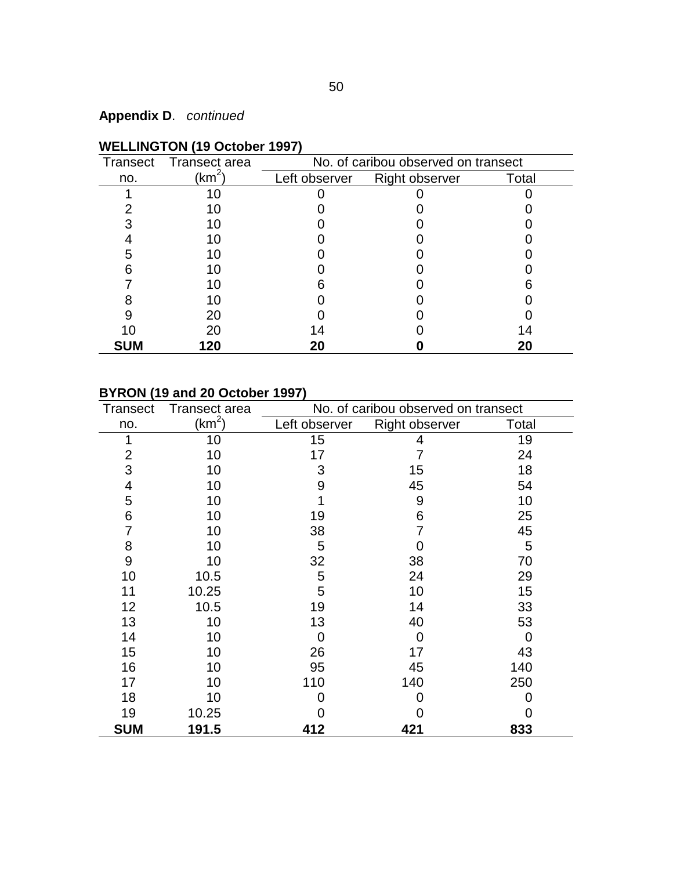|            | Transect Transect area | No. of caribou observed on transect |                |       |  |  |
|------------|------------------------|-------------------------------------|----------------|-------|--|--|
| no.        | (km <sup>2</sup> )     | Left observer                       | Right observer | Total |  |  |
|            |                        |                                     |                |       |  |  |
|            |                        |                                     |                |       |  |  |
|            |                        |                                     |                |       |  |  |
|            |                        |                                     |                |       |  |  |
|            |                        |                                     |                |       |  |  |
|            |                        |                                     |                |       |  |  |
|            |                        |                                     |                |       |  |  |
|            | 1 ( )                  |                                     |                |       |  |  |
|            | 20                     |                                     |                |       |  |  |
| 10         | 20                     | 14                                  |                | 14    |  |  |
| <b>SUM</b> | 120                    | 20                                  |                | 20    |  |  |

## **WELLINGTON (19 October 1997)**

### **BYRON (19 and 20 October 1997)**

| <b>Transect</b> | <b>Transect area</b> | No. of caribou observed on transect |                       |       |  |  |
|-----------------|----------------------|-------------------------------------|-----------------------|-------|--|--|
| no.             | (km <sup>2</sup> )   | Left observer                       | <b>Right observer</b> | Total |  |  |
| 1               | 10                   | 15                                  | 4                     | 19    |  |  |
| 2               | 10                   | 17                                  |                       | 24    |  |  |
| 3               | 10                   | 3                                   | 15                    | 18    |  |  |
| 4               | 10                   | 9                                   | 45                    | 54    |  |  |
| 5               | 10                   |                                     | 9                     | 10    |  |  |
| 6               | 10                   | 19                                  | 6                     | 25    |  |  |
| 7               | 10                   | 38                                  | 7                     | 45    |  |  |
| 8               | 10                   | 5                                   | O                     | 5     |  |  |
| 9               | 10                   | 32                                  | 38                    | 70    |  |  |
| 10              | 10.5                 | 5                                   | 24                    | 29    |  |  |
| 11              | 10.25                | 5                                   | 10                    | 15    |  |  |
| 12              | 10.5                 | 19                                  | 14                    | 33    |  |  |
| 13              | 10                   | 13                                  | 40                    | 53    |  |  |
| 14              | 10                   | 0                                   | 0                     | 0     |  |  |
| 15              | 10                   | 26                                  | 17                    | 43    |  |  |
| 16              | 10                   | 95                                  | 45                    | 140   |  |  |
| 17              | 10                   | 110                                 | 140                   | 250   |  |  |
| 18              | 10                   | 0                                   | 0                     | O     |  |  |
| 19              | 10.25                |                                     |                       | 0     |  |  |
| <b>SUM</b>      | 191.5                | 412                                 | 421                   | 833   |  |  |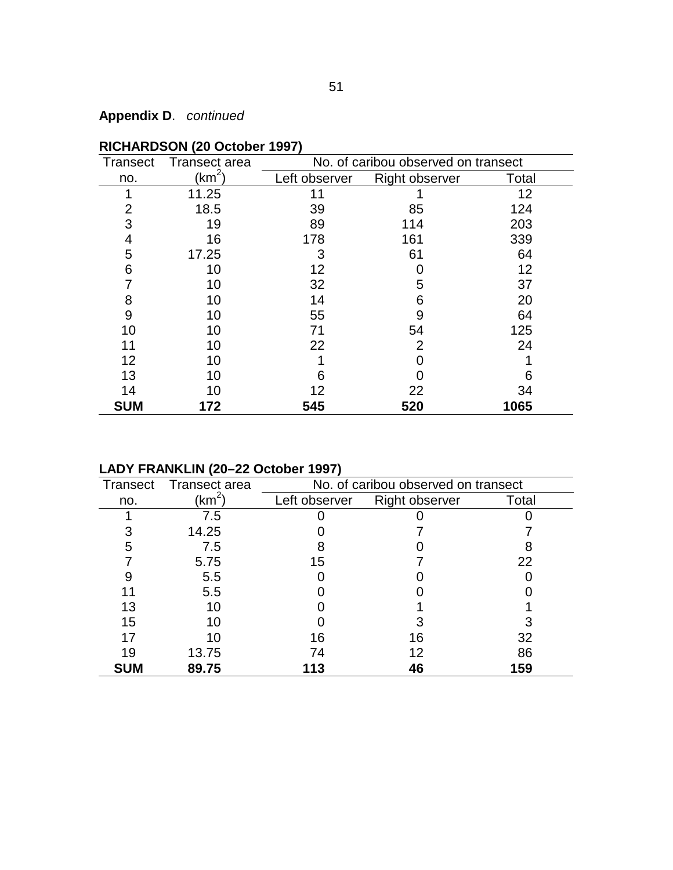| Transect       | Transect area      | No. of caribou observed on transect |                       |       |  |  |
|----------------|--------------------|-------------------------------------|-----------------------|-------|--|--|
| no.            | (km <sup>2</sup> ) | Left observer                       | <b>Right observer</b> | Total |  |  |
| 1              | 11.25              | 11                                  |                       | 12    |  |  |
| $\overline{2}$ | 18.5               | 39                                  | 85                    | 124   |  |  |
| 3              | 19                 | 89                                  | 114                   | 203   |  |  |
| 4              | 16                 | 178                                 | 161                   | 339   |  |  |
| 5              | 17.25              | 3                                   | 61                    | 64    |  |  |
| 6              | 10                 | 12                                  |                       | 12    |  |  |
|                | 10                 | 32                                  | 5                     | 37    |  |  |
| 8              | 10                 | 14                                  | 6                     | 20    |  |  |
| 9              | 10                 | 55                                  | 9                     | 64    |  |  |
| 10             | 10                 | 71                                  | 54                    | 125   |  |  |
| 11             | 10                 | 22                                  | $\overline{2}$        | 24    |  |  |
| 12             | 10                 |                                     |                       |       |  |  |
| 13             | 10                 | 6                                   |                       | 6     |  |  |
| 14             | 10                 | 12                                  | 22                    | 34    |  |  |
| <b>SUM</b>     | 172                | 545                                 | 520                   | 1065  |  |  |

### **RICHARDSON (20 October 1997)**

## **LADY FRANKLIN (20–22 October 1997)**

| Transect   | Transect area | No. of caribou observed on transect |                |       |  |  |
|------------|---------------|-------------------------------------|----------------|-------|--|--|
| no.        | (km $^2$      | Left observer                       | Right observer | Total |  |  |
|            | 7.5           |                                     |                |       |  |  |
| 3          | 14.25         |                                     |                |       |  |  |
| 5          | 7.5           |                                     |                |       |  |  |
|            | 5.75          | 15                                  |                | 22    |  |  |
| 9          | 5.5           |                                     |                |       |  |  |
|            | 5.5           |                                     |                |       |  |  |
| 13         |               |                                     |                |       |  |  |
| 15         |               |                                     |                |       |  |  |
| 17         |               | 16                                  | 16             | 32    |  |  |
| 19         | 13.75         | 74                                  |                | 86    |  |  |
| <b>SUM</b> | 89.75         | 113                                 |                | 159   |  |  |